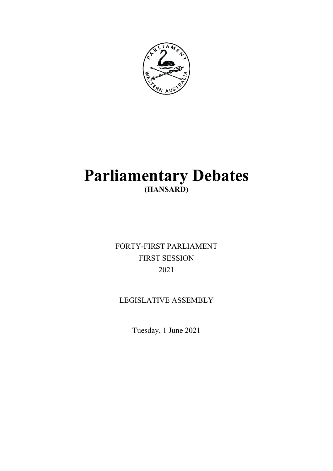

# **Parliamentary Debates (HANSARD)**

FORTY-FIRST PARLIAMENT FIRST SESSION 2021

# LEGISLATIVE ASSEMBLY

Tuesday, 1 June 2021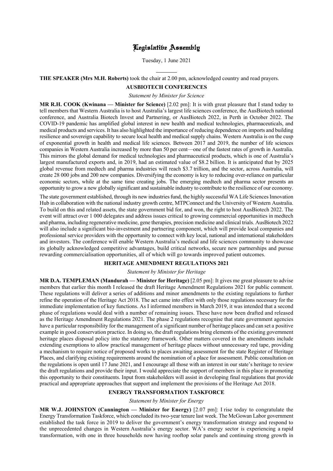# Legislative Assembly

Tuesday, 1 June 2021

# **THE SPEAKER (Mrs M.H. Roberts)** took the chair at 2.00 pm, acknowledged country and read prayers.

l

# **AUSBIOTECH CONFERENCES**

*Statement by Minister for Science*

**MR R.H. COOK (Kwinana — Minister for Science)** [2.02 pm]: It is with great pleasure that I stand today to tell members that Western Australia is to host Australia's largest life sciences conference, the AusBiotech national conference, and Australia Biotech Invest and Partnering, or AusBiotech 2022, in Perth in October 2022. The COVID-19 pandemic has amplified global interest in new health and medical technologies, pharmaceuticals, and medical products and services. It has also highlighted the importance of reducing dependence on imports and building resilience and sovereign capability to secure local health and medical supply chains. Western Australia is on the cusp of exponential growth in health and medical life sciences. Between 2017 and 2019, the number of life sciences companies in Western Australia increased by more than 50 per cent—one of the fastest rates of growth in Australia. This mirrors the global demand for medical technologies and pharmaceutical products, which is one of Australia's largest manufactured exports and, in 2019, had an estimated value of \$8.2 billion. It is anticipated that by 2025 global revenue from medtech and pharma industries will reach \$3.7 trillion, and the sector, across Australia, will create 28 000 jobs and 200 new companies. Diversifying the economy is key to reducing over-reliance on particular economic sectors, while at the same time creating jobs. The emerging medtech and pharma sector presents an opportunity to grow a new globally significant and sustainable industry to contribute to the resilience of our economy.

The state government established, through its new industries fund, the highly successful WA Life Sciences Innovation Hub in collaboration with the national industry growth centre, MTPConnect and the University of Western Australia. To build on this and related assets, the state government bid for, and won, the right to host AusBiotech 2022. The event will attract over 1 000 delegates and address issues critical to growing commercial opportunities in medtech and pharma, including regenerative medicine, gene therapies, precision medicine and clinical trials. AusBiotech 2022 will also include a significant bio-investment and partnering component, which will provide local companies and professional service providers with the opportunity to connect with key local, national and international stakeholders and investors. The conference will enable Western Australia's medical and life sciences community to showcase its globally acknowledged competitive advantages, build critical networks, secure new partnerships and pursue rewarding commercialisation opportunities, all of which will go towards improved patient outcomes.

# **HERITAGE AMENDMENT REGULATIONS 2021**

#### *Statement by Minister for Heritage*

**MR D.A. TEMPLEMAN (Mandurah — Minister for Heritage)** [2.05 pm]: It gives me great pleasure to advise members that earlier this month I released the draft Heritage Amendment Regulations 2021 for public comment. These regulations will deliver a series of additions and minor amendments to the existing regulations to further refine the operation of the Heritage Act 2018. The act came into effect with only those regulations necessary for the immediate implementation of key functions. As I informed members in March 2019, it was intended that a second phase of regulations would deal with a number of remaining issues. These have now been drafted and released as the Heritage Amendment Regulations 2021. The phase 2 regulations recognise that state government agencies have a particular responsibility for the management of a significant number of heritage places and can set a positive example in good conservation practice. In doing so, the draft regulations bring elements of the existing government heritage places disposal policy into the statutory framework. Other matters covered in the amendments include extending exemptions to allow practical management of heritage places without unnecessary red tape, providing a mechanism to require notice of proposed works to places awaiting assessment for the state Register of Heritage Places, and clarifying existing requirements around the nomination of a place for assessment. Public consultation on the regulations is open until 17 June 2021, and I encourage all those with an interest in our state's heritage to review the draft regulations and provide their input. I would appreciate the support of members in this place in promoting this opportunity to their constituents. Input from stakeholders will assist in developing final regulations that provide practical and appropriate approaches that support and implement the provisions of the Heritage Act 2018.

#### **ENERGY TRANSFORMATION TASKFORCE**

*Statement by Minister for Energy*

**MR W.J. JOHNSTON (Cannington — Minister for Energy)** [2.07 pm]: I rise today to congratulate the Energy Transformation Taskforce, which concluded its two-year tenure last week. The McGowan Labor government established the task force in 2019 to deliver the government's energy transformation strategy and respond to the unprecedented changes in Western Australia's energy sector. WA's energy sector is experiencing a rapid transformation, with one in three households now having rooftop solar panels and continuing strong growth in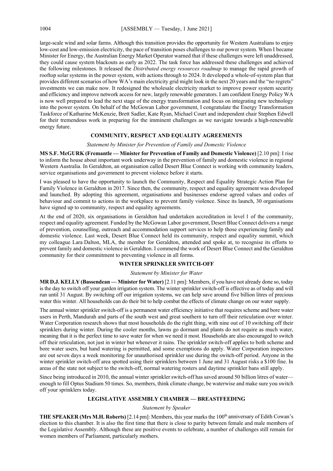large-scale wind and solar farms. Although this transition provides the opportunity for Western Australians to enjoy low-cost and low-emission electricity, the pace of transition poses challenges to our power system. When I became Minister for Energy, the Australian Energy Market Operator warned that if these challenges were left unaddressed, they could cause system blackouts as early as 2022. The task force has addressed these challenges and achieved the following milestones. It released the *Distributed energy resources roadmap* to manage the rapid growth of rooftop solar systems in the power system, with actions through to 2024. It developed a whole-of-system plan that provides different scenarios of how WA's main electricity grid might look in the next 20 years and the "no regrets" investments we can make now. It redesigned the wholesale electricity market to improve power system security and efficiency and improve network access for new, largely renewable generators. I am confident Energy Policy WA is now well prepared to lead the next stage of the energy transformation and focus on integrating new technology into the power system. On behalf of the McGowan Labor government, I congratulate the Energy Transformation Taskforce of Katharine McKenzie, Brett Sadler, Kate Ryan, Michael Court and independent chair Stephen Edwell for their tremendous work in preparing for the imminent challenges as we navigate towards a high-renewable energy future.

# **COMMUNITY, RESPECT AND EQUALITY AGREEMENTS**

*Statement by Minister for Prevention of Family and Domestic Violence*

**MS S.F. McGURK (Fremantle — Minister for Prevention of Family and Domestic Violence)** [2.10 pm]: I rise to inform the house about important work underway in the prevention of family and domestic violence in regional Western Australia. In Geraldton, an organisation called Desert Blue Connect is working with community leaders, service organisations and government to prevent violence before it starts.

I was pleased to have the opportunity to launch the Community, Respect and Equality Strategic Action Plan for Family Violence in Geraldton in 2017. Since then, the community, respect and equality agreement was developed and launched. By adopting this agreement, organisations and businesses endorse agreed values and codes of behaviour and commit to actions in the workplace to prevent family violence. Since its launch, 30 organisations have signed up to community, respect and equality agreements.

At the end of 2020, six organisations in Geraldton had undertaken accreditation in level 1 of the community, respect and equality agreement. Funded by the McGowan Labor government, Desert Blue Connect delivers a range of prevention, counselling, outreach and accommodation support services to help those experiencing family and domestic violence. Last week, Desert Blue Connect held its community, respect and equality summit, which my colleague Lara Dalton, MLA, the member for Geraldton, attended and spoke at, to recognise its efforts to prevent family and domestic violence in Geraldton. I commend the work of Desert Blue Connect and the Geraldton community for their commitment to preventing violence in all forms.

#### **WINTER SPRINKLER SWITCH-OFF**

#### *Statement by Minister for Water*

**MR D.J. KELLY (Bassendean — Minister for Water)** [2.11 pm]: Members, if you have not already done so, today is the day to switch off your garden irrigation system. The winter sprinkler switch-off is effective as of today and will run until 31 August. By switching off our irrigation systems, we can help save around five billion litres of precious water this winter. All households can do their bit to help combat the effects of climate change on our water supply.

The annual winter sprinkler switch-off is a permanent water efficiency initiative that requires scheme and bore water users in Perth, Mandurah and parts of the south west and great southern to turn off their reticulation over winter. Water Corporation research shows that most households do the right thing, with nine out of 10 switching off their sprinklers during winter. During the cooler months, lawns go dormant and plants do not require as much water, meaning that it is the perfect time to save water for when we need it most. Households are also encouraged to switch off their reticulation, not just in winter but whenever it rains. The sprinkler switch-off applies to both scheme and bore water users, but hand watering is permitted, and some exemptions do apply. Water Corporation inspectors are out seven days a week monitoring for unauthorised sprinkler use during the switch-off period. Anyone in the winter sprinkler switch-off area spotted using their sprinklers between 1 June and 31 August risks a \$100 fine. In areas of the state not subject to the switch-off, normal watering rosters and daytime sprinkler bans still apply.

Since being introduced in 2010, the annual winter sprinkler switch-off has saved around 50 billion litres of water enough to fill Optus Stadium 50 times. So, members, think climate change, be waterwise and make sure you switch off your sprinklers today.

#### **LEGISLATIVE ASSEMBLY CHAMBER — BREASTFEEDING**

#### *Statement by Speaker*

**THE SPEAKER (Mrs M.H. Roberts)** [2.14 pm]: Members, this year marks the 100th anniversary of Edith Cowan's election to this chamber. It is also the first time that there is close to parity between female and male members of the Legislative Assembly. Although these are positive events to celebrate, a number of challenges still remain for women members of Parliament, particularly mothers.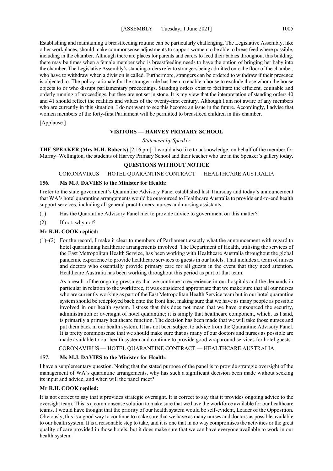Establishing and maintaining a breastfeeding routine can be particularly challenging. The Legislative Assembly, like other workplaces, should make commonsense adjustments to support women to be able to breastfeed where possible, including in the chamber. Although there are places for parents and carers to feed their babies throughout this building, there may be times when a female member who is breastfeeding needs to have the option of bringing her baby into the chamber. The Legislative Assembly's standing orders refer to strangers being admitted onto the floor of the chamber, who have to withdraw when a division is called. Furthermore, strangers can be ordered to withdraw if their presence is objected to. The policy rationale for the stranger rule has been to enable a house to exclude those whom the house objects to or who disrupt parliamentary proceedings. Standing orders exist to facilitate the efficient, equitable and orderly running of proceedings, but they are not set in stone. It is my view that the interpretation of standing orders 40 and 41 should reflect the realities and values of the twenty-first century. Although I am not aware of any members who are currently in this situation, I do not want to see this become an issue in the future. Accordingly, I advise that women members of the forty-first Parliament will be permitted to breastfeed children in this chamber.

[Applause.]

# **VISITORS — HARVEY PRIMARY SCHOOL**

*Statement by Speaker*

**THE SPEAKER (Mrs M.H. Roberts)** [2.16 pm]: I would also like to acknowledge, on behalf of the member for Murray–Wellington, the students of Harvey Primary School and their teacher who are in the Speaker's gallery today.

# **QUESTIONS WITHOUT NOTICE**

# CORONAVIRUS — HOTEL QUARANTINE CONTRACT — HEALTHCARE AUSTRALIA

# **156. Ms M.J. DAVIES to the Minister for Health:**

I refer to the state government's Quarantine Advisory Panel established last Thursday and today's announcement that WA's hotel quarantine arrangements would be outsourced to Healthcare Australia to provide end-to-end health support services, including all general practitioners, nurses and nursing assistants.

- (1) Has the Quarantine Advisory Panel met to provide advice to government on this matter?
- (2) If not, why not?

# **Mr R.H. COOK replied:**

(1)–(2) For the record, I make it clear to members of Parliament exactly what the announcement with regard to hotel quarantining healthcare arrangements involved. The Department of Health, utilising the services of the East Metropolitan Health Service, has been working with Healthcare Australia throughout the global pandemic experience to provide healthcare services to guests in our hotels. That includes a team of nurses and doctors who essentially provide primary care for all guests in the event that they need attention. Healthcare Australia has been working throughout this period as part of that team.

As a result of the ongoing pressures that we continue to experience in our hospitals and the demands in particular in relation to the workforce, it was considered appropriate that we make sure that all our nurses who are currently working as part of the East Metropolitan Health Service team but in our hotel quarantine system should be redeployed back onto the front line, making sure that we have as many people as possible involved in our health system. I stress that this does not mean that we have outsourced the security, administration or oversight of hotel quarantine; it is simply that healthcare component, which, as I said, is primarily a primary healthcare function. The decision has been made that we will take those nurses and put them back in our health system. It has not been subject to advice from the Quarantine Advisory Panel. It is pretty commonsense that we should make sure that as many of our doctors and nurses as possible are made available to our health system and continue to provide good wraparound services for hotel guests.

# CORONAVIRUS — HOTEL QUARANTINE CONTRACT — HEALTHCARE AUSTRALIA

# **157. Ms M.J. DAVIES to the Minister for Health:**

I have a supplementary question. Noting that the stated purpose of the panel is to provide strategic oversight of the management of WA's quarantine arrangements, why has such a significant decision been made without seeking its input and advice, and when will the panel meet?

# **Mr R.H. COOK replied:**

It is not correct to say that it provides strategic oversight. It is correct to say that it provides ongoing advice to the oversight team. This is a commonsense solution to make sure that we have the workforce available for our healthcare teams. I would have thought that the priority of our health system would be self-evident, Leader of the Opposition. Obviously, this is a good way to continue to make sure that we have as many nurses and doctors as possible available to our health system. It is a reasonable step to take, and it is one that in no way compromises the activities or the great quality of care provided in those hotels, but it does make sure that we can have everyone available to work in our health system.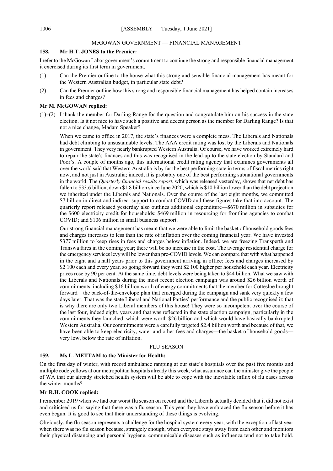# McGOWAN GOVERNMENT — FINANCIAL MANAGEMENT

#### **158. Mr H.T. JONES to the Premier:**

I refer to the McGowan Labor government's commitment to continue the strong and responsible financial management it exercised during its first term in government.

- (1) Can the Premier outline to the house what this strong and sensible financial management has meant for the Western Australian budget, in particular state debt?
- (2) Can the Premier outline how this strong and responsible financial management has helped contain increases in fees and charges?

#### **Mr M. McGOWAN replied:**

(1)–(2) I thank the member for Darling Range for the question and congratulate him on his success in the state election. Is it not nice to have such a positive and decent person as the member for Darling Range? Is that not a nice change, Madam Speaker?

When we came to office in 2017, the state's finances were a complete mess. The Liberals and Nationals had debt climbing to unsustainable levels. The AAA credit rating was lost by the Liberals and Nationals in government. They very nearly bankrupted Western Australia. Of course, we have worked extremely hard to repair the state's finances and this was recognised in the lead-up to the state election by Standard and Poor's. A couple of months ago, this international credit rating agency that examines governments all over the world said that Western Australia is by far the best performing state in terms of fiscal metrics right now, and not just in Australia; indeed, it is probably one of the best performing subnational governments in the world. The *Quarterly financial results report*, which was released yesterday, shows that net debt has fallen to \$33.6 billion, down \$1.8 billion since June 2020, which is \$10 billion lower than the debt projection we inherited under the Liberals and Nationals. Over the course of the last eight months, we committed \$7 billion in direct and indirect support to combat COVID and these figures take that into account. The quarterly report released yesterday also outlines additional expenditure—\$670 million in subsidies for the \$600 electricity credit for households; \$469 million in resourcing for frontline agencies to combat COVID; and \$106 million in small business support.

Our strong financial management has meant that we were able to limit the basket of household goods fees and charges increases to less than the rate of inflation over the coming financial year. We have invested \$377 million to keep rises in fees and charges below inflation. Indeed, we are freezing Transperth and Transwa fares in the coming year; there will be no increase in the cost. The average residential charge for the emergency services levy will be lower than pre-COVID levels. We can compare that with what happened in the eight and a half years prior to this government arriving in office: fees and charges increased by \$2 100 each and every year, so going forward they went \$2 100 higher per household each year. Electricity prices rose by 90 per cent. At the same time, debt levels were being taken to \$44 billion. What we saw with the Liberals and Nationals during the most recent election campaign was around \$26 billion worth of commitments, including \$16 billion worth of energy commitments that the member for Cottesloe brought forward—the back-of-the-envelope plan that emerged during the campaign and sank very quickly a few days later. That was the state Liberal and National Parties' performance and the public recognised it; that is why there are only two Liberal members of this house! They were so incompetent over the course of the last four, indeed eight, years and that was reflected in the state election campaign, particularly in the commitments they launched, which were worth \$26 billion and which would have basically bankrupted Western Australia. Our commitments were a carefully targeted \$2.4 billion worth and because of that, we have been able to keep electricity, water and other fees and charges—the basket of household goodsvery low, below the rate of inflation.

#### FLU SEASON

#### **159. Ms L. METTAM to the Minister for Health:**

On the first day of winter, with record ambulance ramping at our state's hospitals over the past five months and multiple code yellows at our metropolitan hospitals already this week, what assurance can the minister give the people of WA that our already stretched health system will be able to cope with the inevitable influx of flu cases across the winter months?

# **Mr R.H. COOK replied:**

I remember 2019 when we had our worst flu season on record and the Liberals actually decided that it did not exist and criticised us for saying that there was a flu season. This year they have embraced the flu season before it has even begun. It is good to see that their understanding of these things is evolving.

Obviously, the flu season represents a challenge for the hospital system every year, with the exception of last year when there was no flu season because, strangely enough, when everyone stays away from each other and monitors their physical distancing and personal hygiene, communicable diseases such as influenza tend not to take hold.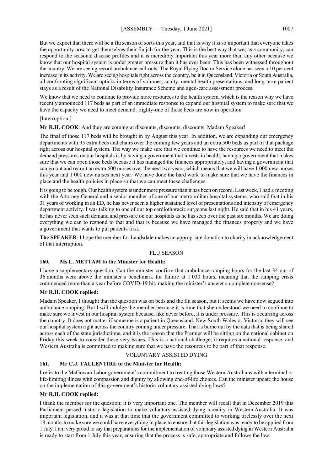But we expect that there will be a flu season of sorts this year, and that is why it is so important that everyone takes the opportunity now to get themselves their flu jab for the year. This is the best way that we, as a community, can respond to the seasonal disease profiles and it is incredibly important this year more than any other because we know that our hospital system is under greater pressure than it has ever been. This has been witnessed throughout the country. We are seeing record ambulance call-outs. The Royal Flying Doctor Service alone has seen a 10 per cent increase in its activity. We are seeing hospitals right across the country, be it in Queensland, Victoria or South Australia, all confronting significant upticks in terms of volumes, acuity, mental health presentations, and long-term patient stays as a result of the National Disability Insurance Scheme and aged-care assessment process.

We know that we need to continue to provide more resources to the health system, which is the reason why we have recently announced 117 beds as part of an immediate response to expand our hospital system to make sure that we have the capacity we need to meet demand. Eighty-one of those beds are now in operation —

#### [Interruption.]

**Mr R.H. COOK**: And they are coming at discounts, discounts, discounts, Madam Speaker!

The final of those 117 beds will be brought in by August this year. In addition, we are expanding our emergency departments with 95 extra beds and chairs over the coming few years and an extra 500 beds as part of that package right across our hospital system. The way we make sure that we continue to have the resources we need to meet the demand pressures on our hospitals is by having a government that invests in health; having a government that makes sure that we can open those beds because it has managed the finances appropriately; and having a government that can go out and recruit an extra 600 nurses over the next two years, which means that we will have 1 000 new nurses this year and 1 000 new nurses next year. We have done the hard work to make sure that we have the finances in place and the health policies in place so that we can meet these challenges.

It is going to be tough. Our health system is under more pressure than it has been on record. Last week,I had a meeting with the Attorney General and a senior member of one of our metropolitan hospital systems, who said that in his 31 years of working in an ED, he has never seen a higher sustained level of presentations and intensity of emergency department activity. I was talking to one of our top cardiothoracic surgeons last night. He said that in his 41 years, he has never seen such demand and pressure on our hospitals as he has seen over the past six months. We are doing everything we can to respond to that and that is because we have managed the finances properly and we have a government that wants to put patients first.

**The SPEAKER**: I hope the member for Landsdale makes an appropriate donation to charity in acknowledgement of that interruption.

#### FLU SEASON

#### **160. Ms L. METTAM to the Minister for Health:**

I have a supplementary question. Can the minister confirm that ambulance ramping hours for the last 34 out of 36 months were above the minister's benchmark for failure at 1 030 hours, meaning that the ramping crisis commenced more than a year before COVID-19 hit, making the minister's answer a complete nonsense?

# **Mr R.H. COOK replied:**

Madam Speaker, I thought that the question was on beds and the flu season, but it seems we have now segued into ambulance ramping. But I will indulge the member because it is time that she understood we need to continue to make sure we invest in our hospital system because, like never before, it is under pressure. This is occurring across the country. It does not matter if someone is a patient in Queensland, New South Wales or Victoria, they will see our hospital system right across the country coming under pressure. That is borne out by the data that is being shared across each of the state jurisdictions, and it is the reason that the Premier will be sitting on the national cabinet on Friday this week to consider these very issues. This is a national challenge; it requires a national response, and Western Australia is committed to making sure that we have the resources to be part of that response.

#### VOLUNTARY ASSISTED DYING

#### **161. Mr C.J. TALLENTIRE to the Minister for Health:**

I refer to the McGowan Labor government's commitment to treating those Western Australians with a terminal or life-limiting illness with compassion and dignity by allowing end-of-life choices. Can the minister update the house on the implementation of this government's historic voluntary assisted dying laws?

# **Mr R.H. COOK replied:**

I thank the member for the question; it is very important one. The member will recall that in December 2019 this Parliament passed historic legislation to make voluntary assisted dying a reality in Western Australia. It was important legislation, and it was at that time that the government committed to working tirelessly over the next 18 months to make sure we could have everything in place to ensure that this legislation was ready to be applied from 1 July. I am very proud to say that preparations for the implementation of voluntary assisted dying in Western Australia is ready to start from 1 July this year, ensuring that the process is safe, appropriate and follows the law.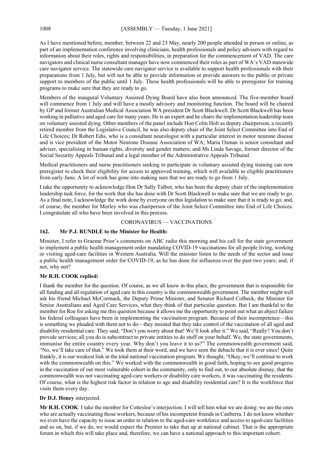As I have mentioned before, member, between 22 and 23 May, nearly 200 people attended in person or online, as part of an implementation conference involving clinicians, health professionals and policy advisers with regard to information about their roles, rights and responsibilities, in preparation for the commencement of VAD. The care navigators and clinical nurse consultant manager have now commenced their roles as part of WA's VAD statewide care navigator service. The statewide care navigator service is available to support health professionals with their preparations from 1 July, but will not be able to provide information or provide answers to the public or private support to members of the public until 1 July. These health professionals will be able to preregister for training programs to make sure that they are ready to go.

Members of the inaugural Voluntary Assisted Dying Board have also been announced. The five-member board will commence from 1 July and will have a mostly advisory and monitoring function. The board will be chaired by GP and former Australian Medical Association WA president Dr Scott Blackwell. Dr Scott Blackwell has been working in palliative and aged care for many years. He is an expert and he chairs the implementation leadership team on voluntary assisted dying. Other members of the panel include Hon Colin Holt as deputy chairperson, a recently retired member from the Legislative Council, he was also deputy chair of the Joint Select Committee into End of Life Choices; Dr Robert Edis, who is a consultant neurologist with a particular interest in motor neurone disease and is vice president of the Motor Neurone Disease Association of WA; Maria Osman is senior consultant and adviser, specialising in human rights, diversity and gender matters; and Ms Linda Savage, former director of the Social Security Appeals Tribunal and a legal member of the Administrative Appeals Tribunal.

Medical practitioners and nurse practitioners seeking to participate in voluntary assisted dying training can now preregister to check their eligibility for access to approved training, which will available to eligible practitioners from early June. A lot of work has gone into making sure that we are ready to go from 1 July.

I take the opportunity to acknowledge Hon Dr Sally Talbot, who has been the deputy chair of the implementation leadership task force, for the work that she has done with Dr Scott Blackwell to make sure that we are ready to go. As a final note, I acknowledge the work done by everyone on this legislation to make sure that it is ready to go; and, of course, the member for Morley who was chairperson of the Joint Select Committee into End of Life Choices. I congratulate all who have been involved in this process.

#### CORONAVIRUS — VACCINATIONS

# **162. Mr P.J. RUNDLE to the Minister for Health:**

Minister, I refer to Graeme Prior's comments on ABC radio this morning and his call for the state government to implement a public health management order mandating COVID-19 vaccinations for all people living, working or visiting aged-care facilities in Western Australia. Will the minister listen to the needs of the sector and issue a public health management order for COVID-19, as he has done for influenza over the past two years; and, if not, why not?

# **Mr R.H. COOK replied:**

I thank the member for the question. Of course, as we all know in this place, the government that is responsible for all funding and all regulation of aged care in this country is the commonwealth government. The member might well ask his friend Michael McCormack, the Deputy Prime Minister, and Senator Richard Colbeck, the Minister for Senior Australians and Aged Care Services, what they think of that particular question. But I am thankful to the member for Roe for asking me this question because it allows me the opportunity to point out what an abject failure his federal colleagues have been in implementing the vaccination program. Because of their incompetence—this is something we pleaded with them not to do—they insisted that they take control of the vaccination of all aged and disability residential care. They said, "Don't you worry about that! We'll look after it." We said, "Really? You don't provide services; all you do is subcontract to private entities to do stuff on your behalf. We, the state governments, immunise the entire country every year. Why don't you leave it to us?" The commonwealth government said, "No, we'll take care of that." We took them at their word, and we have seen the debacle that it is ever since! Quite frankly, it is our weakest link in the total national vaccination program. We thought, "Okay, we'll continue to work with the commonwealth on this." We worked with the commonwealth in good faith, hoping to see good progress in the vaccination of our most vulnerable cohort in the community, only to find out, to our absolute dismay, that the commonwealth was not vaccinating aged-care workers or disability care workers, it was vaccinating the residents. Of course, what is the highest risk factor in relation to age and disability residential care? It is the workforce that visits them every day.

# **Dr D.J. Honey** interjected.

**Mr R.H. COOK**: I take the member for Cottesloe's interjection. I will tell him what we are doing: we are the ones who are actually vaccinating those workers, because of his incompetent friends in Canberra. I do not know whether we even have the capacity to issue an order in relation to the aged-care workforce and access to aged-care facilities and so on, but, if we do, we would expect the Premier to take that up at national cabinet. That is the appropriate forum in which this will take place and, therefore, we can have a national approach to this important cohort.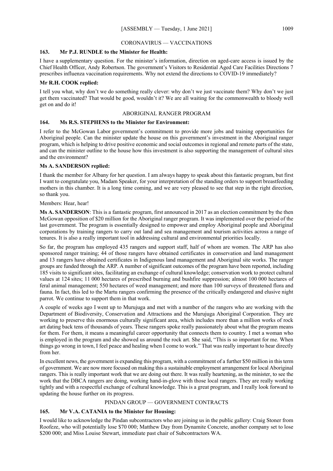#### CORONAVIRUS — VACCINATIONS

# **163. Mr P.J. RUNDLE to the Minister for Health:**

I have a supplementary question. For the minister's information, direction on aged-care access is issued by the Chief Health Officer, Andy Robertson. The government's Visitors to Residential Aged Care Facilities Directions 7 prescribes influenza vaccination requirements. Why not extend the directions to COVID-19 immediately?

# **Mr R.H. COOK replied:**

I tell you what, why don't we do something really clever: why don't we just vaccinate them? Why don't we just get them vaccinated? That would be good, wouldn't it? We are all waiting for the commonwealth to bloody well get on and do it!

# ABORIGINAL RANGER PROGRAM

# **164. Ms R.S. STEPHENS to the Minister for Environment:**

I refer to the McGowan Labor government's commitment to provide more jobs and training opportunities for Aboriginal people. Can the minister update the house on this government's investment in the Aboriginal ranger program, which is helping to drive positive economic and social outcomes in regional and remote parts of the state, and can the minister outline to the house how this investment is also supporting the management of cultural sites and the environment?

# **Ms A. SANDERSON replied:**

I thank the member for Albany for her question. I am always happy to speak about this fantastic program, but first I want to congratulate you, Madam Speaker, for your interpretation of the standing orders to support breastfeeding mothers in this chamber. It is a long time coming, and we are very pleased to see that step in the right direction, so thank you.

# Members: Hear, hear!

**Ms A. SANDERSON**: This is a fantastic program, first announced in 2017 as an election commitment by the then McGowan opposition of \$20 million for the Aboriginal ranger program. It was implemented over the period of the last government. The program is essentially designed to empower and employ Aboriginal people and Aboriginal corporations by training rangers to carry out land and sea management and tourism activities across a range of tenures. It is also a really important tool in addressing cultural and environmental priorities locally.

So far, the program has employed 435 rangers and support staff, half of whom are women. The ARP has also sponsored ranger training; 44 of those rangers have obtained certificates in conservation and land management and 13 rangers have obtained certificates in Indigenous land management and Aboriginal site works. The ranger groups are funded through the ARP. A number of significant outcomes of the program have been reported, including 185 visits to significant sites, facilitating an exchange of cultural knowledge; conservation work to protect cultural values at 124 sites; 11 000 hectares of prescribed burning and bushfire suppression; almost 100 000 hectares of feral animal management; 550 hectares of weed management; and more than 100 surveys of threatened flora and fauna. In fact, this led to the Martu rangers confirming the presence of the critically endangered and elusive night parrot. We continue to support them in that work.

A couple of weeks ago I went up to Murujuga and met with a number of the rangers who are working with the Department of Biodiversity, Conservation and Attractions and the Murujuga Aboriginal Corporation. They are working to preserve this enormous culturally significant area, which includes more than a million works of rock art dating back tens of thousands of years. These rangers spoke really passionately about what the program means for them. For them, it means a meaningful career opportunity that connects them to country. I met a woman who is employed in the program and she showed us around the rock art. She said, "This is so important for me. When things go wrong in town, I feel peace and healing when I come to work." That was really important to hear directly from her.

In excellent news, the government is expanding this program, with a commitment of a further \$50 million in this term of government. We are now more focused on making this a sustainable employment arrangement for local Aboriginal rangers. This is really important work that we are doing out there. It was really heartening, as the minister, to see the work that the DBCA rangers are doing, working hand-in-glove with those local rangers. They are really working tightly and with a respectful exchange of cultural knowledge. This is a great program, and I really look forward to updating the house further on its progress.

# PINDAN GROUP — GOVERNMENT CONTRACTS

# **165. Mr V.A. CATANIA to the Minister for Housing:**

I would like to acknowledge the Pindan subcontractors who are joining us in the public gallery: Craig Stoner from Roofeze, who will potentially lose \$70 000; Matthew Day from Dynamite Concrete, another company set to lose \$200 000; and Miss Louise Stewart, immediate past chair of Subcontractors WA.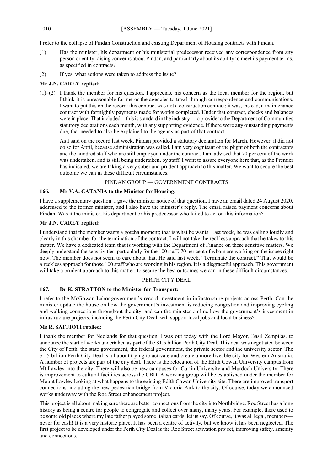I refer to the collapse of Pindan Construction and existing Department of Housing contracts with Pindan.

- (1) Has the minister, his department or his ministerial predecessor received any correspondence from any person or entity raising concerns about Pindan, and particularly about its ability to meet its payment terms, as specified in contracts?
- (2) If yes, what actions were taken to address the issue?

# **Mr J.N. CAREY replied:**

(1)–(2) I thank the member for his question. I appreciate his concern as the local member for the region, but I think it is unreasonable for me or the agencies to trawl through correspondence and communications. I want to put this on the record: this contract was not a construction contract; it was, instead, a maintenance contract with fortnightly payments made for works completed. Under that contract, checks and balances were in place. That included—this is standard in the industry—to provide to the Department of Communities statutory declarations each month, with any supporting evidence. If there were any outstanding payments due, that needed to also be explained to the agency as part of that contract.

As I said on the record last week, Pindan provided a statutory declaration for March. However, it did not do so for April, because administration was called. I am very cognisant of the plight of both the contractors and the hundred staff who are still employed under the contract. I am advised that 70 per cent of the work was undertaken, and is still being undertaken, by staff. I want to assure everyone here that, as the Premier has indicated, we are taking a very sober and prudent approach to this matter. We want to secure the best outcome we can in these difficult circumstances.

#### PINDAN GROUP — GOVERNMENT CONTRACTS

#### **166. Mr V.A. CATANIA to the Minister for Housing:**

I have a supplementary question. I gave the minister notice of that question. I have an email dated 24 August 2020, addressed to the former minister, and I also have the minister's reply. The email raised payment concerns about Pindan. Was it the minister, his department or his predecessor who failed to act on this information?

# **Mr J.N. CAREY replied:**

I understand that the member wants a gotcha moment; that is what he wants. Last week, he was calling loudly and clearly in this chamber for the termination of the contract. I will not take the reckless approach that he takes to this matter. We have a dedicated team that is working with the Department of Finance on these sensitive matters. We deeply understand the sensitivities, particularly for the 100 staff, 70 per cent of whom are working on the issues right now. The member does not seem to care about that. He said last week, "Terminate the contract." That would be a reckless approach for those 100 staff who are working in his region. It is a disgraceful approach. This government will take a prudent approach to this matter, to secure the best outcomes we can in these difficult circumstances.

# PERTH CITY DEAL

# **167. Dr K. STRATTON to the Minister for Transport:**

I refer to the McGowan Labor government's record investment in infrastructure projects across Perth. Can the minister update the house on how the government's investment is reducing congestion and improving cycling and walking connections throughout the city, and can the minister outline how the government's investment in infrastructure projects, including the Perth City Deal, will support local jobs and local business?

# **Ms R. SAFFIOTI replied:**

I thank the member for Nedlands for that question. I was out today with the Lord Mayor, Basil Zempilas, to announce the start of works undertaken as part of the \$1.5 billion Perth City Deal. This deal was negotiated between the City of Perth, the state government, the federal government, the private sector and the university sector. The \$1.5 billion Perth City Deal is all about trying to activate and create a more liveable city for Western Australia. A number of projects are part of the city deal. There is the relocation of the Edith Cowan University campus from Mt Lawley into the city. There will also be new campuses for Curtin University and Murdoch University. There is improvement to cultural facilities across the CBD. A working group will be established under the member for Mount Lawley looking at what happens to the existing Edith Cowan University site. There are improved transport connections, including the new pedestrian bridge from Victoria Park to the city. Of course, today we announced works underway with the Roe Street enhancement project.

This project is all about making sure there are better connections from the city into Northbridge. Roe Street has a long history as being a centre for people to congregate and collect over many, many years. For example, there used to be some old places where my late father played some Italian cards, let us say. Of course, it was all legal, members never for cash! It is a very historic place. It has been a centre of activity, but we know it has been neglected. The first project to be developed under the Perth City Deal is the Roe Street activation project, improving safety, amenity and connections.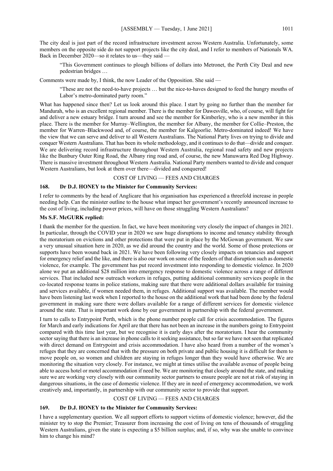The city deal is just part of the record infrastructure investment across Western Australia. Unfortunately, some members on the opposite side do not support projects like the city deal, and I refer to members of Nationals WA. Back in December 2020—so it relates to us—they said —

"This Government continues to plough billions of dollars into Metronet, the Perth City Deal and new pedestrian bridges …

Comments were made by, I think, the now Leader of the Opposition. She said —

"These are not the need-to-have projects … but the nice-to-haves designed to feed the hungry mouths of Labor's metro-dominated party room."

What has happened since then? Let us look around this place. I start by going no further than the member for Mandurah, who is an excellent regional member. There is the member for Dawesville, who, of course, will fight for and deliver a new estuary bridge. I turn around and see the member for Kimberley, who is a new member in this place. There is the member for Murray–Wellington, the member for Albany, the member for Collie–Preston, the member for Warren–Blackwood and, of course, the member for Kalgoorlie. Metro-dominated indeed! We have the view that we can serve and deliver to all Western Australians. The National Party lives on trying to divide and conquer Western Australians. That has been its whole methodology, and it continues to do that—divide and conquer. We are delivering record infrastructure throughout Western Australia, regional road safety and new projects like the Bunbury Outer Ring Road, the Albany ring road and, of course, the new Manuwarra Red Dog Highway. There is massive investment throughout Western Australia. National Party members wanted to divide and conquer Western Australians, but look at them over there—divided and conquered!

#### COST OF LIVING — FEES AND CHARGES

# **168. Dr D.J. HONEY to the Minister for Community Services:**

I refer to comments by the head of Anglicare that his organisation has experienced a threefold increase in people needing help. Can the minister outline to the house what impact her government's recently announced increase to the cost of living, including power prices, will have on those struggling Western Australians?

# **Ms S.F. McGURK replied:**

I thank the member for the question. In fact, we have been monitoring very closely the impact of changes in 2021. In particular, through the COVID year in 2020 we saw huge disruptions to income and tenancy stability through the moratorium on evictions and other protections that were put in place by the McGowan government. We saw a very unusual situation here in 2020, as we did around the country and the world. Some of those protections or supports have been wound back in 2021. We have been following very closely impacts on tenancies and support for emergency relief and the like, and there is also our work on some of the feeders of that disruption such as domestic violence, for example. The government has put record investment into responding to domestic violence. In 2020 alone we put an additional \$28 million into emergency response to domestic violence across a range of different services. That included new outreach workers in refuges, putting additional community services people in the co-located response teams in police stations, making sure that there were additional dollars available for training and services available, if women needed them, in refuges. Additional support was available. The member would have been listening last week when I reported to the house on the additional work that had been done by the federal government in making sure there were dollars available for a range of different services for domestic violence around the state. That is important work done by our government in partnership with the federal government.

I turn to calls to Entrypoint Perth, which is the phone number people call for crisis accommodation. The figures for March and early indications for April are that there has not been an increase in the numbers going to Entrypoint compared with this time last year, but we recognise it is early days after the moratorium. I hear the community sector saying that there is an increase in phone calls to it seeking assistance, but so far we have not seen that replicated with direct demand on Entrypoint and crisis accommodation. I have also heard from a number of the women's refuges that they are concerned that with the pressure on both private and public housing it is difficult for them to move people on, so women and children are staying in refuges longer than they would have otherwise. We are monitoring the situation very closely. For instance, we might at times utilise the available avenue of people being able to access hotel or motel accommodation if need be. We are monitoring that closely around the state, and making sure we are working very closely with our community sector partners to ensure people are not at risk of staying in dangerous situations, in the case of domestic violence. If they are in need of emergency accommodation, we work creatively and, importantly, in partnership with our community sector to provide that support.

#### COST OF LIVING — FEES AND CHARGES

#### **169. Dr D.J. HONEY to the Minister for Community Services:**

I have a supplementary question. We all support efforts to support victims of domestic violence; however, did the minister try to stop the Premier; Treasurer from increasing the cost of living on tens of thousands of struggling Western Australians, given the state is expecting a \$5 billion surplus; and, if so, why was she unable to convince him to change his mind?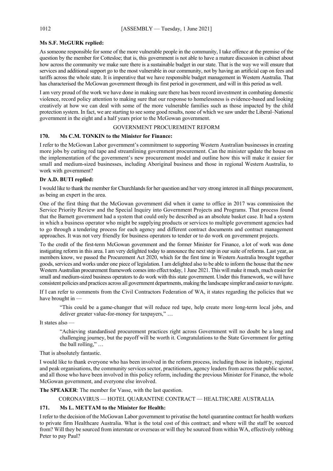# **Ms S.F. McGURK replied:**

As someone responsible for some of the more vulnerable people in the community, I take offence at the premise of the question by the member for Cottesloe; that is, this government is not able to have a mature discussion in cabinet about how across the community we make sure there is a sustainable budget in our state. That is the way we will ensure that services and additional support go to the most vulnerable in our community, not by having an artificial cap on fees and tariffs across the whole state. It is imperative that we have responsible budget management in Western Australia. That has characterised the McGowan government through its first period in government, and will in this period as well.

I am very proud of the work we have done in making sure there has been record investment in combating domestic violence, record policy attention to making sure that our response to homelessness is evidence-based and looking creatively at how we can deal with some of the more vulnerable families such as those impacted by the child protection system. In fact, we are starting to see some good results, none of which we saw under the Liberal–National government in the eight and a half years prior to the McGowan government.

### GOVERNMENT PROCUREMENT REFORM

#### **170. Ms C.M. TONKIN to the Minister for Finance:**

I refer to the McGowan Labor government's commitment to supporting Western Australian businesses in creating more jobs by cutting red tape and streamlining government procurement. Can the minister update the house on the implementation of the government's new procurement model and outline how this will make it easier for small and medium-sized businesses, including Aboriginal business and those in regional Western Australia, to work with government?

#### **Dr A.D. BUTI replied:**

I would like to thank the member for Churchlands for her question and her very strong interest in all things procurement, as being an expert in the area.

One of the first thing that the McGowan government did when it came to office in 2017 was commission the Service Priority Review and the Special Inquiry into Government Projects and Programs. That process found that the Barnett government had a system that could only be described as an absolute basket case. It had a system in which a business operator who might be supplying products or services to multiple government agencies had to go through a tendering process for each agency and different contract documents and contract management approaches. It was not very friendly for business operators to tender or to do work on government projects.

To the credit of the first-term McGowan government and the former Minister for Finance, a lot of work was done instigating reform in this area. I am very delighted today to announce the next step in our suite of reforms. Last year, as members know, we passed the Procurement Act 2020, which for the first time in Western Australia brought together goods, services and works under one piece of legislation. I am delighted also to be able to inform the house that the new Western Australian procurement framework comes into effect today, 1 June 2021. This will make it much, much easier for small and medium-sized business operators to do work with this state government. Under this framework, we will have consistent policies and practices across all government departments, making the landscape simpler and easier to navigate.

If I can refer to comments from the Civil Contractors Federation of WA, it states regarding the policies that we have brought in —

"This could be a game-changer that will reduce red tape, help create more long-term local jobs, and deliver greater value-for-money for taxpayers," …

It states also —

"Achieving standardised procurement practices right across Government will no doubt be a long and challenging journey, but the payoff will be worth it. Congratulations to the State Government for getting the ball rolling," …

#### That is absolutely fantastic.

I would like to thank everyone who has been involved in the reform process, including those in industry, regional and peak organisations, the community services sector, practitioners, agency leaders from across the public sector, and all those who have been involved in this policy reform, including the previous Minister for Finance, the whole McGowan government, and everyone else involved.

**The SPEAKER**: The member for Vasse, with the last question.

CORONAVIRUS — HOTEL QUARANTINE CONTRACT — HEALTHCARE AUSTRALIA

# **171. Ms L. METTAM to the Minister for Health:**

I refer to the decision of the McGowan Labor government to privatise the hotel quarantine contract for health workers to private firm Healthcare Australia. What is the total cost of this contract; and where will the staff be sourced from? Will they be sourced from interstate or overseas or will they be sourced from within WA, effectively robbing Peter to pay Paul?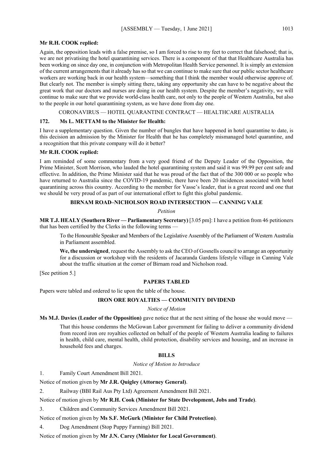# **Mr R.H. COOK replied:**

Again, the opposition leads with a false premise, so I am forced to rise to my feet to correct that falsehood; that is, we are not privatising the hotel quarantining services. There is a component of that that Healthcare Australia has been working on since day one, in conjunction with Metropolitan Health Service personnel. It is simply an extension of the current arrangements that it already has so that we can continue to make sure that our public sector healthcare workers are working back in our health system—something that I think the member would otherwise approve of. But clearly not. The member is simply sitting there, taking any opportunity she can have to be negative about the great work that our doctors and nurses are doing in our health system. Despite the member's negativity, we will continue to make sure that we provide world-class health care, not only to the people of Western Australia, but also to the people in our hotel quarantining system, as we have done from day one.

CORONAVIRUS — HOTEL QUARANTINE CONTRACT — HEALTHCARE AUSTRALIA

## **172. Ms L. METTAM to the Minister for Health:**

I have a supplementary question. Given the number of bungles that have happened in hotel quarantine to date, is this decision an admission by the Minister for Health that he has completely mismanaged hotel quarantine, and a recognition that this private company will do it better?

#### **Mr R.H. COOK replied:**

I am reminded of some commentary from a very good friend of the Deputy Leader of the Opposition, the Prime Minister, Scott Morrison, who lauded the hotel quarantining system and said it was 99.99 per cent safe and effective. In addition, the Prime Minister said that he was proud of the fact that of the 300 000 or so people who have returned to Australia since the COVID-19 pandemic, there have been 20 incidences associated with hotel quarantining across this country. According to the member for Vasse's leader, that is a great record and one that we should be very proud of as part of our international effort to fight this global pandemic.

# **BIRNAM ROAD–NICHOLSON ROAD INTERSECTION — CANNING VALE**

#### *Petition*

**MR T.J. HEALY (Southern River — Parliamentary Secretary)** [3.05 pm]: I have a petition from 46 petitioners that has been certified by the Clerks in the following terms —

To the Honourable Speaker and Members of the Legislative Assembly of the Parliament of Western Australia in Parliament assembled.

**We, the undersigned**, request the Assembly to ask the CEO of Gosnells council to arrange an opportunity for a discussion or workshop with the residents of Jacaranda Gardens lifestyle village in Canning Vale about the traffic situation at the corner of Birnam road and Nicholson road.

[See petition 5.]

# **PAPERS TABLED**

Papers were tabled and ordered to lie upon the table of the house.

# **IRON ORE ROYALTIES — COMMUNITY DIVIDEND**

*Notice of Motion*

**Ms M.J. Davies (Leader of the Opposition)** gave notice that at the next sitting of the house she would move —

That this house condemns the McGowan Labor government for failing to deliver a community dividend from record iron ore royalties collected on behalf of the people of Western Australia leading to failures in health, child care, mental health, child protection, disability services and housing, and an increase in household fees and charges.

#### **BILLS**

*Notice of Motion to Introduce*

1. Family Court Amendment Bill 2021.

Notice of motion given by **Mr J.R. Quigley (Attorney General)**.

2. Railway (BBI Rail Aus Pty Ltd) Agreement Amendment Bill 2021.

Notice of motion given by **Mr R.H. Cook (Minister for State Development, Jobs and Trade)**.

3. Children and Community Services Amendment Bill 2021.

Notice of motion given by **Ms S.F. McGurk (Minister for Child Protection)**.

4. Dog Amendment (Stop Puppy Farming) Bill 2021.

Notice of motion given by **Mr J.N. Carey (Minister for Local Government)**.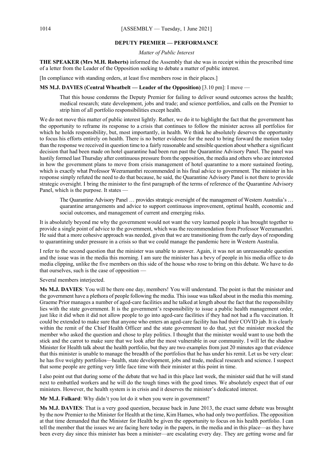#### **DEPUTY PREMIER — PERFORMANCE**

# *Matter of Public Interest*

**THE SPEAKER (Mrs M.H. Roberts)** informed the Assembly that she was in receipt within the prescribed time of a letter from the Leader of the Opposition seeking to debate a matter of public interest.

[In compliance with standing orders, at least five members rose in their places.]

#### **MS M.J. DAVIES (Central Wheatbelt — Leader of the Opposition)** [3.10 pm]: I move —

That this house condemns the Deputy Premier for failing to deliver sound outcomes across the health; medical research; state development, jobs and trade; and science portfolios, and calls on the Premier to strip him of all portfolio responsibilities except health.

We do not move this matter of public interest lightly. Rather, we do it to highlight the fact that the government has the opportunity to reframe its response to a crisis that continues to follow the minister across all portfolios for which he holds responsibility, but, most importantly, in health. We think he absolutely deserves the opportunity to focus his efforts entirely on health. There is no better evidence for the need to bring forward the motion today than the response we received in question time to a fairly reasonable and sensible question about whether a significant decision that had been made on hotel quarantine had been run past the Quarantine Advisory Panel. The panel was hastily formed last Thursday after continuous pressure from the opposition, the media and others who are interested in how the government plans to move from crisis management of hotel quarantine to a more sustained footing, which is exactly what Professor Weeramanthri recommended in his final advice to government. The minister in his response simply refuted the need to do that because, he said, the Quarantine Advisory Panel is not there to provide strategic oversight. I bring the minister to the first paragraph of the terms of reference of the Quarantine Advisory Panel, which is the purpose. It states -

The Quarantine Advisory Panel … provides strategic oversight of the management of Western Australia's … quarantine arrangements and advice to support continuous improvement, optimal health, economic and social outcomes, and management of current and emerging risks.

It is absolutely beyond me why the government would not want the very learned people it has brought together to provide a single point of advice to the government, which was the recommendation from Professor Weeramanthri. He said that a more cohesive approach was needed, given that we are transitioning from the early days of responding to quarantining under pressure in a crisis so that we could manage the pandemic here in Western Australia.

I refer to the second question that the minister was unable to answer. Again, it was not an unreasonable question and the issue was in the media this morning. I am sure the minister has a bevy of people in his media office to do media clipping, unlike the five members on this side of the house who rose to bring on this debate. We have to do that ourselves, such is the case of opposition —

Several members interjected.

**Ms M.J. DAVIES**: You will be there one day, members! You will understand. The point is that the minister and the government have a plethora of people following the media. This issue was talked about in the media this morning. Graeme Prior manages a number of aged-care facilities and he talked at length about the fact that the responsibility lies with the state government. It is the government's responsibility to issue a public health management order, just like it did when it did not allow people to go into aged-care facilities if they had not had a flu vaccination. It could be extended to make sure that anyone who enters an aged-care facility has had their COVID jab. It is clearly within the remit of the Chief Health Officer and the state government to do that, yet the minister mocked the member who asked the question and chose to play politics. I thought that the minister would want to use both the stick and the carrot to make sure that we look after the most vulnerable in our community. I will let the shadow Minister for Health talk about the health portfolio, but they are two examples from just 20 minutes ago that evidence that this minister is unable to manage the breadth of the portfolios that he has under his remit. Let us be very clear: he has five weighty portfolios—health, state development, jobs and trade, medical research and science. I suspect that some people are getting very little face time with their minister at this point in time.

I also point out that during some of the debate that we had in this place last week, the minister said that he will stand next to embattled workers and he will do the tough times with the good times. We absolutely expect that of our ministers. However, the health system is in crisis and it deserves the minister's dedicated interest.

**Mr M.J. Folkard**: Why didn't you lot do it when you were in government?

**Ms M.J. DAVIES**: That is a very good question, because back in June 2013, the exact same debate was brought by the now Premier to the Minister for Health at the time, Kim Hames, who had only two portfolios. The opposition at that time demanded that the Minister for Health be given the opportunity to focus on his health portfolio. I can tell the member that the issues we are facing here today in the papers, in the media and in this place—as they have been every day since this minister has been a minister—are escalating every day. They are getting worse and far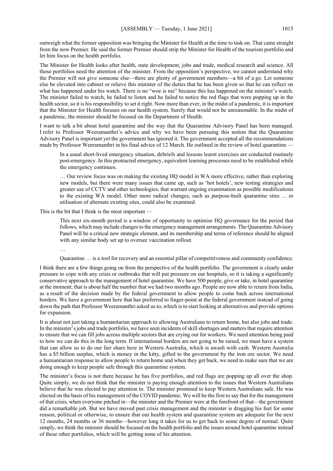outweigh what the former opposition was bringing the Minister for Health at the time to task on. That came straight from the now Premier. He said the former Premier should strip the Minister for Health of the tourism portfolio and let him focus on the health portfolio.

The Minister for Health looks after health, state development, jobs and trade, medical research and science. All those portfolios need the attention of the minister. From the opposition's perspective, we cannot understand why the Premier will not give someone else—there are plenty of government members—a bit of a go. Let someone else be elevated into cabinet or relieve this minister of the duties that he has been given so that he can reflect on what has happened under his watch. There is no "woe is me" because this has happened on the minister's watch. The minister failed to watch, he failed to listen and he failed to notice the red flags that were popping up in the health sector, so it is his responsibility to set it right. Now more than ever, in the midst of a pandemic, it is important that the Minister for Health focuses on our health system. Surely that would not be unreasonable. In the midst of a pandemic, the minister should be focused on the Department of Health.

I want to talk a bit about hotel quarantine and the way that the Quarantine Advisory Panel has been managed. I refer to Professor Weeramanthri's advice and why we have been pursuing this notion that the Quarantine Advisory Panel is important yet the government has ignored it. The government accepted all the recommendations made by Professor Weeramanthri in his final advice of 12 March. He outlined in the review of hotel quarantine

In a usual short-lived emergency situation, debriefs and lessons learnt exercises are conducted routinely post-emergency. In this protracted emergency, equivalent learning processes need to be established while the emergency continues.

… Our review focus was on making the existing HQ model in WA more effective, rather than exploring new models, but there were many issues that came up, such as 'hot hotels', new testing strategies and greater use of CCTV and other technologies, that warrant ongoing examination as possible modifications to the existing WA model. Other more radical changes, such as purpose-built quarantine sites … or utilisation of alternate existing sites, could also be examined.

This is the bit that I think is the most important —

This next six-month period is a window of opportunity to optimise HQ governance for the period that follows, which may include changes to the emergency management arrangements. The Quarantine Advisory Panel will be a critical new strategic element, and its membership and terms of reference should be aligned with any similar body set up to oversee vaccination rollout.

…

Quarantine … is a tool for recovery and an essential pillar of competitiveness and community confidence.

I think there are a few things going on from the perspective of the health portfolio. The government is clearly under pressure to cope with any crisis or outbreaks that will put pressure on our hospitals, so it is taking a significantly conservative approach to the management of hotel quarantine. We have 500 people, give or take, in hotel quarantine at the moment; that is about half the number that we had two months ago. People are now able to return from India, as a result of the decision made by the federal government to allow people to come back across international borders. We have a government here that has preferred to finger-point at the federal government instead of going down the path that Professor Weeramanthri asked us to, which is to start looking at alternatives and provide options for expansion.

It is about not just taking a humanitarian approach to allowing Australians to return home, but also jobs and trade. In the minister's jobs and trade portfolio, we have seen incidents of skill shortages and matters that require attention to ensure that we can fill jobs across multiple sectors that are crying out for workers. We need attention being paid to how we can do this in the long term. If international borders are not going to be raised, we must have a system that can allow us to do our fair share here in Western Australia, which is awash with cash. Western Australia has a \$5 billion surplus, which is money in the kitty, gifted to the government by the iron ore sector. We need a humanitarian response to allow people to return home and when they get back, we need to make sure that we are doing enough to keep people safe through this quarantine system.

The minister's focus is not there because he has five portfolios, and red flags are popping up all over the shop. Quite simply, we do not think that the minister is paying enough attention to the issues that Western Australians believe that he was elected to pay attention to. The minister promised to keep Western Australians safe. He was elected on the basis of his management of the COVID pandemic. We will be the first to say that for the management of that crisis, when everyone pitched in—the minister and the Premier were at the forefront of that—the government did a remarkable job. But we have moved past crisis management and the minister is dragging his feet for some reason, political or otherwise, to ensure that our health system and quarantine system are adequate for the next 12 months, 24 months or 36 months—however long it takes for us to get back to some degree of normal. Quite simply, we think the minister should be focused on the health portfolio and the issues around hotel quarantine instead of these other portfolios, which will be getting none of his attention.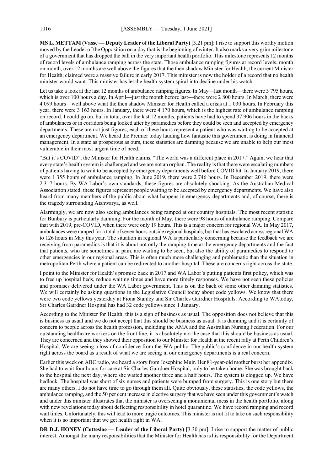**MS L. METTAM (Vasse — Deputy Leader of the Liberal Party)** [3.21 pm]: I rise to support this worthy motion moved by the Leader of the Opposition on a day that is the beginning of winter. It also marks a very grim milestone of a government that has dropped the ball in the very important health portfolio. This milestone represents 12 months of record levels of ambulance ramping across the state. Those ambulance ramping figures at record levels, month on month, over 12 months are well above the figures that the then shadow Minister for Health, the current Minister for Health, claimed were a massive failure in early 2017. This minister is now the holder of a record that no health minister would want. This minister has let the health system spiral into decline under his watch.

Let us take a look at the last 12 months of ambulance ramping figures. In May—last month—there were 3 795 hours, which is over 100 hours a day. In April—just the month before last—there were 2 800 hours. In March, there were 4 099 hours—well above what the then shadow Minister for Health called a crisis at 1 030 hours. In February this year, there were 3 163 hours. In January, there were 4 170 hours, which is the highest rate of ambulance ramping on record. I could go on, but in total, over the last 12 months, patients have had to spend 37 906 hours in the backs of ambulances or in corridors being looked after by paramedics before they could be seen and accepted by emergency departments. These are not just figures; each of these hours represent a patient who was waiting to be accepted at an emergency department. We heard the Premier today lauding how fantastic this government is doing in financial management. In a state as prosperous as ours, these statistics are damning because we are unable to help our most vulnerable in their most urgent time of need.

"But it's COVID", the Minister for Health claims, "The world was a different place in 2017." Again, we hear that every state's health system is challenged and we are not an orphan. The reality is that there were escalating numbers of patients having to wait to be accepted by emergency departments well before COVID hit. In January 2019, there were 1 355 hours of ambulance ramping. In June 2019, there were 2 746 hours. In December 2019, there were 2 317 hours. By WA Labor's own standards, these figures are absolutely shocking. As the Australian Medical Association stated, these figures represent people waiting to be accepted by emergency departments. We have also heard from many members of the public about what happens in emergency departments and, of course, there is the tragedy surrounding Aishwarya, as well.

Alarmingly, we are now also seeing ambulances being ramped at our country hospitals. The most recent statistic for Bunbury is particularly damning. For the month of May, there were 98 hours of ambulance ramping. Compare that with 2019, pre-COVID, when there were only 19 hours. This is a major concern for regional WA. In May 2017, ambulances were ramped for a total of seven hours outside regional hospitals, but that has escalated across regional WA to 126 hours in May this year. The situation in regional WA is particularly concerning because the feedback we are receiving from paramedics is that it is about not only the ramping time at the emergency departments and the fact that patients, who are sometimes in pain, are waiting to be seen, but also the ability of paramedics to respond to other emergencies in our regional areas. This is often much more challenging and problematic than the situation in metropolitan Perth where a patient can be redirected to another hospital. These are concerns right across the state.

I point to the Minister for Health's promise back in 2017 and WA Labor's putting patients first policy, which was to free up hospital beds, reduce waiting times and have more timely responses. We have not seen these policies and promises delivered under the WA Labor government. This is on the back of some other damning statistics. We will certainly be asking questions in the Legislative Council today about code yellows. We know that there were two code yellows yesterday at Fiona Stanley and Sir Charles Gairdner Hospitals. According to WAtoday, Sir Charles Gairdner Hospital has had 32 code yellows since 1 January.

According to the Minister for Health, this is a sign of business as usual. The opposition does not believe that this is business as usual and we do not accept that this should be business as usual. It is damning and it is certainly of concern to people across the health profession, including the AMA and the Australian Nursing Federation. For our outstanding healthcare workers on the front line, it is absolutely not the case that this should be business as usual. They are concerned and they showed their opposition to our Minister for Health at the recent rally at Perth Children's Hospital. We are seeing a loss of confidence from the WA public. The public's confidence in our health system right across the board as a result of what we are seeing in our emergency departments is a real concern.

Earlier this week on ABC radio, we heard a story from Josephine Muir. Her 81-year-old mother burst her appendix. She had to wait four hours for care at Sir Charles Gairdner Hospital, only to be taken home. She was brought back to the hospital the next day, where she waited another three and a half hours. The system is clogged up. We have bedlock. The hospital was short of six nurses and patients were bumped from surgery. This is one story but there are many others. I do not have time to go through them all. Quite obviously, these statistics, the code yellows, the ambulance ramping, and the 50 per cent increase in elective surgery that we have seen under this government's watch and under this minister illustrates that the minister is overseeing a monumental mess in the health portfolio, along with new revelations today about deflecting responsibility in hotel quarantine. We have record ramping and record wait times. Unfortunately, this will lead to more tragic outcomes. This minister is not fit to take on such responsibility when it is so important that we get health right in WA.

**DR D.J. HONEY (Cottesloe — Leader of the Liberal Party)** [3.30 pm]: I rise to support the matter of public interest. Amongst the many responsibilities that the Minister for Health has is his responsibility for the Department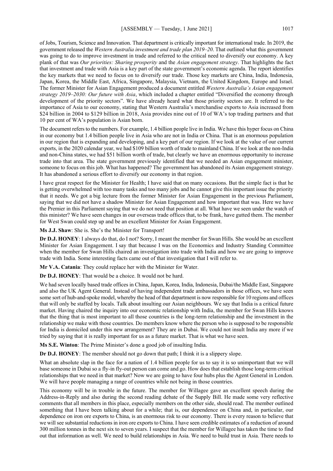of Jobs, Tourism, Science and Innovation. That department is critically important for international trade. In 2019, the government released the *Western Australia investment and trade plan 2019–20*. That outlined what this government was going to do to improve investment in trade and referred to the critical need to diversify our economy. A key plank of that was *Our priorities: Sharing prosperity* and the *Asian engagement strategy*. That highlights the fact that investment and trade with Asia is a key part of the state government's economic agenda. The report identifies the key markets that we need to focus on to diversify our trade. Those key markets are China, India, Indonesia, Japan, Korea, the Middle East, Africa, Singapore, Malaysia, Vietnam, the United Kingdom, Europe and Israel. The former Minister for Asian Engagement produced a document entitled *Western Australia's Asian engagement strategy 2019–2030: Our future with Asia*, which included a chapter entitled "Diversified the economy through development of the priority sectors". We have already heard what those priority sectors are. It referred to the importance of Asia to our economy, stating that Western Australia's merchandise exports to Asia increased from \$24 billion in 2004 to \$129 billion in 2018, Asia provides nine out of 10 of WA's top trading partners and that 10 per cent of WA's population is Asian born.

The document refers to the numbers. For example, 1.4 billion people live in India. We have this hyper focus on China in our economy but 1.4 billion people live in Asia who are not in India or China. That is an enormous population in our region that is expanding and developing, and a key part of our region. If we look at the value of our current exports, in the 2020 calendar year, we had \$109 billion worth of trade to mainland China. If we look at the non-India and non-China states, we had \$51 billion worth of trade, but clearly we have an enormous opportunity to increase trade into that area. The state government previously identified that we needed an Asian engagement minister, someone to focus on this job. What has happened? The government has abandoned its Asian engagement strategy. It has abandoned a serious effort to diversify our economy in that region.

I have great respect for the Minister for Health; I have said that on many occasions. But the simple fact is that he is getting overwhelmed with too many tasks and too many jobs and he cannot give this important issue the priority that it needs. We got a big lecture from the former Minister for Asian Engagement in the previous Parliament, saying that we did not have a shadow Minister for Asian Engagement and how important that was. Here we have the Premier in this Parliament saying that we do not need that position at all. What have we seen under the watch of this minister? We have seen changes in our overseas trade offices that, to be frank, have gutted them. The member for West Swan could step up and be an excellent Minister for Asian Engagement.

**Ms J.J. Shaw**: She is. She's the Minister for Transport!

**Dr D.J. HONEY**: I always do that, do I not? Sorry, I meant the member for Swan Hills. She would be an excellent Minister for Asian Engagement. I say that because I was on the Economics and Industry Standing Committee when the member for Swan Hills chaired an investigation into trade with India and how we are going to improve trade with India. Some interesting facts came out of that investigation that I will refer to.

**Mr V.A. Catania**: They could replace her with the Minister for Water.

**Dr D.J. HONEY**: That would be a choice. It would not be hard.

We had seven locally based trade offices in China, Japan, Korea, India, Indonesia, Dubai/the Middle East, Singapore and also the UK Agent General. Instead of having independent trade ambassadors in those offices, we have seen some sort of hub-and-spoke model, whereby the head of that department is now responsible for 10 regions and offices that will only be staffed by locals. Talk about insulting our Asian neighbours. We say that India is a critical future market. Having chaired the inquiry into our economic relationship with India, the member for Swan Hills knows that the thing that is most important to all those countries is the long-term relationship and the investment in the relationship we make with those countries. Do members know where the person who is supposed to be responsible for India is domiciled under this new arrangement? They are in Dubai. We could not insult India any more if we tried by saying that it is really important for us as a future market. That is what we have seen.

**Ms S.E. Winton**: The Prime Minister's done a good job of insulting India.

**Dr D.J. HONEY**: The member should not go down that path; I think it is a slippery slope.

What an absolute slap in the face for a nation of 1.4 billion people for us to say it is so unimportant that we will base someone in Dubai so a fly-in fly-out person can come and go. How does that establish those long-term critical relationships that we need in that market? Now we are going to have four hubs plus the Agent General in London. We will have people managing a range of countries while not being in those countries.

This economy will be in trouble in the future. The member for Willagee gave an excellent speech during the Address-in-Reply and also during the second reading debate of the Supply Bill. He made some very reflective comments that all members in this place, especially members on the other side, should read. The member outlined something that I have been talking about for a while; that is, our dependence on China and, in particular, our dependence on iron ore exports to China, is an enormous risk to our economy. There is every reason to believe that we will see substantial reductions in iron ore exports to China. I have seen credible estimates of a reduction of around 300 million tonnes in the next six to seven years. I suspect that the member for Willagee has taken the time to find out that information as well. We need to build relationships in Asia. We need to build trust in Asia. There needs to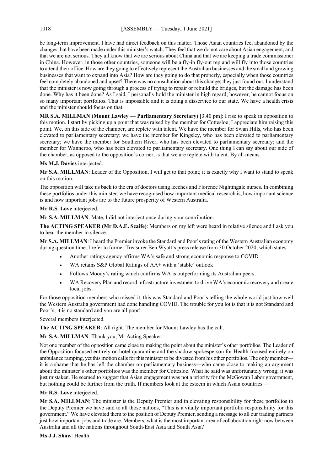be long-term improvement. I have had direct feedback on this matter. Those Asian countries feel abandoned by the changes that have been made under this minister's watch. They feel that we do not care about Asian engagement, and that we are not serious. They all know that we are serious about China and that we are keeping a trade commissioner in China. However, in those other countries, someone will be a fly-in fly-out rep and will fly into those countries to attend their office. How are they going to effectively represent the Australian businesses and the small and growing businesses that want to expand into Asia? How are they going to do that properly, especially when those countries feel completely abandoned and upset? There was no consultation about this change; they just found out. I understand that the minister is now going through a process of trying to repair or rebuild the bridges, but the damage has been done. Why has it been done? As I said, I personally hold the minister in high regard; however, he cannot focus on so many important portfolios. That is impossible and it is doing a disservice to our state. We have a health crisis and the minister should focus on that.

**MR S.A. MILLMAN (Mount Lawley — Parliamentary Secretary)** [3.40 pm]: I rise to speak in opposition to this motion. I start by picking up a point that was raised by the member for Cottesloe; I appreciate him raising this point. We, on this side of the chamber, are replete with talent. We have the member for Swan Hills, who has been elevated to parliamentary secretary; we have the member for Kingsley, who has been elevated to parliamentary secretary; we have the member for Southern River, who has been elevated to parliamentary secretary; and the member for Wanneroo, who has been elevated to parliamentary secretary. One thing I can say about our side of the chamber, as opposed to the opposition's corner, is that we are replete with talent. By all means –

#### **Ms M.J. Davies** interjected.

**Mr S.A. MILLMAN**: Leader of the Opposition, I will get to that point; it is exactly why I want to stand to speak on this motion.

The opposition will take us back to the era of doctors using leeches and Florence Nightingale nurses. In combining these portfolios under this minister, we have recognised how important medical research is, how important science is and how important jobs are to the future prosperity of Western Australia.

#### **Mr R.S. Love** interjected.

**Mr S.A. MILLMAN**: Mate, I did not interject once during your contribution.

**The ACTING SPEAKER (Mr D.A.E. Scaife)**: Members on my left were heard in relative silence and I ask you to hear the member in silence.

**Mr S.A. MILLMAN**: I heard the Premier invoke the Standard and Poor's rating of the Western Australian economy during question time. I refer to former Treasurer Ben Wyatt's press release from 30 October 2020, which states —

- Another ratings agency affirms WA's safe and strong economic response to COVID
- WA retains S&P Global Ratings of AA+ with a 'stable' outlook
- Follows Moody's rating which confirms WA is outperforming its Australian peers
- WA Recovery Plan and record infrastructure investment to drive WA's economic recovery and create local jobs.

For those opposition members who missed it, this was Standard and Poor's telling the whole world just how well the Western Australia government had done handling COVID. The trouble for you lot is that it is not Standard and Poor's; it is no standard and you are all poor!

Several members interjected.

**The ACTING SPEAKER**: All right. The member for Mount Lawley has the call.

**Mr S.A. MILLMAN**: Thank you, Mr Acting Speaker.

Not one member of the opposition came close to making the point about the minister's other portfolios. The Leader of the Opposition focused entirely on hotel quarantine and the shadow spokesperson for Health focused entirely on ambulance ramping, yet this motion calls for this minister to be divested from his other portfolios. The only member it is a shame that he has left the chamber on parliamentary business—who came close to making an argument about the minister's other portfolios was the member for Cottesloe. What he said was unfortunately wrong; it was just mistaken. He seemed to suggest that Asian engagement was not a priority for the McGowan Labor government, but nothing could be further from the truth. If members look at the esteem in which Asian countries –

#### **Mr R.S. Love** interjected.

**Mr S.A. MILLMAN**: The minister is the Deputy Premier and in elevating responsibility for these portfolios to the Deputy Premier we have said to all those nations, "This is a vitally important portfolio responsibility for this government." We have elevated them to the position of Deputy Premier, sending a message to all our trading partners just how important jobs and trade are. Members, what is the most important area of collaboration right now between Australia and all the nations throughout South-East Asia and South Asia?

**Ms J.J. Shaw**: Health.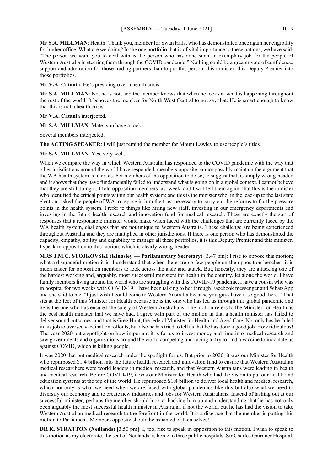**Mr S.A. MILLMAN**: Health! Thank you, member for Swan Hills, who has demonstrated once again her eligibility for higher office. What are we doing? In the one portfolio that is of vital importance to these nations, we have said, "The person we want you to deal with is the person who has done such an exemplary job for the people of Western Australia in steering them through the COVID pandemic." Nothing could be a greater vote of confidence, support and admiration for those trading partners than to put this person, this minister, this Deputy Premier into those portfolios.

**Mr V.A. Catania**: He's presiding over a health crisis.

**Mr S.A. MILLMAN:** No, he is not, and the member knows that when he looks at what is happening throughout the rest of the world. It behoves the member for North West Central to not say that. He is smart enough to know that this is not a health crisis.

**Mr V.A. Catania** interjected.

**Mr S.A. MILLMAN**: Mate, you have a look —

Several members interjected.

The **ACTING SPEAKER**: I will just remind the member for Mount Lawley to use people's titles.

#### **Mr S.A. MILLMAN**: Yes, very well.

When we compare the way in which Western Australia has responded to the COVID pandemic with the way that other jurisdictions around the world have responded, members opposite cannot possibly maintain the argument that the WA health system is in crisis. For members of the opposition to do so, to suggest that, is simply wrong-headed and it shows that they have fundamentally failed to understand what is going on in a global context. I cannot believe that they are still doing it. I told opposition members last week, and I will tell them again, that this is the minister who identified the critical points within our health system; and this is the minister who, in the lead-up to the last state election, asked the people of WA to repose in him the trust necessary to carry out the reforms to fix the pressure points in the health system. I refer to things like hiring new staff, investing in our emergency departments and investing in the future health research and innovation fund for medical research. These are exactly the sort of responses that a responsible minister would make when faced with the challenges that are currently faced by the WA health system, challenges that are not unique to Western Australia. These challenge are being experienced throughout Australia and they are multiplied in other jurisdictions. If there is one person who has demonstrated the capacity, empathy, ability and capability to manage all these portfolios, it is this Deputy Premier and this minister. I speak in opposition to this motion, which is clearly wrong-headed.

**MRS J.M.C. STOJKOVSKI (Kingsley — Parliamentary Secretary)** [3.47 pm]: I rise to oppose this motion; what a disgraceful motion it is. I understand that when there are so few people on the opposition benches, it is much easier for opposition members to look across the aisle and attack. But, honestly, they are attacking one of the hardest working and, arguably, most successful ministers for health in the country, let alone the world. I have family members living around the world who are struggling with this COVID-19 pandemic. I have a cousin who was in hospital for two weeks with COVID-19. I have been talking to her through Facebook messenger and WhatsApp and she said to me, "I just wish I could come to Western Australia because you guys have it so good there." That sits at the feet of this Minister for Health because he is the one who has led us through this global pandemic and he is the one who has ensured the safety of Western Australians. The motion refers to the Minister for Health as the best health minister that we have had. I agree with part of the motion in that a health minister has failed to deliver sound outcomes, and that is Greg Hunt, the federal Minister for Health and Aged Care. Not only has he failed in his job to oversee vaccination rollouts, but also he has tried to tell us that he has done a good job. How ridiculous! The year 2020 put a spotlight on how important it is for us to invest money and time into medical research and saw governments and organisations around the world competing and racing to try to find a vaccine to inoculate us against COVID, which is killing people.

It was 2020 that put medical research under the spotlight for us. But prior to 2020, it was our Minister for Health who repurposed \$1.4 billion into the future health research and innovation fund to ensure that Western Australian medical researchers were world leaders in medical research, and that Western Australians were leading in health and medical research. Before COVID-19, it was our Minister for Health who had the vision to put our health and education systems at the top of the world. He repurposed \$1.4 billion to deliver local health and medical research, which not only is what we need when we are faced with global pandemics like this but also what we need to diversify our economy and to create new industries and jobs for Western Australians. Instead of lashing out at our successful minister, perhaps the member should look at backing him up and understanding that he has not only been arguably the most successful health minister in Australia, if not the world, but he has had the vision to take Western Australian medical research to the forefront in the world. It is a disgrace that the member is putting this motion to Parliament. Members opposite should be ashamed of themselves!

**DR K. STRATTON (Nedlands)** [3.50 pm]: I, too, rise to speak in opposition to this motion. I wish to speak to this motion as my electorate, the seat of Nedlands, is home to three public hospitals: Sir Charles Gairdner Hospital,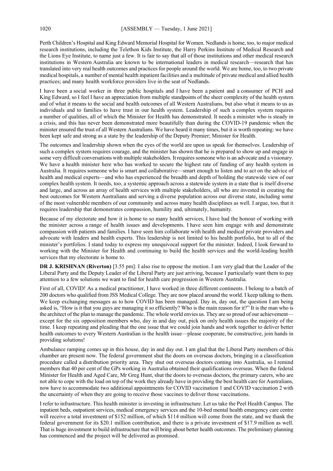Perth Children's Hospital and King Edward Memorial Hospital for Women. Nedlands is home, too, to major medical research institutions, including the Telethon Kids Institute, the Harry Perkins Institute of Medical Research and the Lions Eye Institute, to name just a few. It is fair to say that all of those institutions and other medical research institutions in Western Australia are known to be international leaders in medical research—research that has translated into very real health outcomes and practices for people around the world. We are home, too, to two private medical hospitals, a number of mental health inpatient facilities and a multitude of private medical and allied health practices; and many health workforce providers live in the seat of Nedlands.

I have been a social worker in three public hospitals and I have been a patient and a consumer of PCH and King Edward, so I feel I have an appreciation from multiple standpoints of the sheer complexity of the health system and of what it means to the social and health outcomes of all Western Australians, but also what it means to us as individuals and to families to have trust in our health system. Leadership of such a complex system requires a number of qualities, all of which the Minister for Health has demonstrated. It needs a minister who is steady in a crisis, and this has never been demonstrated more beautifully than during the COVID-19 pandemic when the minister ensured the trust of all Western Australians. We have heard it many times, but it is worth repeating: we have been kept safe and strong as a state by the leadership of the Deputy Premier; Minister for Health.

The outcomes and leadership shown when the eyes of the world are upon us speak for themselves. Leadership of such a complex system requires courage, and the minister has shown that he is prepared to show up and engage in some very difficult conversations with multiple stakeholders. It requires someone who is an advocate and a visionary. We have a health minister here who has worked to secure the highest rate of funding of any health system in Australia. It requires someone who is smart and collaborative—smart enough to listen and to act on the advice of health and medical experts—and who has experienced the breadth and depth of holding the statewide view of our complex health system. It needs, too, a systemic approach across a statewide system in a state that is itself diverse and large, and across an array of health services with multiple stakeholders, all who are invested in creating the best outcomes for Western Australians and serving a diverse population across our diverse state, including some of the most vulnerable members of our community and across many health disciplines as well. I argue, too, that it requires leadership that demonstrates compassion, humility and, ultimately, humanity.

Because of my electorate and how it is home to so many health services, I have had the honour of working with the minister across a range of health issues and developments. I have seen him engage with and demonstrate compassion with patients and families. I have seen him collaborate with health and medical private providers and advocate with leaders and health experts. This leadership is not limited to his health portfolio, but to all of the minister's portfolios. I stand today to express my unequivocal support for the minister. Indeed, I look forward to working with the Minister for Health and continuing to build the health services and the world-leading health services that my electorate is home to.

**DR J. KRISHNAN (Riverton)** [3.55 pm]: I also rise to oppose the motion. I am very glad that the Leader of the Liberal Party and the Deputy Leader of the Liberal Party are just arriving, because I particularly want them to pay attention to a few solutions we want to find for health care progression in Western Australia.

First of all, COVID! As a medical practitioner, I have worked in three different continents. I belong to a batch of 200 doctors who qualified from JSS Medical College. They are now placed around the world. I keep talking to them. We keep exchanging messages as to how COVID has been managed. Day in, day out, the question I am being asked is, "How is it that you guys are managing it so efficiently? Who is the main reason for it?" It is the man who is the architect of the plan to manage the pandemic. The whole world envies us. They are so proud of our achievementexcept for the six opposition members who, day in and day out, pick on only health issues the majority of the time. I keep repeating and pleading that the one issue that we could join hands and work together to deliver better health outcomes to every Western Australian is the health issue—please cooperate, be constructive, join hands in providing solutions!

Ambulance ramping comes up in this house, day in and day out. I am glad that the Liberal Party members of this chamber are present now. The federal government shut the doors on overseas doctors, bringing in a classification procedure called a distribution priority area. They shut out overseas doctors coming into Australia, so I remind members that 40 per cent of the GPs working in Australia obtained their qualifications overseas. When the federal Minister for Health and Aged Care, Mr Greg Hunt, shut the doors to overseas doctors, the primary carers, who are not able to cope with the load on top of the work they already have in providing the best health care for Australians, now have to accommodate two additional appointments for COVID vaccination 1 and COVID vaccination 2 with the uncertainty of when they are going to receive those vaccines to deliver those vaccinations.

I refer to infrastructure. This health minister is investing in infrastructure. Let us take the Peel Health Campus. The inpatient beds, outpatient services, medical emergency services and the 10-bed mental health emergency care centre will receive a total investment of \$152 million, of which \$114 million will come from the state, and we thank the federal government for its \$20.1 million contribution, and there is a private investment of \$17.9 million as well. That is huge investment to build infrastructure that will bring about better health outcomes. The preliminary planning has commenced and the project will be delivered as promised.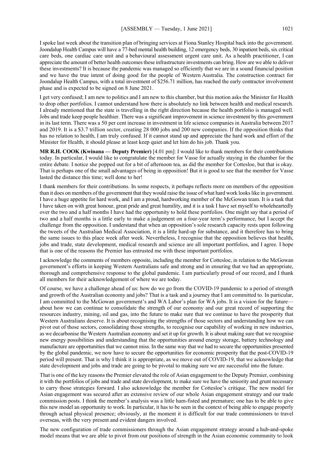I spoke last week about the transition plan of bringing services at Fiona Stanley Hospital back into the government. Joondalup Health Campus will have a 77-bed mental health building, 12 emergency beds, 30 inpatient beds, six critical care beds, one cardiac care unit and a behavioural assessment urgent care unit. As a health practitioner, I can appreciate the amount of better health outcomes these infrastructure investments can bring. How are we able to deliver these investments? It is because the pandemic was managed so efficiently that we are in a sound financial position and we have the true intent of doing good for the people of Western Australia. The construction contract for Joondalup Health Campus, with a total investment of \$256.71 million, has reached the early contractor involvement phase and is expected to be signed on 8 June 2021.

I get very confused; I am new to politics and I am new to this chamber, but this motion asks the Minister for Health to drop other portfolios. I cannot understand how there is absolutely no link between health and medical research. I already mentioned that the state is travelling in the right direction because the health portfolio is managed well. Jobs and trade keep people healthier. There was a significant improvement in science investment by this government in its last term. There was a 50 per cent increase in investment in life science companies in Australia between 2017 and 2019. It is a \$3.7 trillion sector, creating 28 000 jobs and 200 new companies. If the opposition thinks that has no relation to health, I am truly confused. If it cannot stand up and appreciate the hard work and effort of the Minister for Health, it should please at least keep quiet and let him do his job. Thank you.

**MR R.H. COOK (Kwinana — Deputy Premier)** [4.01 pm]: I would like to thank members for their contributions today. In particular, I would like to congratulate the member for Vasse for actually staying in the chamber for the entire debate. I notice she popped out for a bit of afternoon tea, as did the member for Cottesloe, but that is okay. That is perhaps one of the small advantages of being in opposition! But it is good to see that the member for Vasse lasted the distance this time; well done to her!

I thank members for their contributions. In some respects, it perhaps reflects more on members of the opposition than it does on members of the government that they would raise the issue of what hard work looks like in government. I have a huge appetite for hard work, and I am a proud, hardworking member of the McGowan team. It is a task that I have taken on with great honour, great pride and great humility, and it is a task I have set myself to wholeheartedly over the two and a half months I have had the opportunity to hold these portfolios. One might say that a period of two and a half months is a little early to make a judgement on a four-year term's performance, but I accept the challenge from the opposition. I understand that when an opposition's sole research capacity rests upon following the tweets of the Australian Medical Association, it is a little hard-up for substance, and it therefore has to bring the same issues to this place week after week. Nevertheless, I recognise that the opposition believes that health, jobs and trade, state development, medical research and science are all important portfolios, and I agree. I hope that is one of the reasons the Premier has entrusted me with these important portfolios.

I acknowledge the comments of members opposite, including the member for Cottesloe, in relation to the McGowan government's efforts in keeping Western Australians safe and strong and in ensuring that we had an appropriate, thorough and comprehensive response to the global pandemic. I am particularly proud of our record, and I thank all members for their acknowledgement of where we are today.

Of course, we have a challenge ahead of us: how do we go from the COVID-19 pandemic to a period of strength and growth of the Australian economy and jobs? That is a task and a journey that I am committed to. In particular, I am committed to the McGowan government's and WA Labor's plan for WA jobs. It is a vision for the future about how we can continue to consolidate the strength of our economy and our great record of supporting the resources industry, mining, oil and gas, into the future to make sure that we continue to have the prosperity that Western Australians deserve. It is about recognising the strengths of those sectors and understanding how we can pivot out of those sectors, consolidating those strengths, to recognise our capability of working in new industries, as we decarbonise the Western Australian economy and set it up for growth. It is about making sure that we recognise new energy possibilities and understanding that the opportunities around energy storage, battery technology and manufacture are opportunities that we cannot miss. In the same way that we had to secure the opportunities presented by the global pandemic, we now have to secure the opportunities for economic prosperity that the post-COVID-19 period will present. That is why I think it is appropriate, as we move out of COVID-19, that we acknowledge that state development and jobs and trade are going to be pivotal to making sure we are successful into the future.

That is one of the key reasons the Premier elevated the role of Asian engagement to the Deputy Premier, combining it with the portfolios of jobs and trade and state development, to make sure we have the seniority and grunt necessary to carry those strategies forward. I also acknowledge the member for Cottesloe's critique. The new model for Asian engagement was secured after an extensive review of our whole Asian engagement strategy and our trade commission posts. I think the member's analysis was a little ham-fisted and premature; one has to be able to give this new model an opportunity to work. In particular, it has to be seen in the context of being able to engage properly through actual physical presence; obviously, at the moment it is difficult for our trade commissioners to travel overseas, with the very present and evident dangers involved.

The new configuration of trade commissioners through the Asian engagement strategy around a hub-and-spoke model means that we are able to pivot from our positions of strength in the Asian economic community to look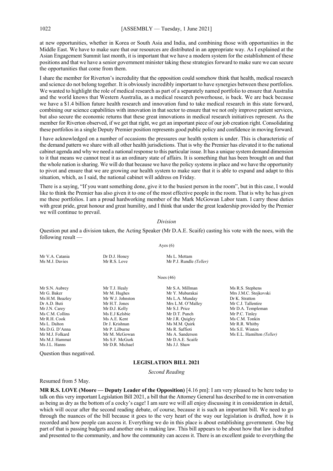at new opportunities, whether in Korea or South Asia and India, and combining those with opportunities in the Middle East. We have to make sure that our resources are distributed in an appropriate way. As I explained at the Asian Engagement Summit last month, it is important that we have a modern system for the establishment of these positions and that we have a senior government minister taking these strategies forward to make sure we can secure the opportunities that come from them.

I share the member for Riverton's incredulity that the opposition could somehow think that health, medical research and science do not belong together. It is obviously incredibly important to have synergies between these portfolios. We wanted to highlight the role of medical research as part of a separately named portfolio to ensure that Australia and the world knows that Western Australia, as a medical research powerhouse, is back. We are back because we have a \$1.4 billion future health research and innovation fund to take medical research in this state forward, combining our science capabilities with innovation in that sector to ensure that we not only improve patient services, but also secure the economic returns that these great innovations in medical research initiatives represent. As the member for Riverton observed, if we get that right, we get an important piece of our job creation right. Consolidating these portfolios in a single Deputy Premier position represents good public policy and confidence in moving forward.

I have acknowledged on a number of occasions the pressures our health system is under. This is characteristic of the demand pattern we share with all other health jurisdictions. That is why the Premier has elevated it to the national cabinet agenda and why we need a national response to this particular issue. It has a unique system demand dimension to it that means we cannot treat it as an ordinary state of affairs. It is something that has been brought on and that the whole nation is sharing. We will do that because we have the policy systems in place and we have the opportunity to pivot and ensure that we are growing our health system to make sure that it is able to expand and adapt to this situation, which, as I said, the national cabinet will address on Friday.

There is a saying, "If you want something done, give it to the busiest person in the room", but in this case, I would like to think the Premier has also given it to one of the most effective people in the room. That is why he has given me these portfolios. I am a proud hardworking member of the Mark McGowan Labor team. I carry those duties with great pride, great honour and great humility, and I think that under the great leadership provided by the Premier we will continue to prevail.

#### *Division*

Question put and a division taken, the Acting Speaker (Mr D.A.E. Scaife) casting his vote with the noes, with the following result —

Ayes  $(6)$ 

Ms R.S. Stephens Mrs J.M.C. Stojkovski Dr K. Stratton Mr C.J. Tallentire Mr D.A. Templeman

Ms C.M. Tonkin Mr R.R. Whitby Ms S.E. Winton Ms E.L. Hamilton (Teller)

| Mr V.A. Catania | Dr D.J. Honey    | Ms L. Mettam            |                 |
|-----------------|------------------|-------------------------|-----------------|
| Ms M.J. Davies  | Mr R.S. Love     | Mr P.J. Rundle (Teller) |                 |
|                 | Noes $(46)$      |                         |                 |
| Mr S.N. Aubrey  | Mr T.J. Healy    | Mr S.A. Millman         | Ms R.S. Stephe  |
| Mr G. Baker     | Mr M. Hughes     | Mr Y. Mubarakai         | Mrs J.M.C. Sto  |
| Ms H.M. Beazley | Mr W.J. Johnston | Ms L.A. Munday          | Dr K. Stratton  |
| Dr A.D. Buti    | Mr H.T. Jones    | Mrs L.M. O'Malley       | Mr C.J. Tallent |
| Mr J.N. Carey   | Mr D.J. Kelly    | Mr S.J. Price           | Mr D.A. Temp    |
| Ms C.M. Collins | Ms E.J Kelsbie   | Mr D.T. Punch           | Mr P.C. Tinley  |
| Mr R.H. Cook    | Ms A.E. Kent     | Mr J.R. Quigley         | Ms C.M. Tonk    |
| Ms L. Dalton    | Dr J. Krishnan   | Ms M.M. Quirk           | Mr R.R. Whitb   |
| Ms D.G. D'Anna  | Mr P. Lilburne   | Ms R. Saffioti          | Ms S.E. Winto   |
| Mr M.J. Folkard | Mr M. McGowan    | Ms A. Sanderson         | Ms E.L. Hamil   |
| Ms M.J. Hammat  | Ms S.F. McGurk   | Mr D.A.E. Scaife        |                 |
| Ms J.L. Hanns   | Mr D.R. Michael  | Ms J.J. Shaw            |                 |

Question thus negatived.

#### **LEGISLATION BILL 2021**

*Second Reading*

Resumed from 5 May.

**MR R.S. LOVE (Moore — Deputy Leader of the Opposition)** [4.16 pm]: I am very pleased to be here today to talk on this very important Legislation Bill 2021, a bill that the Attorney General has described to me in conversation as being as dry as the bottom of a cocky's cage! I am sure we will all enjoy discussing it in consideration in detail, which will occur after the second reading debate, of course, because it is such an important bill. We need to go through the nuances of the bill because it goes to the very heart of the way our legislation is drafted, how it is recorded and how people can access it. Everything we do in this place is about establishing government. One big part of that is passing budgets and another one is making law. This bill appears to be about how that law is drafted and presented to the community, and how the community can access it. There is an excellent guide to everything the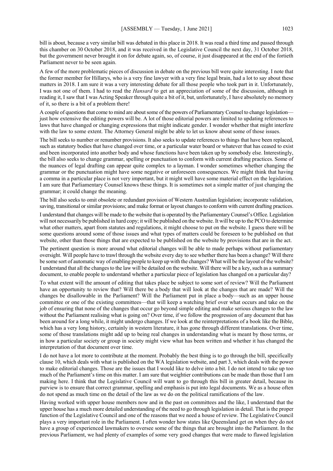bill is about, because a very similar bill was debated in this place in 2018. It was read a third time and passed through this chamber on 30 October 2018, and it was received in the Legislative Council the next day, 31 October 2018, but the government never brought it on for debate again, so, of course, it just disappeared at the end of the fortieth Parliament never to be seen again.

A few of the more problematic pieces of discussion in debate on the previous bill were quite interesting. I note that the former member for Hillarys, who is a very fine lawyer with a very fine legal brain, had a lot to say about these matters in 2018. I am sure it was a very interesting debate for all those people who took part in it. Unfortunately, I was not one of them. I had to read the *Hansard* to get an appreciation of some of the discussion, although in reading it, I saw that I was Acting Speaker through quite a bit of it, but, unfortunately, I have absolutely no memory of it, so there is a bit of a problem there!

A couple of questions that come to mind are about some of the powers of Parliamentary Counsel to change legislation just how extensive the editing powers will be. A lot of those editorial powers are limited to updating references to laws that have changed or changing expressions that might indicate gender. I wonder whether that might interfere with the law to some extent. The Attorney General might be able to let us know about some of those issues.

The bill seeks to number or renumber provisions. It also seeks to update references to things that have been replaced, such as statutory bodies that have changed over time, or a particular water board or whatever that has ceased to exist and been incorporated into another body and whose functions have been taken up by somebody else. Interestingly, the bill also seeks to change grammar, spelling or punctuation to conform with current drafting practices. Some of the nuances of legal drafting can appear quite complex to a layman. I wonder sometimes whether changing the grammar or the punctuation might have some negative or unforeseen consequences. We might think that having a comma in a particular place is not very important, but it might well have some material effect on the legislation. I am sure that Parliamentary Counsel knows these things. It is sometimes not a simple matter of just changing the grammar; it could change the meaning.

The bill also seeks to omit obsolete or redundant provision of Western Australian legislation; incorporate validation, saving, transitional or similar provisions; and make format or layout changes to conform with current drafting practices.

I understand that changes will be made to the website that is operated by the Parliamentary Counsel's Office. Legislation will not necessarily be published in hard copy; it will be published on the website. It will be up to the PCO to determine what other matters, apart from statutes and regulations, it might choose to put on the website. I guess there will be some questions around some of those issues and what types of matters could be foreseen to be published on that website, other than those things that are expected to be published on the website by provisions that are in the act.

The pertinent question is more around what editorial changes will be able to made perhaps without parliamentary oversight. Will people have to trawl through the website every day to see whether there has been a change? Will there be some sort of automatic way of enabling people to keep up with the changes? What will be the layout of the website? I understand that all the changes to the law will be detailed on the website. Will there will be a key, such as a summary document, to enable people to understand whether a particular piece of legislation has changed on a particular day?

To what extent will the amount of editing that takes place be subject to some sort of review? Will the Parliament have an opportunity to review that? Will there be a body that will look at the changes that are made? Will the changes be disallowable in the Parliament? Will the Parliament put in place a body—such as an upper house committee or one of the existing committees—that will keep a watching brief over what occurs and take on the job of ensuring that none of the changes that occur go beyond simple editing and make serious changes to the law without the Parliament realising what is going on? Over time, if we follow the progression of any document that has been around for a long while, it might undergo changes. If we look at the reinterpretations of a book like the Bible, which has a very long history, certainly in western literature, it has gone through different translations. Over time, some of those translations might add up to being real changes in understanding what is meant by those terms, or in how a particular society or group in society might view what has been written and whether it has changed the interpretation of that document over time.

I do not have a lot more to contribute at the moment. Probably the best thing is to go through the bill, specifically clause 10, which deals with what is published on the WA legislation website, and part 3, which deals with the power to make editorial changes. Those are the issues that I would like to delve into a bit. I do not intend to take up too much of the Parliament's time on this matter. I am sure that weightier contributions can be made than those that I am making here. I think that the Legislative Council will want to go through this bill in greater detail, because its purview is to ensure that correct grammar, spelling and emphasis is put into legal documents. We as a house often do not spend as much time on the detail of the law as we do on the political ramifications of the law.

Having worked with upper house members now and in the past on committees and the like, I understand that the upper house has a much more detailed understanding of the need to go through legislation in detail. That is the proper function of the Legislative Council and one of the reasons that we need a house of review. The Legislative Council plays a very important role in the Parliament. I often wonder how states like Queensland get on when they do not have a group of experienced lawmakers to oversee some of the things that are brought into the Parliament. In the previous Parliament, we had plenty of examples of some very good changes that were made to flawed legislation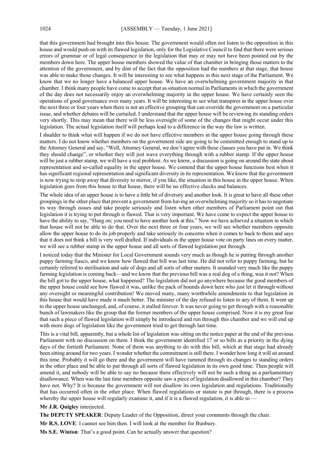that this government had brought into this house. The government would often not listen to the opposition in this house and would push on with its flawed legislation, only for the Legislative Council to find that there were serious errors of grammar or of legal consequence in the legislation that may or may not have been pointed out by the members down here. The upper house members showed the value of that chamber in bringing those matters to the attention of the government, and by dint of the fact that the opposition had the numbers at that stage, that house was able to make those changes. It will be interesting to see what happens in this next stage of the Parliament. We know that we no longer have a balanced upper house. We have an overwhelming government majority in that chamber. I think many people have come to accept that as situation normal in Parliaments in which the government of the day does not necessarily enjoy an overwhelming majority in the upper house. We have certainly seen the operations of good governance over many years. It will be interesting to see what transpires in the upper house over the next three or four years when there is not an effective grouping that can override the government on a particular issue, and whether debates will be curtailed. I understand that the upper house will be reviewing its standing orders very shortly. This may mean that there will be less oversight of some of the changes that might occur under this legislation. The actual legislation itself will perhaps lead to a difference in the way the law is written.

I shudder to think what will happen if we do not have effective members in the upper house going through these matters. I do not know whether members on the government side are going to be committed enough to stand up to the Attorney General and say, "Well, Attorney General, we don't agree with these clauses you have put in. We think they should change", or whether they will just wave everything through with a rubber stamp. If the upper house will be just a rubber stamp, we will have a real problem. As we know, a discussion is going on around the state about representation and so-called equality in the upper house. We contend that the upper house functions best when it has significant regional representation and significant diversity in its representation. We know that the government is now trying to strip away that diversity to mirror, if you like, the situation in this house in the upper house. When legislation goes from this house to that house, there will be no effective checks and balances.

The whole idea of an upper house is to have a little bit of diversity and another look. It is great to have all these other groupings in the other place that prevent a government from having an overwhelming majority so it has to negotiate its way through issues and take people seriously and listen when other members of Parliament point out that legislation it is trying to put through is flawed. That is very important. We have come to expect the upper house to have the ability to say, "Hang on; you need to have another look at this." Now we have achieved a situation in which that house will not be able to do that. Over the next three or four years, we will see whether members opposite allow the upper house to do its job properly and take seriously its concerns when it comes to back to them and says that it does not think a bill is very well drafted. If individuals in the upper house vote on party lines on every matter, we will see a rubber stamp in the upper house and all sorts of flawed legislation put through.

I noticed today that the Minister for Local Government sounds very much as though he is putting through another puppy farming fiasco, and we know how flawed that bill was last time. He did not refer to puppy farming, but he certainly referred to sterilisation and sale of dogs and all sorts of other matters. It sounded very much like the puppy farming legislation is coming back—and we know that the previous bill was a real dog of a thing, was it not? When the bill got to the upper house, what happened? The legislation did not go anywhere because the good members of the upper house could see how flawed it was, unlike the pack of hounds down here who just let it through without any oversight or meaningful contribution! We moved many, many worthwhile amendments to that legislation in this house that would have made it much better. The minister of the day refused to listen to any of them. It went up to the upper house unchanged, and, of course, it stalled forever. It was never going to get through with a reasonable bunch of lawmakers like the group that the former members of the upper house comprised. Now it is my great fear that such a piece of flawed legislation will simply be introduced and run through this chamber and we will end up with more dogs of legislation like the government tried to get through last time.

This is a vital bill, apparently, but a whole list of legislation was sitting on the notice paper at the end of the previous Parliament with no discussion on them. I think the government identified 17 or so bills as a priority in the dying days of the fortieth Parliament. None of them was anything to do with this bill, which at that stage had already been sitting around for two years. I wonder whether the commitment is still there. I wonder how long it will sit around this time. Probably it will go there and the government will have rammed through its changes to standing orders in the other place and be able to put through all sorts of flawed legislation in its own good time. Then people will amend it, and nobody will be able to say no because there effectively will not be such a thing as a parliamentary disallowance. When was the last time members opposite saw a piece of legislation disallowed in this chamber? They have not. Why? It is because the government will not disallow its own legislation and regulations. Traditionally that has occurred often in the other place. When flawed regulations or statute is put through, there is a process whereby the upper house will regularly examine it, and if it is a flawed regulation, it is able to  $-$ 

**Mr J.R. Quigley** interjected.

**The DEPUTY SPEAKER**: Deputy Leader of the Opposition, direct your comments through the chair.

**Mr R.S. LOVE**: I cannot see him then. I will look at the member for Bunbury.

**Ms S.E. Winton**: That's a good point. Can he actually answer that question?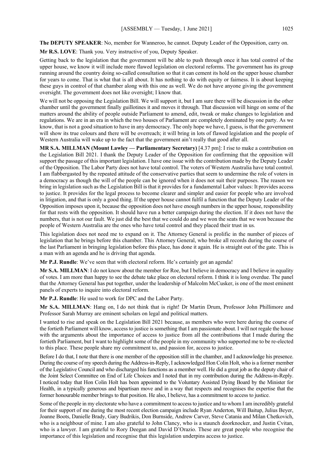**The DEPUTY SPEAKER**: No, member for Wanneroo, he cannot. Deputy Leader of the Opposition, carry on.

**Mr R.S. LOVE**: Thank you. Very instructive of you, Deputy Speaker.

Getting back to the legislation that the government will be able to push through once it has total control of the upper house, we know it will include more flawed legislation on electoral reforms. The government has its group running around the country doing so-called consultation so that it can cement its hold on the upper house chamber for years to come. That is what that is all about. It has nothing to do with equity or fairness. It is about keeping these guys in control of that chamber along with this one as well. We do not have anyone giving the government oversight. The government does not like oversight; I know that.

We will not be opposing the Legislation Bill. We will support it, but I am sure there will be discussion in the other chamber until the government finally guillotines it and moves it through. That discussion will hinge on some of the matters around the ability of people outside Parliament to amend, edit, tweak or make changes to legislation and regulations. We are in an era in which the two houses of Parliament are completely dominated by one party. As we know, that is not a good situation to have in any democracy. The only hope we have, I guess, is that the government will show its true colours and there will be overreach; it will bring in lots of flawed legislation and the people of Western Australia will wake up to the fact that the government ain't really that good after all.

**MR S.A. MILLMAN (Mount Lawley — Parliamentary Secretary)** [4.37 pm]: I rise to make a contribution on the Legislation Bill 2021. I thank the Deputy Leader of the Opposition for confirming that the opposition will support the passage of this important legislation. I have one issue with the contribution made by the Deputy Leader of the Opposition. The Labor Party does not have total control. The voters of Western Australia have total control. I am flabbergasted by the repeated attitude of the conservative parties that seem to undermine the role of voters in a democracy as though the will of the people can be ignored when it does not suit their purposes. The reason we bring in legislation such as the Legislation Bill is that it provides for a fundamental Labor values: It provides access to justice. It provides for the legal process to become clearer and simpler and easier for people who are involved in litigation, and that is only a good thing. If the upper house cannot fulfil a function that the Deputy Leader of the Opposition imposes upon it, because the opposition does not have enough numbers in the upper house, responsibility for that rests with the opposition. It should have run a better campaign during the election. If it does not have the numbers, that is not our fault. We just did the best that we could do and we won the seats that we won because the people of Western Australia are the ones who have total control and they placed their trust in us.

This legislation does not need me to expand on it. The Attorney General is prolific in the number of pieces of legislation that he brings before this chamber. This Attorney General, who broke all records during the course of the last Parliament in bringing legislation before this place, has done it again. He is straight out of the gate. This is a man with an agenda and he is driving that agenda.

**Mr P.J. Rundle**: We've seen that with electoral reform. He's certainly got an agenda!

**Mr S.A. MILLMAN**: I do not know about the member for Roe, but I believe in democracy and I believe in equality of votes. I am more than happy to see the debate take place on electoral reform. I think it is long overdue. The panel that the Attorney General has put together, under the leadership of Malcolm McCusker, is one of the most eminent panels of experts to inquire into electoral reform.

**Mr P.J. Rundle**: He used to work for DPC and the Labor Party.

**Mr S.A. MILLMAN**: Hang on, I do not think that is right! Dr Martin Drum, Professor John Phillimore and Professor Sarah Murray are eminent scholars on legal and political matters.

I wanted to rise and speak on the Legislation Bill 2021 because, as members who were here during the course of the fortieth Parliament will know, access to justice is something that I am passionate about. I will not regale the house with the arguments about the importance of access to justice from all the contributions that I made during the fortieth Parliament, but I want to highlight some of the people in my community who supported me to be re-elected to this place. These people share my commitment to, and passion for, access to justice.

Before I do that, I note that there is one member of the opposition still in the chamber, and I acknowledge his presence. During the course of my speech during the Address-in-Reply, I acknowledged Hon Colin Holt, who is a former member of the Legislative Council and who discharged his functions as a member well. He did a great job as the deputy chair of the Joint Select Committee on End of Life Choices and I noted that in my contribution during the Address-in-Reply. I noticed today that Hon Colin Holt has been appointed to the Voluntary Assisted Dying Board by the Minister for Health, in a typically generous and bipartisan move and in a way that respects and recognises the expertise that the former honourable member brings to that position. He also, I believe, has a commitment to access to justice.

Some of the people in my electorate who have a commitment to access to justice and to whom I am incredibly grateful for their support of me during the most recent election campaign include Ryan Anderton, Will Baitup, Julius Beyer, Joanne Boots, Danielle Brady, Gary Budrikis, Don Burnside, Andrew Carver, Steve Catania and Milan Chetkovich, who is a neighbour of mine. I am also grateful to John Clancy, who is a staunch doorknocker, and Justin Cvitan, who is a lawyer. I am grateful to Rory Deegan and David D'Orazio. These are great people who recognise the importance of this legislation and recognise that this legislation underpins access to justice.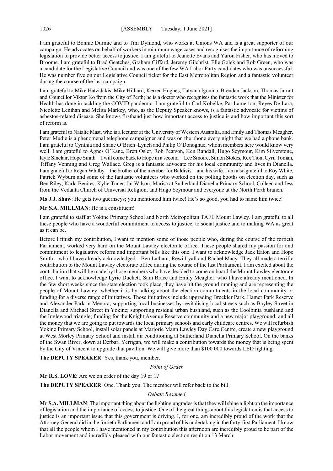I am grateful to Bonnie Durmic and to Tim Dymond, who works at Unions WA and is a great supporter of our campaign. He advocates on behalf of workers in minimum wage cases and recognises the importance of reforming legislation to provide better access to justice. I am grateful to Jeanette Evans and Yaron Fisher, who has moved to Broome. I am grateful to Brad Geatches, Graham Giffard, Jeremy Gilchrist, Elle Golek and Rob Green, who was a candidate for the Legislative Council and was one of the few WA Labor Party candidates who was unsuccessful. He was number five on our Legislative Council ticket for the East Metropolitan Region and a fantastic volunteer during the course of the last campaign.

I am grateful to Mike Hatzidakis, Mike Hilliard, Kerren Hughes, Tatyana Igonina, Brendan Jackson, Thomas Jarratt and Councillor Viktor Ko from the City of Perth; he is a doctor who recognises the fantastic work that the Minister for Health has done in tackling the COVID pandemic. I am grateful to Carl Kobelke, Pat Lamerton, Reyes De Lara, Nicolette Lenihan and Melita Markey, who, as the Deputy Speaker knows, is a fantastic advocate for victims of asbestos-related disease. She knows firsthand just how important access to justice is and how important this sort of reform is.

I am grateful to Natalie Mast, who is a lecturer at the University of Western Australia, and Emily and Thomas Meagher. Peter Mudie is a phenomenal telephone campaigner and was on the phone every night that we had a phone bank. I am grateful to Cynthia and Shane O'Brien–Lynch and Philip O'Donoghue, whom members here would know very well. I am grateful to Agnes O'Kane, Brett Osler, Rob Pearson, Ken Randall, Hugo Seymour, Kim Silverstone, Kyle Sinclair, Hope Smith—I will come back to Hope in a second—Lee Smoire, Simon Stokes, Rex Tion, Cyril Toman, Tiffany Venning and Greg Wallace. Greg is a fantastic advocate for his local community and lives in Dianella. I am grateful to Regan Whitby—the brother of the member for Baldivis—and his wife. I am also grateful to Roy White, Patrick Wyburn and some of the fantastic volunteers who worked on the polling booths on election day, such as Ben Riley, Karla Benites, Kylie Tuner, Jai Wilson, Marisa at Sutherland Dianella Primary School, Colleen and Jess from the Vedanta Church of Universal Religion, and Hugo Seymour and everyone at the North Perth branch.

**Ms J.J. Shaw**: He gets two guernseys; you mentioned him twice! He's so good, you had to name him twice!

#### **Mr S.A. MILLMAN**: He is a constituent!

I am grateful to staff at Yokine Primary School and North Metropolitan TAFE Mount Lawley. I am grateful to all these people who have a wonderful commitment to access to justice, to social justice and to making WA as great as it can be.

Before I finish my contribution, I want to mention some of those people who, during the course of the fortieth Parliament, worked very hard on the Mount Lawley electorate office. These people shared my passion for and commitment to legislative reform and important bills like this one. I want to acknowledge Jack Eaton and Hope Smith—who I have already acknowledged—Ben Latham, Rewi Lyall and Rachel Macy. They all made a terrific contribution to the Mount Lawley electorate office during the course of the last Parliament. I am excited about the contribution that will be made by those members who have decided to come on board the Mount Lawley electorate office. I want to acknowledge Lyric Duckett, Sam Brace and Emily Meagher, who I have already mentioned. In the few short weeks since the state election took place, they have hit the ground running and are representing the people of Mount Lawley, whether it is by talking about the election commitments in the local community or funding for a diverse range of initiatives. Those initiatives include upgrading Breckler Park, Hamer Park Reserve and Alexander Park in Menora; supporting local businesses by revitalising local streets such as Bayley Street in Dianella and Michael Street in Yokine; supporting residual urban bushland, such as the Coolbinia bushland and the Inglewood triangle; funding for the Knight Avenue Reserve community and a new major playground; and all the money that we are going to put towards the local primary schools and early childcare centres. We will refurbish Yokine Primary School, install solar panels at Marjorie Mann Lawley Day Care Centre, create a new playground at West Morley Primary School and install air conditioning at Sutherland Dianella Primary School. On the banks of the Swan River, down at Derbarl Yerrigan, we will make a contribution towards the money that is being spent by the City of Vincent to upgrade that pavilion. We will give more than \$100 000 towards LED lighting.

**The DEPUTY SPEAKER**: Yes, thank you, member.

# *Point of Order*

**Mr R.S. LOVE**: Are we on order of the day 19 or 1?

**The DEPUTY SPEAKER**: One. Thank you. The member will refer back to the bill.

# *Debate Resumed*

**Mr S.A. MILLMAN**: The important thing about the lighting upgrades is that they will shine a light on the importance of legislation and the importance of access to justice. One of the great things about this legislation is that access to justice is an important issue that this government is driving. I, for one, am incredibly proud of the work that the Attorney General did in the fortieth Parliament and I am proud of his undertaking in the forty-first Parliament. I know that all the people whom I have mentioned in my contribution this afternoon are incredibly proud to be part of the Labor movement and incredibly pleased with our fantastic election result on 13 March.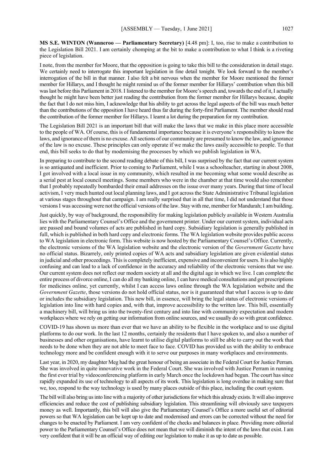**MS S.E. WINTON (Wanneroo — Parliamentary Secretary)** [4.48 pm]: I, too, rise to make a contribution to the Legislation Bill 2021. I am certainly chomping at the bit to make a contribution to what I think is a riveting piece of legislation.

I note, from the member for Moore, that the opposition is going to take this bill to the consideration in detail stage. We certainly need to interrogate this important legislation in fine detail tonight. We look forward to the member's interrogation of the bill in that manner. I also felt a bit nervous when the member for Moore mentioned the former member for Hillarys, and I thought he might remind us of the former member for Hillarys' contribution when this bill was last before this Parliament in 2018. I listened to the member for Moore's speech and, towards the end of it, I actually thought he might have been better just reading the contribution from the former member for Hillarys because, despite the fact that I do not miss him, I acknowledge that his ability to get across the legal aspects of the bill was much better than the contributions of the opposition I have heard thus far during the forty-first Parliament. The member should read the contribution of the former member for Hillarys. I learnt a lot during the preparation for my contribution.

The Legislation Bill 2021 is an important bill that will make the laws that we make in this place more accessible to the people of WA. Of course, this is of fundamental importance because it is everyone's responsibility to know the laws, and ignorance of them is no excuse. All sections of our community are presumed to know the law, and ignorance of the law is no excuse. These principles can only operate if we make the laws easily accessible to people. To that end, this bill seeks to do that by modernising the processes by which we publish legislation in WA.

In preparing to contribute to the second reading debate of this bill, I was surprised by the fact that our current system is so antiquated and inefficient. Prior to coming to Parliament, while I was a schoolteacher, starting in about 2008, I got involved with a local issue in my community, which resulted in me becoming what some would describe as a serial pest at local council meetings. Some members who were in the chamber at that time would also remember that I probably repeatedly bombarded their email addresses on the issue over many years. During that time of local activism, I very much hunted out local planning laws, and I got across the State Administrative Tribunal legislation at various stages throughout that campaign. I am really surprised that in all that time, I did not understand that those versionsI was accessing were not the official versions of the law. Stay with me, member for Mandurah; I am building.

Just quickly, by way of background, the responsibility for making legislation publicly available in Western Australia lies with the Parliamentary Counsel's Office and the government printer. Under our current system, individual acts are passed and bound volumes of acts are published in hard copy. Subsidiary legislation is generally published in full, which is published in both hard copy and electronic forms. The WA legislation website provides public access to WA legislation in electronic form. This website is now hosted by the Parliamentary Counsel's Office. Currently, the electronic versions of the WA legislation website and the electronic version of the *Government Gazette* have no official status. Bizarrely, only printed copies of WA acts and subsidiary legislation are given evidential status in judicial and other proceedings. This is completely inefficient, expensive and inconvenient for users. It is also highly confusing and can lead to a lack of confidence in the accuracy and reliability of the electronic versions that we use. Our current system does not reflect our modern society at all and the digital age in which we live. I can complete the entire process of divorce online, I can do all my banking online, I can have medical consultations and get prescriptions for medicines online, yet currently, whilst I can access laws online through the WA legislation website and the *Government Gazette*, those versions do not hold official status, nor is it guaranteed that what I access is up to date or includes the subsidiary legislation. This new bill, in essence, will bring the legal status of electronic versions of legislation into line with hard copies and, with that, improve accessibility to the written law. This bill, essentially a machinery bill, will bring us into the twenty-first century and into line with community expectation and modern workplaces where we rely on getting our information from online sources, and we usually do so with great confidence.

COVID-19 has shown us more than ever that we have an ability to be flexible in the workplace and to use digital platforms to do our work. In the last 12 months, certainly the residents that I have spoken to, and also a number of businesses and other organisations, have learnt to utilise digital platforms to still be able to carry out the work that needs to be done when they are not able to meet face to face. COVID has provided us with the ability to embrace technology more and be confident enough with it to serve our purposes in many workplaces and environments.

Last year, in 2020, my daughter Meg had the great honour of being an associate in the Federal Court for Justice Perram. She was involved in quite innovative work in the Federal Court. She was involved with Justice Perram in running the first ever trial by videoconferencing platform in early March once the lockdown had begun. The court has since rapidly expanded its use of technology to all aspects of its work. This legislation is long overdue in making sure that we, too, respond to the way technology is used by many places outside of this place, including the court system.

The bill will also bring us into line with a majority of other jurisdictions for which this already exists. It will also improve efficiencies and reduce the cost of publishing subsidiary legislation. This streamlining will obviously save taxpayers money as well. Importantly, this bill will also give the Parliamentary Counsel's Office a more useful set of editorial powers so that WA legislation can be kept up to date and modernised and errors can be corrected without the need for changes to be enacted by Parliament. I am very confident of the checks and balances in place. Providing more editorial power to the Parliamentary Counsel's Office does not mean that we will diminish the intent of the laws that exist. I am very confident that it will be an official way of editing our legislation to make it as up to date as possible.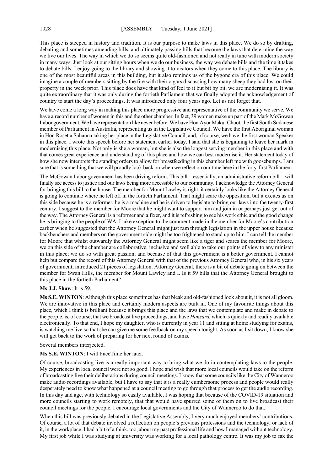This place is steeped in history and tradition. It is our purpose to make laws in this place. We do so by drafting, debating and sometimes amending bills, and ultimately passing bills that become the laws that determine the way we live our lives. The way in which we do so seems quite old-fashioned and not really in tune with modern society in many ways. Just look at our sitting hours when we do our business, the way we debate bills and the time it takes to debate bills. I enjoy going to the library and showing it to visitors when they come to this place. The library is one of the most beautiful areas in this building, but it also reminds us of the bygone era of this place. We could imagine a couple of members sitting by the fire with their cigars discussing how many sheep they had lost on their property in the week prior. This place does have that kind of feel to it but bit by bit, we are modernising it. It was quite extraordinary that it was only during the fortieth Parliament that we finally adopted the acknowledgement of country to start the day's proceedings. It was introduced only four years ago. Let us not forget that.

We have come a long way in making this place more progressive and representative of the community we serve. We have a record number of women in this and the other chamber. In fact, 39 women make up part of the Mark McGowan Labor government. We have representation like never before. We have Hon Ayor Makur Chuot, the first South Sudanese member of Parliament in Australia, representing us in the Legislative Council. We have the first Aboriginal woman in Hon Rosetta Sahanna taking her place in the Legislative Council, and, of course, we have the first woman Speaker in this place. I wrote this speech before her statement earlier today. I said that she is beginning to leave her mark in modernising this place. Not only is she a woman, but she is also the longest serving member in this place and with that comes great experience and understanding of this place and how we can best modernise it. Her statement today of how she now interprets the standing orders to allow for breastfeeding in this chamber left me with goosebumps. I am sure that is something that we will proudly look back on when we reflect on our time here in the forty-first Parliament.

The McGowan Labor government has been driving reform. This bill—essentially, an administrative reform bill—will finally see access to justice and our laws being more accessible to our community. I acknowledge the Attorney General for bringing this bill to the house. The member for Mount Lawley is right; it certainly looks like the Attorney General is going to continue where he left off in the fortieth Parliament. That might scare the opposition, but it excites us on this side because he is a reformer, he is a machine and he is driven to legislate to bring our laws into the twenty-first century. I suggest to the member for Moore that he might want to support him and join in or perhaps just get out of the way. The Attorney General is a reformer and a fixer, and it is refreshing to see his work ethic and the good change he is bringing to the people of WA. I take exception to the comment made in the member for Moore's contribution earlier when he suggested that the Attorney General might just ram through legislation in the upper house because backbenchers and members on the government side might be too frightened to stand up to him. I can tell the member for Moore that whilst outwardly the Attorney General might seem like a tiger and scares the member for Moore, we on this side of the chamber are collaborative, inclusive and well able to take our points of view to any minister in this place; we do so with great passion, and because of that this government is a better government. I cannot help but compare the record of this Attorney General with that of the previous Attorney General who, in his six years of government, introduced 21 pieces of legislation. Attorney General, there is a bit of debate going on between the member for Swan Hills, the member for Mount Lawley and I. Is it 59 bills that the Attorney General brought to this place in the fortieth Parliament?

#### **Ms J.J. Shaw**: It is 59.

**Ms S.E. WINTON**: Although this place sometimes has that bleak and old-fashioned look about it, it is not all gloom. We are innovative in this place and certainly modern aspects are built in. One of my favourite things about this place, which I think is brilliant because it brings this place and the laws that we contemplate and make in debate to the people, is, of course, that we broadcast live proceedings, and have *Hansard,* which is quickly and readily available electronically. To that end, I hope my daughter, who is currently in year 11 and sitting at home studying for exams, is watching me live so that she can give me some feedback on my speech tonight. As soon as I sit down, I know she will get back to the work of preparing for her next round of exams.

Several members interjected.

# **Ms S.E. WINTON**: I will FaceTime her later.

Of course, broadcasting live is a really important way to bring what we do in contemplating laws to the people. My experiences in local council were not so good. I hope and wish that more local councils would take on the reform of broadcasting live their deliberations during council meetings. I know that some councils like the City of Wanneroo make audio recordings available, but I have to say that it is a really cumbersome process and people would really desperately need to know what happened at a council meeting to go through that process to get the audio recording. In this day and age, with technology so easily available, I was hoping that because of the COVID-19 situation and more councils starting to work remotely, that that would have spurred some of them on to live broadcast their council meetings for the people. I encourage local governments and the City of Wanneroo to do that.

When this bill was previously debated in the Legislative Assembly, I very much enjoyed members' contributions. Of course, a lot of that debate involved a reflection on people's previous professions and the technology, or lack of it, in the workplace. I had a bit of a think, too, about my past professional life and how I managed without technology. My first job while I was studying at university was working for a local pathology centre. It was my job to fax the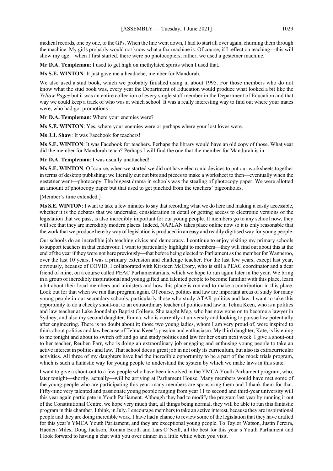medical records, one by one, to the GPs. When the line went down, I had to start all over again, churning them through the machine. My girls probably would not know what a fax machine is. Of course, if I reflect on teaching—this will show my age—when I first started, there were no photocopiers; rather, we used a gestetner machine.

**Mr D.A. Templeman**: I used to get high on methylated spirits when I used that.

**Ms S.E. WINTON**: It just gave me a headache, member for Mandurah.

We also used a stud book, which we probably finished using in about 1995. For those members who do not know what the stud book was, every year the Department of Education would produce what looked a bit like the *Yellow Pages* but it was an entire collection of every single staff member in the Department of Education and that way we could keep a track of who was at which school. It was a really interesting way to find out where your mates were, who had got promotions —

**Mr D.A. Templeman**: Where your enemies were?

**Ms S.E. WINTON**: Yes, where your enemies were or perhaps where your lost loves were.

**Ms J.J. Shaw**: It was Facebook for teachers!

**Ms S.E. WINTON**: It was Facebook for teachers. Perhaps the library would have an old copy of those. What year did the member for Mandurah teach? Perhaps I will find the one that the member for Mandurah is in.

**Mr D.A. Templeman**: I was usually unattached!

**Ms S.E. WINTON**: Of course, when we started we did not have electronic devices to put our worksheets together in terms of desktop publishing; we literally cut out bits and pieces to make a worksheet to then—eventually when the gestetner went—photocopy. The biggest drama in schools was the stealing of photocopy paper. We were allotted an amount of photocopy paper but that used to get pinched from the teachers' pigeonholes.

[Member's time extended.]

**Ms S.E. WINTON**: I want to take a few minutes to say that recording what we do here and making it easily accessible, whether it is the debates that we undertake, consideration in detail or getting access to electronic versions of the legislation that we pass, is also incredibly important for our young people. If members go to any school now, they will see that they are incredibly modern places. Indeed, NAPLAN takes place online now so it is only reasonable that the work that we produce here by way of legislation is produced in an easy and readily digitised way for young people.

Our schools do an incredible job teaching civics and democracy. I continue to enjoy visiting my primary schools to support teachers in that endeavour. I want to particularly highlight to members—they will find out about this at the end of the year if they were not here previously—that before being elected to Parliament as the member for Wanneroo, over the last 10 years, I was a primary extension and challenge teacher. For the last few years, except last year, obviously, because of COVID, I collaborated with Kirsteen McCrory, who is still a PEAC coordinator and a dear friend of mine, on a course called PEAC Parliamentarians, which we hope to run again later in the year. We bring in a group of incredibly inspirational and young gifted and talented people to become familiar with this place, learn a bit about their local members and ministers and how this place is run and to make a contribution in this place. Look out for that when we run that program again. Of course, politics and law are important areas of study for many young people in our secondary schools, particularly those who study ATAR politics and law. I want to take this opportunity to do a cheeky shout-out to an extraordinary teacher of politics and law in Telma Keen, who is a politics and law teacher at Lake Joondalup Baptist College. She taught Meg, who has now gone on to become a lawyer in Sydney, and also my second daughter, Emma, who is currently at university and looking to pursue law potentially after engineering. There is no doubt about it; those two young ladies, whom I am very proud of, were inspired to think about politics and law because of Telma Keen's passion and enthusiasm. My third daughter, Kate, is listening to me tonight and about to switch off and go and study politics and law for her exam next week. I give a shout-out to her teacher, Reuben Farr, who is doing an extraordinary job engaging and enthusing young people to take an active interest in politics and law. That school does a great job in not only its curriculum, but also its extracurricular activities. All three of my daughters have had the incredible opportunity to be a part of the mock trials program, which is such a fantastic way for young people to understand the system by which we make laws in this state.

I want to give a shout-out to a few people who have been involved in the YMCA Youth Parliament program, who, later tonight—shortly, actually—will be arriving at Parliament House. Many members would have met some of the young people who are participating this year; many members are sponsoring them and I thank them for that. Fifty-nine very talented and passionate young people ranging from year 11 to second and third-year university will this year again participate in Youth Parliament. Although they had to modify the program last year by running it out of the Constitutional Centre, we hope very much that, all things being normal, they will be able to run this fantastic program in this chamber, I think, in July. I encourage members to take an active interest, because they are inspirational people and they are doing incredible work. I have had a chance to review some of the legislation that they have drafted for this year's YMCA Youth Parliament, and they are exceptional young people. To Taylor Watson, Justin Pereira, Haeden Miles, Doug Jackson, Roman Booth and Lars O'Neill, all the best for this year's Youth Parliament and I look forward to having a chat with you over dinner in a little while when you visit.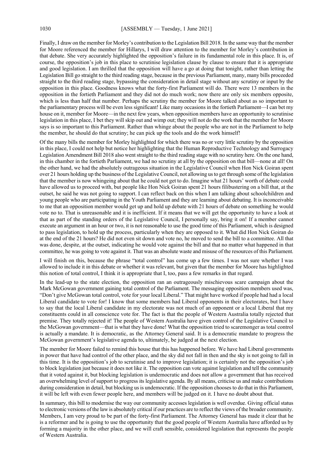Finally, I draw on the member for Morley's contribution to the Legislation Bill 2018. In the same way that the member for Moore referenced the member for Hillarys, I will draw attention to the member for Morley's contribution in that debate. She very accurately highlighted the opposition's failure in its fundamental role in this place. It is, of course, the opposition's job in this place to scrutinise legislation clause by clause to ensure that it is appropriate and good legislation. I am thrilled that the opposition will have a go at doing that tonight, rather than letting the Legislation Bill go straight to the third reading stage, because in the previous Parliament, many, many bills proceeded straight to the third reading stage, bypassing the consideration in detail stage without any scrutiny or input by the opposition in this place. Goodness knows what the forty-first Parliament will do. There were 13 members in the opposition in the fortieth Parliament and they did not do much work; now there are only six members opposite, which is less than half that number. Perhaps the scrutiny the member for Moore talked about as so important to the parliamentary process will be even less significant! Like many occasions in the fortieth Parliament—I can bet my house on it, member for Moore—in the next few years, when opposition members have an opportunity to scrutinise legislation in this place, I bet they will skip out and wimp out; they will not do the work that the member for Moore says is so important to this Parliament. Rather than whinge about the people who are not in the Parliament to help the member, he should do that scrutiny; he can pick up the tools and do the work himself!

Of the many bills the member for Morley highlighted for which there was no or very little scrutiny by the opposition in this place, I could not help but notice her highlighting that the Human Reproductive Technology and Surrogacy Legislation Amendment Bill 2018 also went straight to the third reading stage with no scrutiny here. On the one hand, in this chamber in the fortieth Parliament, we had no scrutiny at all by the opposition on that bill—none at all! On the other hand, we had the absolutely outrageous situation in the Legislative Council when Hon Nick Goiran spent over 21 hours holding up the business of the Legislative Council, not allowing us to get through some of the legislation that the member is now whingeing about that he could not get to do. Imagine what 21 hours' worth of debate could have allowed us to proceed with, but people like Hon Nick Goiran spent 21 hours filibustering on a bill that, at the outset, he said he was not going to support. I can reflect back on this when I am talking about schoolchildren and young people who are participating in the Youth Parliament and they are learning about debating. It is inconceivable to me that an opposition member would get up and hold up debate with 21 hours of debate on something he would vote no to. That is unreasonable and it is inefficient. If it means that we will get the opportunity to have a look at that as part of the standing orders of the Legislative Council, I personally say, bring it on! If a member cannot execute an argument in an hour or two, it is not reasonable to use the good time of this Parliament, which is designed to pass legislation, to hold up the process, particularly when they are opposed to it. What did Hon Nick Goiran do at the end of the 21 hours? He did not even sit down and vote no, he moved to send the bill to a committee. All that was done, despite, at the outset, indicating he would vote against the bill and that no matter what happened in that committee, he was going to vote against it. That was an absolute waste and misuse of the resources of this Parliament.

I will finish on this, because the phrase "total control" has come up a few times. I was not sure whether I was allowed to include it in this debate or whether it was relevant, but given that the member for Moore has highlighted this notion of total control, I think it is appropriate that I, too, pass a few remarks in that regard.

In the lead-up to the state election, the opposition ran an outrageously mischievous scare campaign about the Mark McGowan government gaining total control of the Parliament. The messaging opposition members used was, "Don't give McGowan total control, vote for your local Liberal." That might have worked if people had had a local Liberal candidate to vote for! I know that some members had Liberal opponents in their electorates, but I have to say that the local Liberal candidate in my electorate was not much of an opponent or a local Liberal that my constituents could in all conscience vote for. The fact is that the people of Western Australia totally rejected that premise. They totally rejected it! The people of Western Australia have given control of the Legislative Council to the McGowan government—that is what they have done! What the opposition tried to scaremonger as total control is actually a mandate. It is democratic, as the Attorney General said. It is a democratic mandate to progress the McGowan government's legislative agenda to, ultimately, be judged at the next election.

The member for Moore failed to remind this house that this has happened before. We have had Liberal governments in power that have had control of the other place, and the sky did not fall in then and the sky is not going to fall in this time. It is the opposition's job to scrutinise and to improve legislation; it is certainly not the opposition's job to block legislation just because it does not like it. The opposition can vote against legislation and tell the community that it voted against it, but blocking legislation is undemocratic and does not allow a government that has received an overwhelming level of support to progress its legislative agenda. By all means, criticise us and make contributions during consideration in detail, but blocking us is undemocratic. If the opposition chooses to do that in this Parliament, it will be left with even fewer people here, and members will be judged on it. I have no doubt about that.

In summary, this bill to modernise the way our community accesses legislation is well overdue. Giving official status to electronic versions of the law is absolutely critical if our practices are to reflect the views of the broader community. Members, I am very proud to be part of the forty-first Parliament. The Attorney General has made it clear that he is a reformer and he is going to use the opportunity that the good people of Western Australia have afforded us by forming a majority in the other place, and we will craft sensible, considered legislation that represents the people of Western Australia.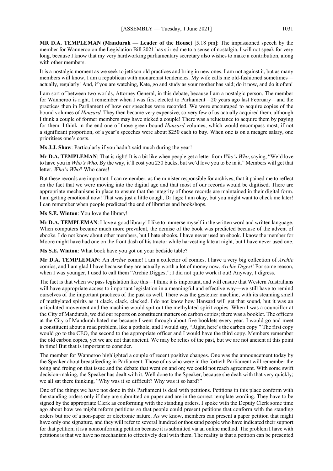**MR D.A. TEMPLEMAN (Mandurah — Leader of the House)** [5.18 pm]: The impassioned speech by the member for Wanneroo on the Legislation Bill 2021 has stirred me to a sense of nostalgia. I will not speak for very long, because I know that my very hardworking parliamentary secretary also wishes to make a contribution, along with other members.

It is a nostalgic moment as we seek to jettison old practices and bring in new ones. I am not against it, but as many members will know, I am a republican with monarchist tendencies. My wife calls me old-fashioned sometimes actually, regularly! And, if you are watching, Kate, go and study as your mother has said; do it now, and do it often!

I am sort of between two worlds, Attorney General, in this debate, because I am a nostalgic person. The member for Wanneroo is right. I remember when I was first elected to Parliament—20 years ago last February—and the practices then in Parliament of how our speeches were recorded. We were encouraged to acquire copies of the bound volumes of *Hansard*. They then became very expensive, so very few of us actually acquired them, although I think a couple of former members may have nicked a couple! There was a reluctance to acquire them by paying for them. I think in the end one of those green bound *Hansard* volumes, which would encompass most, if not a significant proportion, of a year's speeches were about \$250 each to buy. When one is on a meagre salary, one prioritises one's costs.

**Ms J.J. Shaw**: Particularly if you hadn't said much during the year!

**Mr D.A. TEMPLEMAN**: That is right! It is a bit like when people get a letter from *Who's Who*, saying, "We'd love to have you in *Who's Who*. By the way, it'll cost you 250 bucks, but we'd love you to be in it." Members will get that letter. *Who's Who*? Who cares!

But these records are important. I can remember, as the minister responsible for archives, that it pained me to reflect on the fact that we were moving into the digital age and that most of our records would be digitised. There are appropriate mechanisms in place to ensure that the integrity of those records are maintained in their digital form. I am getting emotional now! That was just a little cough, Dr Jags; I am okay, but you might want to check me later! I can remember when people predicted the end of libraries and bookshops.

**Ms S.E. Winton**: You love the library!

**Mr D.A. TEMPLEMAN**: I love a good library! I like to immerse myself in the written word and written language. When computers became much more prevalent, the demise of the book was predicted because of the advent of ebooks. I do not know about other members, but I hate ebooks. I have never used an ebook. I know the member for Moore might have had one on the front dash of his tractor while harvesting late at night, but I have never used one.

**Ms S.E. Winton**: What book have you got on your bedside table?

**Mr D.A. TEMPLEMAN**: An *Archie* comic! I am a collector of comics. I have a very big collection of *Archie* comics, and I am glad I have because they are actually worth a lot of money now. *Archie Digest*! For some reason, when I was younger, I used to call them "Archie Diggest"; I did not quite work it out! Anyway, I digress.

The fact is that when we pass legislation like this—I think it is important, and will ensure that Western Australians will have appropriate access to important legislation in a meaningful and effective way—we still have to remind ourselves of the important practices of the past as well. There was the gestetner machine, with its steaming smell of methylated spirits as it clack, clack, clacked. I do not know how Hansard will get that sound, but it was an articulated movement and the machine would spit out the methylated spirit copies. When I was a councillor at the City of Mandurah, we did our reports on constituent matters on carbon copies; there was a booklet. The officers at the City of Mandurah hated me because I went through about five booklets every year. I would go and meet a constituent about a road problem, like a pothole, and I would say, "Right, here's the carbon copy." The first copy would go to the CEO, the second to the appropriate officer and I would have the third copy. Members remember the old carbon copies, yet we are not that ancient. We may be relics of the past, but we are not ancient at this point in time! But that is important to consider.

The member for Wanneroo highlighted a couple of recent positive changes. One was the announcement today by the Speaker about breastfeeding in Parliament. Those of us who were in the fortieth Parliament will remember the toing and froing on that issue and the debate that went on and on; we could not reach agreement. With some swift decision-making, the Speaker has dealt with it. Well done to the Speaker, because she dealt with that very quickly; we all sat there thinking, "Why was it so difficult? Why was it so hard?"

One of the things we have not done in this Parliament is deal with petitions. Petitions in this place conform with the standing orders only if they are submitted on paper and are in the correct template wording. They have to be signed by the appropriate Clerk as conforming with the standing orders. I spoke with the Deputy Clerk some time ago about how we might reform petitions so that people could present petitions that conform with the standing orders but are of a non-paper or electronic nature. As we know, members can present a paper petition that might have only one signature, and they will refer to several hundred or thousand people who have indicated their support for that petition; it is a nonconforming petition because it is submitted via an online method. The problem I have with petitions is that we have no mechanism to effectively deal with them. The reality is that a petition can be presented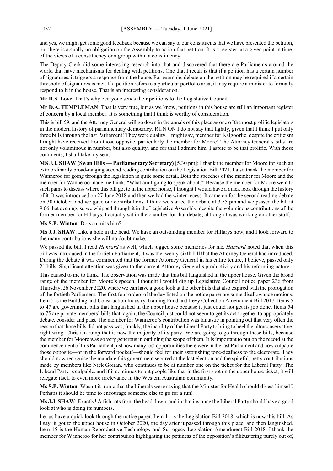and yes, we might get some good feedback because we can say to our constituents that we have presented the petition, but there is actually no obligation on the Assembly to action that petition. It is a register, at a given point in time, of the views of a constituency or a group within a constituency.

The Deputy Clerk did some interesting research into that and discovered that there are Parliaments around the world that have mechanisms for dealing with petitions. One that I recall is that if a petition has a certain number of signatures, it triggers a response from the house. For example, debate on the petition may be required if a certain threshold of signatures is met. If a petition refers to a particular portfolio area, it may require a minister to formally respond to it in the house. That is an interesting consideration.

**Mr R.S. Love**: That's why everyone sends their petitions to the Legislative Council.

**Mr D.A. TEMPLEMAN**: That is very true, but as we know, petitions in this house are still an important register of concern by a local member. It is something that I think is worthy of consideration.

This is bill 59, and the Attorney General will go down in the annals of this place as one of the most prolific legislators in the modern history of parliamentary democracy. RUN ON I do not say that lightly, given that I think I put only three bills through the last Parliament! They were quality, I might say, member for Kalgoorlie, despite the criticism I might have received from those opposite, particularly the member for Moore! The Attorney General's bills are not only voluminous in number, but also quality, and for that I admire him. I aspire to be that prolific. With those comments, I shall take my seat.

**MS J.J. SHAW (Swan Hills — Parliamentary Secretary)** [5.30 pm]: I thank the member for Moore for such an extraordinarily broad-ranging second reading contribution on the Legislation Bill 2021. I also thank the member for Wanneroo for going through the legislation in quite some detail. Both the speeches of the member for Moore and the member for Wanneroo made me think, "What am I going to speak about?" Because the member for Moore went to such pains to discuss where this bill got to in the upper house, I thought I would have a quick look through the history of it. It was introduced on 27 June 2018 and then we had the winter recess. It came on for the second reading debate on 30 October, and we gave our contributions. I think we started the debate at 3.55 pm and we passed the bill at 9.06 that evening, so we whipped through it in the Legislative Assembly, despite the voluminous contributions of the former member for Hillarys. I actually sat in the chamber for that debate, although I was working on other stuff.

#### **Ms S.E. Winton**: Do you miss him?

**Ms J.J. SHAW**: Like a hole in the head. We have an outstanding member for Hillarys now, and I look forward to the many contributions she will no doubt make.

We passed the bill. I read *Hansard* as well, which jogged some memories for me. *Hansard* noted that when this bill was introduced in the fortieth Parliament, it was the twenty-sixth bill that the Attorney General had introduced. During the debate it was commented that the former Attorney General in his entire tenure, I believe, passed only 21 bills. Significant attention was given to the current Attorney General's productivity and his reforming nature.

This caused to me to think. The observation was made that this bill languished in the upper house. Given the broad range of the member for Moore's speech, I thought I would dig up Legislative Council notice paper 236 from Thursday, 26 November 2020, where we can have a good look at the other bills that also expired with the prorogation of the fortieth Parliament. The first four orders of the day listed on the notice paper are some disallowance motions. Item 5 is the Building and Construction Industry Training Fund and Levy Collection Amendment Bill 2017. Items 5 to 47 are government bills that languished in the upper house because it just could not get its job done. Items 54 to 75 are private members' bills that, again, the Council just could not seem to get its act together to appropriately debate, consider and pass. The member for Wanneroo's contribution was fantastic in pointing out that very often the reason that those bills did not pass was, frankly, the inability of the Liberal Party to bring to heel the ultraconservative, right-wing, Christian rump that is now the majority of its party. We are going to go through these bills, because the member for Moore was so very generous in outlining the scope of them. It is important to put on the record at the commencement of this Parliament just how many lost opportunities there were in the last Parliament and how culpable those opposite—or in the forward pocket!—should feel for their astonishing tone-deafness to the electorate. They should now recognise the mandate this government secured at the last election and the spiteful, petty contributions made by members like Nick Goiran, who continues to be at number one on the ticket for the Liberal Party. The Liberal Party is culpable, and if it continues to put people like that in the first spot on the upper house ticket, it will relegate itself to even more irrelevance in the Western Australian community.

**Ms S.E. Winton**: Wasn't it ironic that the Liberals were saying that the Minister for Health should divest himself. Perhaps it should be time to encourage someone else to go for a run!

**Ms J.J. SHAW**: Exactly! A fish rots from the head down, and in that instance the Liberal Party should have a good look at who is doing its numbers.

Let us have a quick look through the notice paper. Item 11 is the Legislation Bill 2018, which is now this bill. As I say, it got to the upper house in October 2020, the day after it passed through this place, and then languished. Item 15 is the Human Reproductive Technology and Surrogacy Legislation Amendment Bill 2018. I thank the member for Wanneroo for her contribution highlighting the pettiness of the opposition's filibustering purely out of,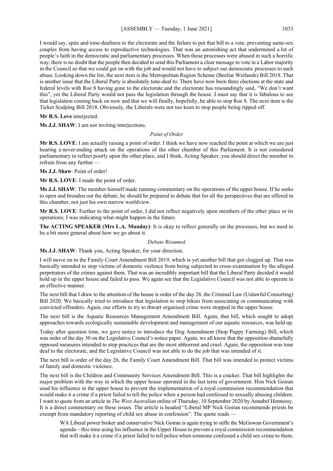I would say, spite and tone-deafness to the electorate and the failure to put that bill to a vote, preventing same-sex couples from having access to reproductive technologies. That was an astonishing act that undermined a lot of people's faith in the democratic and parliamentary processes. When those processes were abused in such a horrific way, there is no doubt that the people then decided to send this Parliament a clear message to vote in a Labor majority in the Council so that we could get on with the job and would not have to subject our democratic processes to such abuse. Looking down the list, the next item is the Metropolitan Region Scheme (Beeliar Wetlands) Bill 2018. That is another issue that the Liberal Party is absolutely tone-deaf to. There have now been three elections at the state and federal levels with Roe 8 having gone to the electorate and the electorate has resoundingly said, "We don't want this", yet the Liberal Party would not pass the legislation through the house. I must say that it is fabulous to see that legislation coming back on now and that we will finally, hopefully, be able to stop Roe 8. The next item is the Ticket Scalping Bill 2018. Obviously, the Liberals were not too keen to stop people being ripped off.

#### **Mr R.S. Love** interjected.

**Ms J.J. SHAW**: I am not inviting interjections.

#### *Point of Order*

**Mr R.S. LOVE**: I am actually raising a point of order. I think we have now reached the point at which we are just hearing a never-ending attack on the operations of the other chamber of this Parliament. It is not considered parliamentary to reflect poorly upon the other place, and I think, Acting Speaker, you should direct the member to refrain from any further —

**Ms J.J. Shaw**: Point of order!

**Mr R.S. LOVE**: I made the point of order.

**Ms J.J. SHAW**: The member himself made running commentary on the operations of the upper house. If he seeks to open and broaden out the debate, he should be prepared to debate that for all the perspectives that are offered in this chamber, not just his own narrow worldview.

**Mr R.S. LOVE**: Further to the point of order, I did not reflect negatively upon members of the other place or its operations; I was indicating what might happen in the future.

**The ACTING SPEAKER (Mrs L.A. Munday)**: It is okay to reflect generally on the processes, but we need to be a bit more general about how we go about it.

#### *Debate Resumed*

**Ms J.J. SHAW**: Thank you, Acting Speaker, for your direction.

I will move on to the Family Court Amendment Bill 2019, which is yet another bill that got clogged up. That was basically intended to stop victims of domestic violence from being subjected to cross-examination by the alleged perpetrators of the crimes against them. That was an incredibly important bill that the Liberal Party decided it would hold up in the upper house and failed to pass. We again see that the Legislative Council was not able to operate in an effective manner.

The next bill that I draw to the attention of the house is order of the day 28, the Criminal Law (Unlawful Consorting) Bill 2020. We basically tried to introduce that legislation to stop bikies from associating or communicating with convicted offenders. Again, our efforts to try to thwart organised crime were stopped in the upper house.

The next bill is the Aquatic Resources Management Amendment Bill. Again, that bill, which sought to adopt approaches towards ecologically sustainable development and management of our aquatic resources, was held up.

Today after question time, we gave notice to introduce the Dog Amendment (Stop Puppy Farming) Bill, which was order of the day 30 on the Legislative Council's notice paper. Again, we all know that the opposition shamefully opposed measures intended to stop practices that are the most abhorrent and cruel. Again, the opposition was tone deaf to the electorate, and the Legislative Council was not able to do the job that was intended of it.

The next bill is order of the day 26, the Family Court Amendment Bill. That bill was intended to protect victims of family and domestic violence.

The next bill is the Children and Community Services Amendment Bill. This is a cracker. That bill highlights the major problem with the way in which the upper house operated in the last term of government. Hon Nick Goiran used his influence in the upper house to prevent the implementation of a royal commission recommendation that would make it a crime if a priest failed to tell the police when a person had confessed to sexually abusing children. I want to quote from an article in *The West Australian* online of Thursday, 10 September 2020 by Annabel Hennessy. It is a direct commentary on these issues. The article is headed "Liberal MP Nick Goiran recommends priests be exempt from mandatory reporting of child sex abuse in confession". The quote reads

WA Liberal power broker and conservative Nick Goiran is again trying to stifle the McGowan Government's agenda—this time using his influence in the Upper House to prevent a royal commission recommendation that will make it a crime if a priest failed to tell police when someone confessed a child sex crime to them.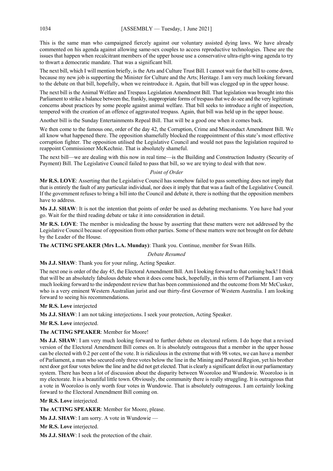This is the same man who campaigned fiercely against our voluntary assisted dying laws. We have already commented on his agenda against allowing same-sex couples to access reproductive technologies. These are the issues that happen when recalcitrant members of the upper house use a conservative ultra-right-wing agenda to try to thwart a democratic mandate. That was a significant bill.

The next bill, which I will mention briefly, is the Arts and Culture Trust Bill. I cannot wait for that bill to come down, because my new job is supporting the Minister for Culture and the Arts; Heritage. I am very much looking forward to the debate on that bill, hopefully, when we reintroduce it. Again, that bill was clogged up in the upper house.

The next bill is the Animal Welfare and Trespass Legislation Amendment Bill. That legislation was brought into this Parliament to strike a balance between the, frankly, inappropriate forms of trespass that we do see and the very legitimate concerns about practices by some people against animal welfare. That bill seeks to introduce a right of inspection, tempered with the creation of an offence of aggravated trespass. Again, that bill was held up in the upper house.

Another bill is the Sunday Entertainments Repeal Bill. That will be a good one when it comes back.

We then come to the famous one, order of the day 42, the Corruption, Crime and Misconduct Amendment Bill. We all know what happened there. The opposition shamefully blocked the reappointment of this state's most effective corruption fighter. The opposition utilised the Legislative Council and would not pass the legislation required to reappoint Commissioner McKechnie. That is absolutely shameful.

The next bill—we are dealing with this now in real time—is the Building and Construction Industry (Security of Payment) Bill. The Legislative Council failed to pass that bill, so we are trying to deal with that now.

#### *Point of Order*

**Mr R.S. LOVE**: Asserting that the Legislative Council has somehow failed to pass something does not imply that that is entirely the fault of any particular individual, nor does it imply that that was a fault of the Legislative Council. If the government refuses to bring a bill into the Council and debate it, there is nothing that the opposition members have to address.

**Ms J.J. SHAW**: It is not the intention that points of order be used as debating mechanisms. You have had your go. Wait for the third reading debate or take it into consideration in detail.

**Mr R.S. LOVE**: The member is misleading the house by asserting that these matters were not addressed by the Legislative Council because of opposition from other parties. Some of these matters were not brought on for debate by the Leader of the House.

**The ACTING SPEAKER (Mrs L.A. Munday)**: Thank you. Continue, member for Swan Hills.

*Debate Resumed*

**Ms J.J. SHAW**: Thank you for your ruling, Acting Speaker.

The next one is order of the day 45, the Electoral Amendment Bill. Am I looking forward to that coming back! I think that will be an absolutely fabulous debate when it does come back, hopefully, in this term of Parliament. I am very much looking forward to the independent review that has been commissioned and the outcome from Mr McCusker, who is a very eminent Western Australian jurist and our thirty-first Governor of Western Australia. I am looking forward to seeing his recommendations.

**Mr R.S. Love** interjected

**Ms J.J. SHAW**: I am not taking interjections. I seek your protection, Acting Speaker.

**Mr R.S. Love** interjected.

**The ACTING SPEAKER**: Member for Moore!

**Ms J.J. SHAW**: I am very much looking forward to further debate on electoral reform. I do hope that a revised version of the Electoral Amendment Bill comes on. It is absolutely outrageous that a member in the upper house can be elected with 0.2 per cent of the vote. It is ridiculous in the extreme that with 98 votes, we can have a member of Parliament, a man who secured only three votes below the line in the Mining and Pastoral Region, yet his brother next door got four votes below the line and he did not get elected. That is clearly a significant defect in our parliamentary system. There has been a lot of discussion about the disparity between Wooroloo and Wundowie. Wooroloo is in my electorate. It is a beautiful little town. Obviously, the community there is really struggling. It is outrageous that a vote in Wooroloo is only worth four votes in Wundowie. That is absolutely outrageous. I am certainly looking forward to the Electoral Amendment Bill coming on.

**Mr R.S. Love** interjected.

**The ACTING SPEAKER**: Member for Moore, please.

**Ms J.J. SHAW**: I am sorry. A vote in Wundowie —

**Mr R.S. Love** interjected.

**Ms J.J. SHAW**: I seek the protection of the chair.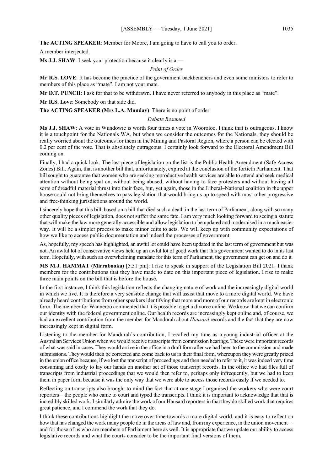**The ACTING SPEAKER**: Member for Moore, I am going to have to call you to order.

A member interjected.

**Ms J.J. SHAW**: I seek your protection because it clearly is a —

*Point of Order*

**Mr R.S. LOVE**: It has become the practice of the government backbenchers and even some ministers to refer to members of this place as "mate". I am not your mate.

**Mr D.T. PUNCH**: I ask for that to be withdrawn. I have never referred to anybody in this place as "mate".

**Mr R.S. Love**: Somebody on that side did.

**The ACTING SPEAKER (Mrs L.A. Munday)**: There is no point of order.

#### *Debate Resumed*

**Ms J.J. SHAW**: A vote in Wundowie is worth four times a vote in Wooroloo. I think that is outrageous. I know it is a touchpoint for the Nationals WA, but when we consider the outcomes for the Nationals, they should be really worried about the outcomes for them in the Mining and Pastoral Region, where a person can be elected with 0.2 per cent of the vote. That is absolutely outrageous. I certainly look forward to the Electoral Amendment Bill coming on.

Finally, I had a quick look. The last piece of legislation on the list is the Public Health Amendment (Safe Access Zones) Bill. Again, that is another bill that, unfortunately, expired at the conclusion of the fortieth Parliament. That bill sought to guarantee that women who are seeking reproductive health services are able to attend and seek medical attention without being spat on, without being abused, without having to face protesters and without having all sorts of dreadful material thrust into their face, but, yet again, those in the Liberal–National coalition in the upper house could not bring themselves to pass legislation that would bring us up to speed with most other progressive and free-thinking jurisdictions around the world.

I sincerely hope that this bill, based on a bill that died such a death in the last term of Parliament, along with so many other quality pieces of legislation, does not suffer the same fate. I am very much looking forward to seeing a statute that will make the law more generally accessible and allow legislation to be updated and modernised in a much easier way. It will be a simpler process to make minor edits to acts. We will keep up with community expectations of how we like to access public documentation and indeed the processes of government.

As, hopefully, my speech has highlighted, an awful lot could have been updated in the last term of government but was not. An awful lot of conservative views held up an awful lot of good work that this government wanted to do in its last term. Hopefully, with such an overwhelming mandate for this term of Parliament, the government can get on and do it.

**MS M.J. HAMMAT (Mirrabooka)** [5.51 pm]: I rise to speak in support of the Legislation Bill 2021. I thank members for the contributions that they have made to date on this important piece of legislation. I rise to make three main points on the bill that is before the house.

In the first instance, I think this legislation reflects the changing nature of work and the increasingly digital world in which we live. It is therefore a very sensible change that will assist that move to a more digital world. We have already heard contributions from other speakers identifying that more and more of our records are kept in electronic form. The member for Wanneroo commented that it is possible to get a divorce online. We know that we can confirm our identity with the federal government online. Our health records are increasingly kept online and, of course, we had an excellent contribution from the member for Mandurah about *Hansard* records and the fact that they are now increasingly kept in digital form.

Listening to the member for Mandurah's contribution, I recalled my time as a young industrial officer at the Australian Services Union when we would receive transcripts from commission hearings. These were important records of what was said in cases. They would arrive in the office in a draft form after we had been to the commission and made submissions. They would then be corrected and come back to us in their final form, whereupon they were greatly prized in the union office because, if we lost the transcript of proceedings and then needed to refer to it, it was indeed very time consuming and costly to lay our hands on another set of those transcript records. In the office we had files full of transcripts from industrial proceedings that we would then refer to, perhaps only infrequently, but we had to keep them in paper form because it was the only way that we were able to access those records easily if we needed to.

Reflecting on transcripts also brought to mind the fact that at one stage I organised the workers who were court reporters—the people who came to court and typed the transcripts. I think it is important to acknowledge that that is incredibly skilled work. I similarly admire the work of our Hansard reporters in that they do skilled work that requires great patience, and I commend the work that they do.

I think these contributions highlight the move over time towards a more digital world, and it is easy to reflect on how that has changed the work many people do in the areas of law and, from my experience, in the union movement and for those of us who are members of Parliament here as well. It is appropriate that we update our ability to access legislative records and what the courts consider to be the important final versions of them.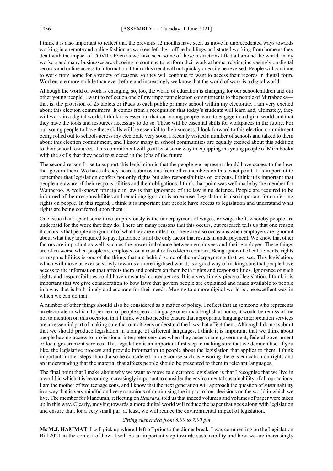I think it is also important to reflect that the previous 12 months have seen us move in unprecedented ways towards working in a remote and online fashion as workers left their office buildings and started working from home as they dealt with the impact of COVID. Even as we have seen some of those restrictions lifted all around the world, many workers and many businesses are choosing to continue to perform their work at home, relying increasingly on digital records and online access to information. I think this trend will not quickly or easily be reversed. People will continue to work from home for a variety of reasons, so they will continue to want to access their records in digital form. Workers are more mobile than ever before and increasingly we know that the world of work is a digital world.

Although the world of work is changing, so, too, the world of education is changing for our schoolchildren and our other young people. I want to reflect on one of my important election commitments to the people of Mirrabooka that is, the provision of 25 tablets or iPads to each public primary school within my electorate. I am very excited about this election commitment. It comes from a recognition that today's students will learn and, ultimately, they will work in a digital world. I think it is essential that our young people learn to engage in a digital world and that they have the tools and resources necessary to do so. These will be essential skills for workplaces in the future. For our young people to have these skills will be essential to their success. I look forward to this election commitment being rolled out to schools across my electorate very soon. I recently visited a number of schools and talked to them about this election commitment, and I know many in school communities are equally excited about this addition to their school resources. This commitment will go at least some way to equipping the young people of Mirrabooka with the skills that they need to succeed in the jobs of the future.

The second reason I rise to support this legislation is that the people we represent should have access to the laws that govern them. We have already heard submissions from other members on this exact point. It is important to remember that legislation confers not only rights but also responsibilities on citizens. I think it is important that people are aware of their responsibilities and their obligations. I think that point was well made by the member for Wanneroo. A well-known principle in law is that ignorance of the law is no defence. People are required to be informed of their responsibilities and remaining ignorant is no excuse. Legislation is also important for conferring rights on people. In this regard, I think it is important that people have access to legislation and understand what rights are being conferred upon them.

One issue that I spent some time on previously is the underpayment of wages, or wage theft, whereby people are underpaid for the work that they do. There are many reasons that this occurs, but research tells us that one reason it occurs is that people are ignorant of what they are entitled to. There are also occasions when employers are ignorant about what they are required to pay. Ignorance is not the only factor that results in underpayment. We know that other factors are important as well, such as the power imbalance between employees and their employer. These things are often worse when people are employed on a casual or fixed-term contract. Being ignorant of entitlements, rights or responsibilities is one of the things that are behind some of the underpayments that we see. This legislation, which will move us ever so slowly towards a more digitised world, is a good way of making sure that people have access to the information that affects them and confers on them both rights and responsibilities. Ignorance of such rights and responsibilities could have unwanted consequences. It is a very timely piece of legislation. I think it is important that we give consideration to how laws that govern people are explained and made available to people in a way that is both timely and accurate for their needs. Moving to a more digital world is one excellent way in which we can do that.

A number of other things should also be considered as a matter of policy. I reflect that as someone who represents an electorate in which 45 per cent of people speak a language other than English at home, it would be remiss of me not to mention on this occasion that I think we also need to ensure that appropriate language interpretation services are an essential part of making sure that our citizens understand the laws that affect them. Although I do not submit that we should produce legislation in a range of different languages, I think it is important that we think about people having access to professional interpreter services when they access state government, federal government or local government services. This legislation is an important first step to making sure that we democratise, if you like, the legislative process and provide information to people about the legislation that applies to them. I think important further steps should also be considered in due course such as ensuring there is education on rights and an understanding that the material that affects people should be presented to them in relevant languages.

The final point that I make about why we want to move to electronic legislation is that I recognise that we live in a world in which it is becoming increasingly important to consider the environmental sustainability of all our actions. I am the mother of two teenage sons, and I know that the next generation will approach the question of sustainability in a way that is very mindful and very conscious of minimising the impact of our decisions on the world in which we live. The member for Mandurah, reflecting on *Hansard*, told us that indeed volumes and volumes of paper were taken up in this way. Clearly, moving towards a more digital world will reduce the paper that goes along with legislation and ensure that, for a very small part at least, we will reduce the environmental impact of legislation.

#### *Sitting suspended from 6.00 to 7.00 pm*

**Ms M.J. HAMMAT**: I will pick up where I left off prior to the dinner break. I was commenting on the Legislation Bill 2021 in the context of how it will be an important step towards sustainability and how we are increasingly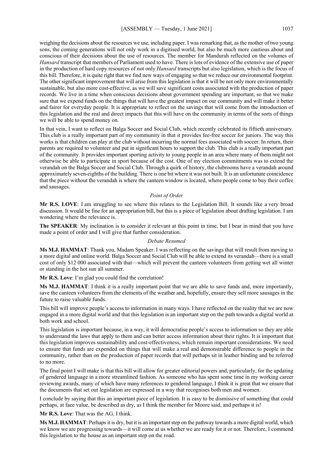weighing the decisions about the resources we use, including paper. I was remarking that, as the mother of two young sons, the coming generations will not only work in a digitised world, but also be much more cautious about and conscious of their decisions about the use of resources. The member for Mandurah reflected on the volumes of *Hansard* transcript that members of Parliament used to have. There is lots of evidence of the extensive use of paper in the production of hard copy resources of not only *Hansard* transcripts but also legislation, which is the focus of this bill. Therefore, it is quite right that we find new ways of engaging so that we reduce our environmental footprint. The other significant improvement that will arise from this legislation is that it will be not only more environmentally sustainable, but also more cost-effective, as we will save significant costs associated with the production of paper records. We live in a time when conscious decisions about government spending are important, so that we make sure that we expend funds on the things that will have the greatest impact on our community and will make it better and fairer for everyday people. It is appropriate to reflect on the savings that will come from the introduction of this legislation and the real and direct impacts that this will have on the community in terms of the sorts of things we will be able to spend money on.

In that vein, I want to reflect on Balga Soccer and Social Club, which recently celebrated its fiftieth anniversary. This club is a really important part of my community in that it provides fee-free soccer for juniors. The way this works is that children can play at the club without incurring the normal fees associated with soccer. In return, their parents are required to volunteer and put in significant hours to support the club. This club is a really important part of the community. It provides important sporting activity to young people in an area where many of them might not otherwise be able to participate in sport because of the cost. One of my election commitments was to extend the verandah on the Balga Soccer and Social Club. Through a quirk of history, the clubrooms have a verandah around approximately seven-eighths of the building. There is one bit where it was not built. It is an unfortunate coincidence that the piece without the verandah is where the canteen window is located, where people come to buy their coffee and sausages.

#### *Point of Order*

**Mr R.S. LOVE**: I am struggling to see where this relates to the Legislation Bill. It sounds like a very broad discussion. It would be fine for an appropriation bill, but this is a piece of legislation about drafting legislation. I am wondering where the relevance is.

**The SPEAKER**: My inclination is to consider it relevant at this point in time, but I bear in mind that you have made a point of order and I will give that further consideration.

#### *Debate Resumed*

**Ms M.J. HAMMAT**: Thank you, Madam Speaker. I was reflecting on the savings that will result from moving to a more digital and online world. Balga Soccer and Social Club will be able to extend its verandah—there is a small cost of only \$12 000 associated with that—which will prevent the canteen volunteers from getting wet all winter or standing in the hot sun all summer.

**Mr R.S. Love**: I'm glad you could find the correlation!

**Ms M.J. HAMMAT**: I think it is a really important point that we are able to save funds and, more importantly, save the canteen volunteers from the elements of the weather and, hopefully, ensure they sell more sausages in the future to raise valuable funds.

This bill will improve people's access to information in many ways. I have reflected on the reality that we are now engaged in a more digital world and that this legislation is an important step on the path towards a digital world at both work and school.

This legislation is important because, in a way, it will democratise people's access to information so they are able to understand the laws that apply to them and can better access information about their rights. It is important that this legislation improves sustainability and cost-effectiveness, which remain important considerations. We need to ensure that funds are expended on things that will make a real and demonstrable difference to people in the community, rather than on the production of paper records that will perhaps sit in leather binding and be referred to no more.

The final point I will make is that this bill will allow for greater editorial powers and, particularly, for the updating of gendered language in a more streamlined fashion. As someone who has spent some time in my working career reviewing awards, many of which have many references to gendered language, I think it is great that we ensure that the documents that set out legislation are expressed in a way that recognises both men and women.

I conclude by saying that this an important piece of legislation. It is easy to be dismissive of something that could perhaps, at face value, be described as dry, as I think the member for Moore said, and perhaps it is!

**Mr R.S. Love**: That was the AG, I think.

**Ms M.J. HAMMAT**: Perhaps it is dry, but it is an important step on the pathway towards a more digital world, which we know we are progressing towards—it will come at us whether we are ready for it or not. Therefore, I commend this legislation to the house as an important step on the road.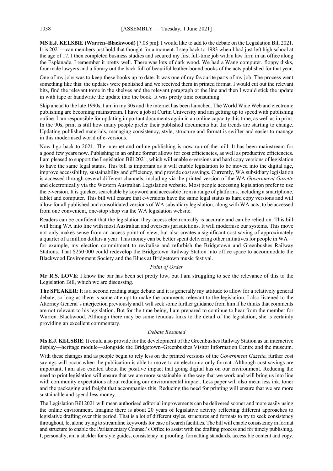**MS E.J. KELSBIE (Warren–Blackwood)** [7.08 pm]: I would like to add to the debate on the Legislation Bill 2021. It is 2021—can members just hold that thought for a moment. I step back to 1983 when I had just left high school at the age of 17. I then completed business studies and secured my first full-time job with a law firm in an office along the Esplanade. I remember it pretty well. There was lots of dark wood. We had a Wang computer, floppy disks, four male lawyers and a library out the back full of beautiful leather-bound books of the acts published for that year.

One of my jobs was to keep these books up to date. It was one of my favourite parts of my job. The process went something like this: the updates were published and we received them in printed format. I would cut out the relevant bits, find the relevant tome in the shelves and the relevant paragraph or the line and then I would stick the update in with tape or handwrite the update into the book. It was pretty time consuming.

Skip ahead to the late 1990s, I am in my 30s and the internet has been launched. The World Wide Web and electronic publishing are becoming mainstream. I have a job at Curtin University and am getting up to speed with publishing online. I am responsible for updating important documents again in an online capacity this time, as well as in print. In the 90s, print is still how many people prefer their published documents but the trends are starting to change. Updating published materials, managing consistency, style, structure and format is swifter and easier to manage in this modernised world of e-versions.

Now I go back to 2021. The internet and online publishing is now run-of-the-mill. It has been mainstream for a good few years now. Publishing in an online format allows for cost efficiencies, as well as productive efficiencies. I am pleased to support the Legislation Bill 2021, which will enable e-versions and hard copy versions of legislation to have the same legal status. This bill is important as it will enable legislation to be moved into the digital age, improve accessibility, sustainability and efficiency, and provide cost savings. Currently, WA subsidiary legislation is accessed through several different channels, including via the printed version of the WA *Government Gazette* and electronically via the Western Australian Legislation website. Most people accessing legislation prefer to use the e-version. It is quicker, searchable by keyword and accessible from a range of platforms, including a smartphone, tablet and computer. This bill will ensure that e-versions have the same legal status as hard copy versions and will allow for all published and consolidated versions of WA subsidiary legislation, along with WA acts, to be accessed from one convenient, one-stop shop via the WA legislation website.

Readers can be confident that the legislation they access electronically is accurate and can be relied on. This bill will bring WA into line with most Australian and overseas jurisdictions. It will modernise our systems. This move not only makes sense from an access point of view, but also creates a significant cost saving of approximately a quarter of a million dollars a year. This money can be better spent delivering other initiatives for people in WA for example, my election commitment to revitalise and refurbish the Bridgetown and Greenbushes Railway Stations. That \$250 000 could redevelop the Bridgetown Railway Station into office space to accommodate the Blackwood Environment Society and the Blues at Bridgetown music festival.

#### *Point of Order*

**Mr R.S. LOVE**: I know the bar has been set pretty low, but I am struggling to see the relevance of this to the Legislation Bill, which we are discussing.

**The SPEAKER**: It is a second reading stage debate and it is generally my attitude to allow for a relatively general debate, so long as there is some attempt to make the comments relevant to the legislation. I also listened to the Attorney General's interjection previously and I will seek some further guidance from him if he thinks that comments are not relevant to his legislation. But for the time being, I am prepared to continue to hear from the member for Warren–Blackwood. Although there may be some tenuous links to the detail of the legislation, she is certainly providing an excellent commentary.

#### *Debate Resumed*

**Ms E.J. KELSBIE**: It could also provide for the development of the Greenbushes Railway Station as an interactive display—heritage module—alongside the Bridgetown–Greenbushes Visitor Information Centre and the museum.

With these changes and as people begin to rely less on the printed versions of the *Government Gazette*, further cost savings will occur when the publication is able to move to an electronic-only format. Although cost savings are important, I am also excited about the positive impact that going digital has on our environment. Reducing the need to print legislation will ensure that we are more sustainable in the way that we work and will bring us into line with community expectations about reducing our environmental impact. Less paper will also mean less ink, toner and the packaging and freight that accompanies this. Reducing the need for printing will ensure that we are more sustainable and spend less money.

The Legislation Bill 2021 will mean authorised editorial improvements can be delivered sooner and more easily using the online environment. Imagine there is about 20 years of legislative activity reflecting different approaches to legislative drafting over this period. That is a lot of different styles, structures and formats to try to seek consistency throughout, let alone trying to streamline keywords for ease of search facilities. The bill will enable consistency in format and structure to enable the Parliamentary Counsel's Office to assist with the drafting process and for timely publishing. I, personally, am a stickler for style guides, consistency in proofing, formatting standards, accessible content and copy.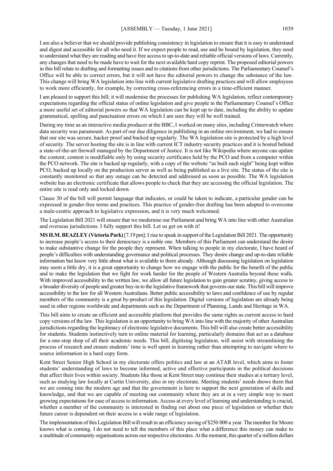I am also a believer that we should provide publishing consistency in legislation to ensure that it is easy to understand and digest and accessible for all who need it. If we expect people to read, use and be bound by legislation, they need to understand what they are reading and have free access to up-to-date and reliable official versions of laws. Currently, any changes that need to be made have to wait for the next available hard copy reprint. The proposed editorial powers in this bill relate to drafting and formatting issues and to citations from other jurisdictions. The Parliamentary Counsel's Office will be able to correct errors, but it will not have the editorial powers to change the substance of the law. This change will bring WA legislation into line with current legislative drafting practices and will allow employees to work more efficiently, for example, by correcting cross-referencing errors in a time-efficient manner.

I am pleased to support this bill; it will modernise the processes for publishing WA legislation, reflect contemporary expectations regarding the official status of online legislation and give people in the Parliamentary Counsel's Office a more useful set of editorial powers so that WA legislation can be kept up to date, including the ability to update grammatical, spelling and punctuation errors on which I am sure they will be well trained.

During my time as an interactive media producer at the BBC, I worked on many sites, including Crimewatch where data security was paramount. As part of our due diligence in publishing in an online environment, we had to ensure that our site was secure, hacker proof and backed up regularly. The WA legislation site is protected by a high level of security. The server hosting the site is in line with current ICT industry security practices and it is hosted behind a state-of-the-art firewall managed by the Department of Justice. It is not like Wikipedia where anyone can update the content; content is modifiable only by using security certificates held by the PCO and from a computer within the PCO network. The site is backed up regularly, with a copy of the website "as built each night" being kept within PCO, backed up locally on the production server as well as being published as a live site. The status of the site is constantly monitored so that any outage can be detected and addressed as soon as possible. The WA legislation website has an electronic certificate that allows people to check that they are accessing the official legislation. The entire site is read only and locked down.

Clause 30 of the bill will permit language that indicates, or could be taken to indicate, a particular gender can be expressed in gender-free terms and practices. This practice of gender-free drafting has been adopted to overcome a male-centric approach to legislative expression, and it is very much welcomed.

The Legislation Bill 2021 will ensure that we modernise our Parliament and bring WA into line with other Australian and overseas jurisdictions. I fully support this bill. Let us get on with it!

**MS H.M. BEAZLEY (Victoria Park)**[7.19 pm]:I rise to speak in support of the Legislation Bill 2021. The opportunity to increase people's access to their democracy is a noble one. Members of this Parliament can understand the desire to make substantive change for the people they represent. When talking to people in my electorate, I have heard of people's difficulties with understanding governance and political processes. They desire change and up-to-date reliable information but know very little about what is available to them already. Although discussing legislation on legislation may seem a little dry, it is a great opportunity to change how we engage with the public for the benefit of the public and to make the legislation that we fight for work harder for the people of Western Australia beyond these walls. With improved accessibility to the written law, we allow all future legislation to gain greater scrutiny, giving access to a broader diversity of people and greater buy-in to the legislative framework that governs our state. This bill will improve accessibility to the law for all Western Australians. Better public accessibility to laws and confidence of use by regular members of the community is a great by-product of this legislation. Digital versions of legislation are already being used in other regions worldwide and departments such as the Department of Planning, Lands and Heritage in WA.

This bill aims to create an efficient and accessible platform that provides the same rights as current access to hard copy versions of the law. This legislation is an opportunity to bring WA into line with the majority of other Australian jurisdictions regarding the legitimacy of electronic legislative documents. This bill will also create better accessibility for students. Students instinctively turn to online material for learning, particularly domains that act as a database for a one-stop shop of all their academic needs. This bill, digitising legislation, will assist with streamlining the process of research and ensure students' time is well spent in learning rather than attempting to navigate where to source information in a hard copy form.

Kent Street Senior High School in my electorate offers politics and law at an ATAR level, which aims to foster students' understanding of laws to become informed, active and effective participants in the political decisions that affect their lives within society. Students like those at Kent Street may continue their studies at a tertiary level, such as studying law locally at Curtin University, also in my electorate. Meeting students' needs shows them that we are coming into the modern age and that the government is here to support the next generation of skills and knowledge, and that we are capable of meeting our community where they are at in a very simple way to meet growing expectations for ease of access to information. Access at every level of learning and understanding is crucial, whether a member of the community is interested in finding out about one piece of legislation or whether their future career is dependent on their access to a wide range of legislation.

The implementation of this Legislation Bill will result in an efficiency saving of \$250 000 a year. The member for Moore knows what is coming. I do not need to tell the members of this place what a difference this money can make to a multitude of community organisations across our respective electorates. At the moment, this quarter of a million dollars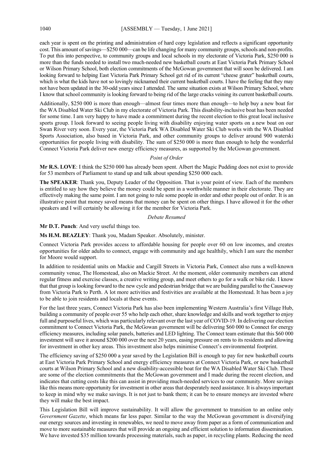each year is spent on the printing and administration of hard copy legislation and reflects a significant opportunity cost. This amount of savings—\$250 000—can be life changing for many community groups, schools and non-profits. To put this into perspective, to community groups and local schools in my electorate of Victoria Park, \$250 000 is more than the funds needed to install two much-needed new basketball courts at East Victoria Park Primary School or Wilson Primary School, both election commitments of the McGowan government that will soon be delivered. I am looking forward to helping East Victoria Park Primary School get rid of its current "cheese grater" basketball courts, which is what the kids have not so lovingly nicknamed their current basketball courts. I have the feeling that they may not have been updated in the 30-odd years since I attended. The same situation exists at Wilson Primary School, where I know that school community is looking forward to being rid of the large cracks veining its current basketball courts.

Additionally, \$250 000 is more than enough—almost four times more than enough—to help buy a new boat for the WA Disabled Water Ski Club in my electorate of Victoria Park. This disability-inclusive boat has been needed for some time. I am very happy to have made a commitment during the recent election to this great local inclusive sports group. I look forward to seeing people living with disability enjoying water sports on a new boat on our Swan River very soon. Every year, the Victoria Park WA Disabled Water Ski Club works with the WA Disabled Sports Association, also based in Victoria Park, and other community groups to deliver around 900 waterski opportunities for people living with disability. The sum of \$250 000 is more than enough to help the wonderful Connect Victoria Park deliver new energy efficiency measures, as supported by the McGowan government.

#### *Point of Order*

**Mr R.S. LOVE**: I think the \$250 000 has already been spent. Albert the Magic Pudding does not exist to provide for 53 members of Parliament to stand up and talk about spending \$250 000 each.

**The SPEAKER**: Thank you, Deputy Leader of the Opposition. That is your point of view. Each of the members is entitled to say how they believe the money could be spent in a worthwhile manner in their electorate. They are effectively making the same point. I am not going to rule some people in order and other people out of order. It is an illustrative point that money saved means that money can be spent on other things. I have allowed it for the other speakers and I will certainly be allowing it for the member for Victoria Park.

# *Debate Resumed*

**Mr D.T. Punch**: And very useful things too.

**Ms H.M. BEAZLEY**: Thank you, Madam Speaker. Absolutely, minister.

Connect Victoria Park provides access to affordable housing for people over 60 on low incomes, and creates opportunities for older adults to connect, engage with community and age healthily, which I am sure the member for Moore would support.

In addition to residential units on Mackie and Cargill Streets in Victoria Park, Connect also runs a well-known community venue, The Homestead, also on Mackie Street. At the moment, older community members can attend regular fitness and exercise classes, a creative writing group, and meet others to go for a walk or bike ride. I know that that group is looking forward to the new cycle and pedestrian bridge that we are building parallel to the Causeway from Victoria Park to Perth. A lot more activities and festivities are available at the Homestead. It has been a joy to be able to join residents and locals at these events.

For the last three years, Connect Victoria Park has also been implementing Western Australia's first Village Hub, building a community of people over 55 who help each other, share knowledge and skills and work together to enjoy full and purposeful lives, which was particularly relevant over the last year of COVID-19. In delivering our election commitment to Connect Victoria Park, the McGowan government will be delivering \$60 000 to Connect for energy efficiency measures, including solar panels, batteries and LED lighting. The Connect team estimate that this \$60 000 investment will save it around \$200 000 over the next 20 years, easing pressure on rents to its residents and allowing for investment in other key areas. This investment also helps minimise Connect's environmental footprint.

The efficiency saving of \$250 000 a year saved by the Legislation Bill is enough to pay for new basketball courts at East Victoria Park Primary School and energy efficiency measures at Connect Victoria Park, or new basketball courts at Wilson Primary School and a new disability-accessible boat for the WA Disabled Water Ski Club. These are some of the election commitments that the McGowan government and I made during the recent election, and indicates that cutting costs like this can assist in providing much-needed services to our community. More savings like this means more opportunity for investment in other areas that desperately need assistance. It is always important to keep in mind why we make savings. It is not just to bank them; it can be to ensure moneys are invested where they will make the best impact.

This Legislation Bill will improve sustainability. It will allow the government to transition to an online only *Government Gazette*, which means far less paper. Similar to the way the McGowan government is diversifying our energy sources and investing in renewables, we need to move away from paper as a form of communication and move to more sustainable measures that will provide an ongoing and efficient solution to information dissemination. We have invested \$35 million towards processing materials, such as paper, in recycling plants. Reducing the need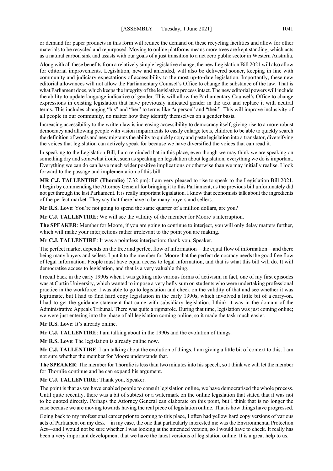or demand for paper products in this form will reduce the demand on these recycling facilities and allow for other materials to be recycled and repurposed. Moving to online platforms means more trees are kept standing, which acts as a natural carbon sink and assists with our goals of a just transition to a net zero public sector in Western Australia.

Along with all these benefits from a relatively simple legislative change, the new Legislation Bill 2021 will also allow for editorial improvements. Legislation, new and amended, will also be delivered sooner, keeping in line with community and judiciary expectations of accessibility to the most up-to-date legislation. Importantly, these new editorial allowances will not allow the Parliamentary Counsel's Office to change the substance of the law. That is what Parliament does, which keeps the integrity of the legislative process intact. The new editorial powers will include the ability to update language indicative of gender. This will allow the Parliamentary Counsel's Office to change expressions in existing legislation that have previously indicated gender in the text and replace it with neutral terms. This includes changing "his" and "her" to terms like "a person" and "their". This will improve inclusivity of all people in our community, no matter how they identify themselves on a gender basis.

Increasing accessibility to the written law is increasing accessibility to democracy itself, giving rise to a more robust democracy and allowing people with vision impairments to easily enlarge texts, children to be able to quickly search the definition of words and new migrants the ability to quickly copy and paste legislation into a translator, diversifying the voices that legislation can actively speak for because we have diversified the voices that can read it.

In speaking to the Legislation Bill, I am reminded that in this place, even though we may think we are speaking on something dry and somewhat ironic, such as speaking on legislation about legislation, everything we do is important. Everything we can do can have much wider positive implications or otherwise than we may initially realise. I look forward to the passage and implementation of this bill.

**MR C.J. TALLENTIRE (Thornlie)** [7.32 pm]: I am very pleased to rise to speak to the Legislation Bill 2021. I begin by commending the Attorney General for bringing it to this Parliament, as the previous bill unfortunately did not get through the last Parliament. It is really important legislation. I know that economists talk about the ingredients of the perfect market. They say that there have to be many buyers and sellers.

**Mr R.S. Love**: You're not going to spend the same quarter of a million dollars, are you?

**Mr C.J. TALLENTIRE**: We will see the validity of the member for Moore's interruption.

**The SPEAKER**: Member for Moore, if you are going to continue to interject, you will only delay matters further, which will make your interjections rather irrelevant to the point you are making.

**Mr C.J. TALLENTIRE**: It was a pointless interjection; thank you, Speaker.

The perfect market depends on the free and perfect flow of information—the equal flow of information—and there being many buyers and sellers. I put it to the member for Moore that the perfect democracy needs the good free flow of legal information. People must have equal access to legal information, and that is what this bill will do. It will democratise access to legislation, and that is a very valuable thing.

I recall back in the early 1990s when I was getting into various forms of activism; in fact, one of my first episodes was at Curtin University, which wanted to impose a very hefty sum on students who were undertaking professional practice in the workforce. I was able to go to legislation and check on the validity of that and see whether it was legitimate, but I had to find hard copy legislation in the early 1990s, which involved a little bit of a carry-on. I had to get the guidance statement that came with subsidiary legislation. I think it was in the domain of the Administrative Appeals Tribunal. There was quite a rigmarole. During that time, legislation was just coming online; we were just entering into the phase of all legislation coming online, so it made the task much easier.

**Mr R.S. Love**: It's already online.

**Mr C.J. TALLENTIRE**: I am talking about in the 1990s and the evolution of things.

**Mr R.S. Love**: The legislation is already online now.

**Mr C.J. TALLENTIRE**: I am talking about the evolution of things. I am giving a little bit of context to this. I am not sure whether the member for Moore understands that.

**The SPEAKER**: The member for Thornlie is less than two minutes into his speech, so I think we will let the member for Thornlie continue and he can expand his argument.

**Mr C.J. TALLENTIRE**: Thank you, Speaker.

The point is that as we have enabled people to consult legislation online, we have democratised the whole process. Until quite recently, there was a bit of subtext or a watermark on the online legislation that stated that it was not to be quoted directly. Perhaps the Attorney General can elaborate on this point, but I think that is no longer the case because we are moving towards having the real piece of legislation online. That is how things have progressed.

Going back to my professional career prior to coming to this place, I often had yellow hard copy versions of various acts of Parliament on my desk—in my case, the one that particularly interested me was the Environmental Protection Act—and I would not be sure whether I was looking at the amended version, so I would have to check. It really has been a very important development that we have the latest versions of legislation online. It is a great help to us.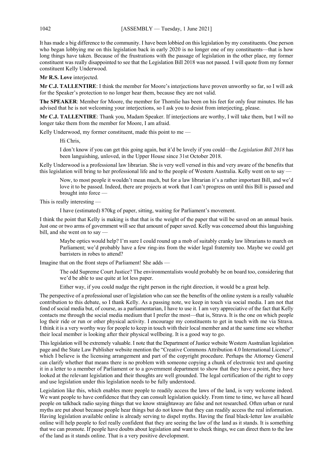It has made a big difference to the community. I have been lobbied on this legislation by my constituents. One person who began lobbying me on this legislation back in early 2020 is no longer one of my constituents—that is how long things have taken. Because of the frustrations with the passage of legislation in the other place, my former constituent was really disappointed to see that the Legislation Bill 2018 was not passed. I will quote from my former constituent Kelly Underwood.

**Mr R.S. Love** interjected.

**Mr C.J. TALLENTIRE**: I think the member for Moore's interjections have proven unworthy so far, so I will ask for the Speaker's protection to no longer hear them, because they are not valid.

**The SPEAKER**: Member for Moore, the member for Thornlie has been on his feet for only four minutes. He has advised that he is not welcoming your interjections, so I ask you to desist from interjecting, please.

**Mr C.J. TALLENTIRE**: Thank you, Madam Speaker. If interjections are worthy, I will take them, but I will no longer take them from the member for Moore, I am afraid.

Kelly Underwood, my former constituent, made this point to me —

Hi Chris,

I don't know if you can get this going again, but it'd be lovely if you could—the *Legislation Bill 2018* has been languishing, unloved, in the Upper House since 31st October 2018.

Kelly Underwood is a professional law librarian. She is very well versed in this and very aware of the benefits that this legislation will bring to her professional life and to the people of Western Australia. Kelly went on to say -

Now, to most people it wouldn't mean much, but for a law librarian it's a rather important Bill, and we'd love it to be passed. Indeed, there are projects at work that I can't progress on until this Bill is passed and brought into force -

This is really interesting —

I have (estimated) 870kg of paper, sitting, waiting for Parliament's movement.

I think the point that Kelly is making is that that is the weight of the paper that will be saved on an annual basis. Just one or two arms of government will see that amount of paper saved. Kelly was concerned about this languishing bill, and she went on to say -

Maybe optics would help? I'm sure I could round up a mob of suitably cranky law librarians to march on Parliament; we'd probably have a few ring-ins from the wider legal fraternity too. Maybe we could get barristers in robes to attend?

Imagine that on the front steps of Parliament! She adds —

The odd Supreme Court Justice? The environmentalists would probably be on board too, considering that we'd be able to use quite at lot less paper.

Either way, if you could nudge the right person in the right direction, it would be a great help.

The perspective of a professional user of legislation who can see the benefits of the online system is a really valuable contribution to this debate, so I thank Kelly. As a passing note, we keep in touch via social media. I am not that fond of social media but, of course, as a parliamentarian, I have to use it. I am very appreciative of the fact that Kelly contacts me through the social media medium that I prefer the most—that is, Strava. It is the one on which people log their ride or run or other physical activity. I encourage my constituents to get in touch with me via Strava. I think it is a very worthy way for people to keep in touch with their local member and at the same time see whether their local member is looking after their physical wellbeing. It is a good way to go.

This legislation will be extremely valuable. I note that the Department of Justice website Western Australian legislation page and the State Law Publisher website mention the "Creative Commons Attribution 4.0 International Licence", which I believe is the licensing arrangement and part of the copyright procedure. Perhaps the Attorney General can clarify whether that means there is no problem with someone copying a chunk of electronic text and quoting it in a letter to a member of Parliament or to a government department to show that they have a point, they have looked at the relevant legislation and their thoughts are well grounded. The legal certification of the right to copy and use legislation under this legislation needs to be fully understood.

Legislation like this, which enables more people to readily access the laws of the land, is very welcome indeed. We want people to have confidence that they can consult legislation quickly. From time to time, we have all heard people on talkback radio saying things that we know straightaway are false and not researched. Often urban or rural myths are put about because people hear things but do not know that they can readily access the real information. Having legislation available online is already serving to dispel myths. Having the final black-letter law available online will help people to feel really confident that they are seeing the law of the land as it stands. It is something that we can promote. If people have doubts about legislation and want to check things, we can direct them to the law of the land as it stands online. That is a very positive development.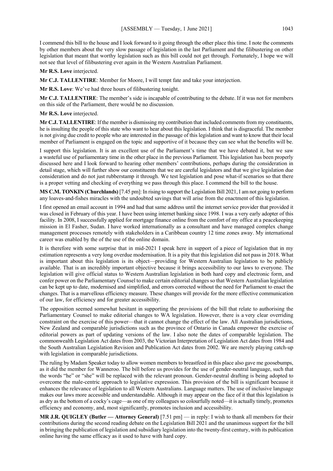I commend this bill to the house and I look forward to it going through the other place this time. I note the comments by other members about the very slow passage of legislation in the last Parliament and the filibustering on other legislation that meant that worthy legislation such as this bill could not get through. Fortunately, I hope we will not see that level of filibustering ever again in the Western Australian Parliament.

**Mr R.S. Love** interjected.

**Mr C.J. TALLENTIRE**: Member for Moore, I will tempt fate and take your interjection.

**Mr R.S. Love**: We've had three hours of filibustering tonight.

**Mr C.J. TALLENTIRE**: The member's side is incapable of contributing to the debate. If it was not for members on this side of the Parliament, there would be no discussion.

**Mr R.S. Love** interjected.

**Mr C.J. TALLENTIRE**: If the member is dismissing my contribution that included comments from my constituents, he is insulting the people of this state who want to hear about this legislation. I think that is disgraceful. The member is not giving due credit to people who are interested in the passage of this legislation and want to know that their local member of Parliament is engaged on the topic and supportive of it because they can see what the benefits will be.

I support this legislation. It is an excellent use of the Parliament's time that we have debated it, but we saw a wasteful use of parliamentary time in the other place in the previous Parliament. This legislation has been properly discussed here and I look forward to hearing other members' contributions, perhaps during the consideration in detail stage, which will further show our constituents that we are careful legislators and that we give legislation due consideration and do not just rubberstamp it through. We test legislation and pose what-if scenarios so that there is a proper vetting and checking of everything we pass through this place. I commend the bill to the house.

**MS C.M. TONKIN (Churchlands)** [7.45 pm]: In rising to support the Legislation Bill 2021, I am not going to perform any loaves-and-fishes miracles with the undoubted savings that will arise from the enactment of this legislation.

I first opened an email account in 1994 and had that same address until the internet service provider that provided it was closed in February of this year. I have been using internet banking since 1998. I was a very early adopter of this facility. In 2008, I successfully applied for mortgage finance online from the comfort of my office at a peacekeeping mission in El Fasher, Sudan. I have worked internationally as a consultant and have managed complex change management processes remotely with stakeholders in a Caribbean country 12 time zones away. My international career was enabled by the of the use of the online domain.

It is therefore with some surprise that in mid-2021 I speak here in support of a piece of legislation that in my estimation represents a very long overdue modernisation. It is a pity that this legislation did not pass in 2018. What is important about this legislation is its object—providing for Western Australian legislation to be publicly available. That is an incredibly important objective because it brings accessibility to our laws to everyone. The legislation will give official status to Western Australian legislation in both hard copy and electronic form, and confer power on the Parliamentary Counsel to make certain editorial changes so that Western Australian legislation can be kept up to date, modernised and simplified, and errors corrected without the need for Parliament to enact the changes. That is a marvellous efficiency measure. These changes will provide for the more effective communication of our law, for efficiency and for greater accessibility.

The opposition seemed somewhat hesitant in supporting the provisions of the bill that relate to authorising the Parliamentary Counsel to make editorial changes to WA legislation. However, there is a very clear overriding constraint on the exercise of this power—that it cannot change the effect of the law. All Australian jurisdictions, New Zealand and comparable jurisdictions such as the province of Ontario in Canada empower the exercise of editorial powers as part of updating versions of the law. I also note the dates of comparable legislation. The commonwealth Legislation Act dates from 2003, the Victorian Interpretation of Legislation Act dates from 1984 and the South Australian Legislation Revision and Publication Act dates from 2002. We are merely playing catch-up with legislation in comparable jurisdictions.

The ruling by Madam Speaker today to allow women members to breastfeed in this place also gave me goosebumps, as it did the member for Wanneroo. The bill before us provides for the use of gender-neutral language, such that the words "he" or "she" will be replaced with the relevant pronoun. Gender-neutral drafting is being adopted to overcome the male-centric approach to legislative expression. This provision of the bill is significant because it enhances the relevance of legislation to all Western Australians. Language matters. The use of inclusive language makes our laws more accessible and understandable. Although it may appear on the face of it that this legislation is as dry as the bottom of a cocky's cage—as one of my colleagues so colourfully noted—it is actually timely, promotes efficiency and economy, and, most significantly, promotes inclusion and accessibility.

**MR J.R. QUIGLEY (Butler — Attorney General)** [7.51 pm] — in reply: I wish to thank all members for their contributions during the second reading debate on the Legislation Bill 2021 and the unanimous support for the bill in bringing the publication of legislation and subsidiary legislation into the twenty-first century, with its publication online having the same efficacy as it used to have with hard copy.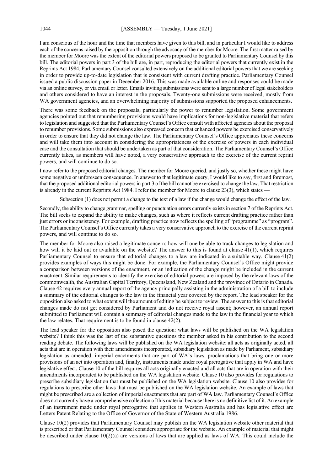I am conscious of the hour and the time that members have given to this bill, and in particular I would like to address each of the concerns raised by the opposition through the advocacy of the member for Moore. The first matter raised by the member for Moore was the extent of the editorial powers proposed to be granted to Parliamentary Counsel by this bill. The editorial powers in part 3 of the bill are, in part, reproducing the editorial powers that currently exist in the Reprints Act 1984. Parliamentary Counsel consulted extensively on the additional editorial powers that we are seeking in order to provide up-to-date legislation that is consistent with current drafting practice. Parliamentary Counsel issued a public discussion paper in December 2016. This was made available online and responses could be made via an online survey, or via email or letter. Emails inviting submissions were sent to a large number of legal stakeholders and others considered to have an interest in the proposals. Twenty-one submissions were received, mostly from WA government agencies, and an overwhelming majority of submissions supported the proposed enhancements.

There was some feedback on the proposals, particularly the power to renumber legislation. Some government agencies pointed out that renumbering provisions would have implications for non-legislative material that refers to legislation and suggested that the Parliamentary Counsel's Office consult with affected agencies about the proposal to renumber provisions. Some submissions also expressed concern that enhanced powers be exercised conservatively in order to ensure that they did not change the law. The Parliamentary Counsel's Office appreciates these concerns and will take them into account in considering the appropriateness of the exercise of powers in each individual case and the consultation that should be undertaken as part of that consideration. The Parliamentary Counsel's Office currently takes, as members will have noted, a very conservative approach to the exercise of the current reprint powers, and will continue to do so.

I now refer to the proposed editorial changes. The member for Moore queried, and justly so, whether these might have some negative or unforeseen consequence. In answer to that legitimate query, I would like to say, first and foremost, that the proposed additional editorial powers in part 3 of the bill cannot be exercised to change the law. That restriction is already in the current Reprints Act 1984. I refer the member for Moore to clause  $23(3)$ , which states

Subsection (1) does not permit a change to the text of a law if the change would change the effect of the law.

Secondly, the ability to change grammar, spelling or punctuation errors currently exists in section 7 of the Reprints Act. The bill seeks to expand the ability to make changes, such as where it reflects current drafting practice rather than just errors or inconsistency. For example, drafting practice now reflects the spelling of "programme" as "program". The Parliamentary Counsel's Office currently takes a very conservative approach to the exercise of the current reprint powers, and will continue to do so.

The member for Moore also raised a legitimate concern: how will one be able to track changes to legislation and how will it be laid out or available on the website? The answer to this is found at clause 41(1), which requires Parliamentary Counsel to ensure that editorial changes to a law are indicated in a suitable way. Clause 41(2) provides examples of ways this might be done. For example, the Parliamentary Counsel's Office might provide a comparison between versions of the enactment, or an indication of the change might be included in the current enactment. Similar requirements to identify the exercise of editorial powers are imposed by the relevant laws of the commonwealth, the Australian Capital Territory, Queensland, New Zealand and the province of Ontario in Canada. Clause 42 requires every annual report of the agency principally assisting in the administration of a bill to include a summary of the editorial changes to the law in the financial year covered by the report. The lead speaker for the opposition also asked to what extent will the amount of editing be subject to review. The answer to this is that editorial changes made do not get considered by Parliament and do not receive royal assent; however, an annual report submitted to Parliament will contain a summary of editorial changes made to the law in the financial year to which the law relates. That requirement is to be found in clause 42(2).

The lead speaker for the opposition also posed the question: what laws will be published on the WA legislation website? I think this was the last of the substantive questions the member asked in his contribution to the second reading debate. The following laws will be published on the WA legislation website: all acts as originally acted, all acts that are in operation with their amendments incorporated, subsidiary legislation as made by Parliament, subsidiary legislation as amended, imperial enactments that are part of WA's laws, proclamations that bring one or more provisions of an act into operation and, finally, instruments made under royal prerogative that apply in WA and have legislative effect. Clause 10 of the bill requires all acts originally enacted and all acts that are in operation with their amendments incorporated to be published on the WA legislation website. Clause 10 also provides for regulations to prescribe subsidiary legislation that must be published on the WA legislation website. Clause 10 also provides for regulations to prescribe other laws that must be published on the WA legislation website. An example of laws that might be prescribed are a collection of imperial enactments that are part of WA law. Parliamentary Counsel's Office does not currently have a comprehensive collection of this material because there is no definitive list of it. An example of an instrument made under royal prerogative that applies in Western Australia and has legislative effect are Letters Patent Relating to the Office of Governor of the State of Western Australia 1986.

Clause 10(2) provides that Parliamentary Counsel may publish on the WA legislation website other material that is prescribed or that Parliamentary Counsel considers appropriate for the website. An example of material that might be described under clause  $10(2)(a)$  are versions of laws that are applied as laws of WA. This could include the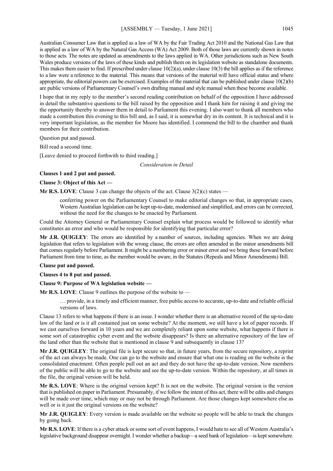Australian Consumer Law that is applied as a law of WA by the Fair Trading Act 2010 and the National Gas Law that is applied as a law of WA by the Natural Gas Access (WA) Act 2009. Both of those laws are currently shown in notes to those acts. The notes are updated as amendments to the laws applied in WA. Other jurisdictions such as New South Wales produce versions of the laws of these kinds and publish them on its legislation website as standalone documents. This makes them easier to find. If prescribed under clause  $10(2)(a)$ , under clause  $10(3)$  the bill applies as if the reference to a law were a reference to the material. This means that versions of the material will have official status and where appropriate, the editorial powers can be exercised. Examples of the material that can be published under clause  $10(2)(b)$ are public versions of Parliamentary Counsel's own drafting manual and style manual when these become available.

I hope that in my reply to the member's second reading contribution on behalf of the opposition I have addressed in detail the substantive questions to the bill raised by the opposition and I thank him for raising it and giving me the opportunity thereby to answer them in detail to Parliament this evening. I also want to thank all members who made a contribution this evening to this bill and, as I said, it is somewhat dry in its content. It is technical and it is very important legislation, as the member for Moore has identified. I commend the bill to the chamber and thank members for their contribution.

Question put and passed.

Bill read a second time.

[Leave denied to proceed forthwith to third reading.]

*Consideration in Detail*

#### **Clauses 1 and 2 put and passed.**

#### **Clause 3: Object of this Act —**

**Mr R.S. LOVE**: Clause 3 can change the objects of the act. Clause 3(2)(c) states —

conferring power on the Parliamentary Counsel to make editorial changes so that, in appropriate cases, Western Australian legislation can be kept up-to-date, modernised and simplified, and errors can be corrected, without the need for the changes to be enacted by Parliament.

Could the Attorney General or Parliamentary Counsel explain what process would be followed to identify what constitutes an error and who would be responsible for identifying that particular error?

**Mr J.R. QUIGLEY**: The errors are identified by a number of sources, including agencies. When we are doing legislation that refers to legislation with the wrong clause, the errors are often amended in the minor amendments bill that comes regularly before Parliament. It might be a numbering error or minor error and we bring these forward before Parliament from time to time, as the member would be aware, in the Statutes (Repeals and Minor Amendments) Bill.

#### **Clause put and passed.**

**Clauses 4 to 8 put and passed.**

#### **Clause 9: Purpose of WA legislation website —**

**Mr R.S. LOVE**: Clause 9 outlines the purpose of the website to —

… provide, in a timely and efficient manner, free public access to accurate, up-to-date and reliable official versions of laws.

Clause 13 refers to what happens if there is an issue. I wonder whether there is an alternative record of the up-to-date law of the land or is it all contained just on some website? At the moment, we still have a lot of paper records. If we cast ourselves forward in 10 years and we are completely reliant upon some website, what happens if there is some sort of catastrophic cyber event and the website disappears? Is there an alternative repository of the law of the land other than the website that is mentioned in clause 9 and subsequently in clause 13?

**Mr J.R. QUIGLEY**: The original file is kept secure so that, in future years, from the secure repository, a reprint of the act can always be made. One can go to the website and ensure that what one is reading on the website is the consolidated enactment. Often people pull out an act and they do not have the up-to-date version. Now members of the public will be able to go to the website and see the up-to-date version. Within the repository, at all times in the file, the original version will be held.

**Mr R.S. LOVE**: Where is the original version kept? It is not on the website. The original version is the version that is published on paper in Parliament. Presumably, if we follow the intent of this act, there will be edits and changes will be made over time, which may or may not be through Parliament. Are those changes kept somewhere else as well or is it just the original versions on the website?

**Mr J.R. QUIGLEY**: Every version is made available on the website so people will be able to track the changes by going back.

**Mr R.S. LOVE**: If there is a cyber attack or some sort of event happens, I would hate to see all of Western Australia's legislative background disappear overnight. I wonder whether a backup—a seed bank of legislation—is kept somewhere.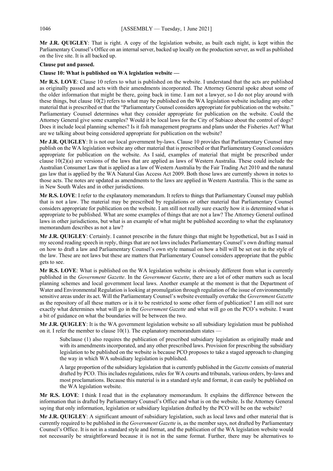**Mr J.R. QUIGLEY**: That is right. A copy of the legislation website, as built each night, is kept within the Parliamentary Counsel's Office on an internal server, backed up locally on the production server, as well as published on the live site. It is all backed up.

# **Clause put and passed.**

# **Clause 10: What is published on WA legislation website —**

**Mr R.S. LOVE**: Clause 10 refers to what is published on the website. I understand that the acts are published as originally passed and acts with their amendments incorporated. The Attorney General spoke about some of the older information that might be there, going back in time. I am not a lawyer, so I do not play around with these things, but clause 10(2) refers to what may be published on the WA legislation website including any other material that is prescribed or that the "Parliamentary Counsel considers appropriate for publication on the website." Parliamentary Counsel determines what they consider appropriate for publication on the website. Could the Attorney General give some examples? Would it be local laws for the City of Subiaco about the control of dogs? Does it include local planning schemes? Is it fish management programs and plans under the Fisheries Act? What are we talking about being considered appropriate for publication on the website?

**Mr J.R. QUIGLEY**: It is not our local government by-laws. Clause 10 provides that Parliamentary Counsel may publish on the WA legislation website any other material that is prescribed or that Parliamentary Counsel considers appropriate for publication on the website. As I said, examples of material that might be prescribed under clause 10(2)(a) are versions of the laws that are applied as laws of Western Australia. These could include the Australian Consumer Law that is applied as a law of Western Australia by the Fair Trading Act 2010 and the natural gas law that is applied by the WA Natural Gas Access Act 2009. Both those laws are currently shown in notes to those acts. The notes are updated as amendments to the laws are applied in Western Australia. This is the same as in New South Wales and in other jurisdictions.

**Mr R.S. LOVE**: I refer to the explanatory memorandum. It refers to things that Parliamentary Counsel may publish that is not a law. The material may be prescribed by regulations or other material that Parliamentary Counsel considers appropriate for publication on the website. I am still not really sure exactly how it is determined what is appropriate to be published. What are some examples of things that are not a law? The Attorney General outlined laws in other jurisdictions, but what is an example of what might be published according to what the explanatory memorandum describes as not a law?

**Mr J.R. QUIGLEY**: Certainly. I cannot prescribe in the future things that might be hypothetical, but as I said in my second reading speech in reply, things that are not laws includes Parliamentary Counsel's own drafting manual on how to draft a law and Parliamentary Counsel's own style manual on how a bill will be set out in the style of the law. These are not laws but these are matters that Parliamentary Counsel considers appropriate that the public gets to see.

**Mr R.S. LOVE**: What is published on the WA legislation website is obviously different from what is currently published in the *Government Gazette*. In the *Government Gazette*, there are a lot of other matters such as local planning schemes and local government local laws. Another example at the moment is that the Department of Water and Environmental Regulation is looking at promulgation through regulation of the issue of environmentally sensitive areas under its act. Will the Parliamentary Counsel's website eventually overtake the *Government Gazette* as the repository of all these matters or is it to be restricted to some other form of publication? I am still not sure exactly what determines what will go in the *Government Gazette* and what will go on the PCO's website. I want a bit of guidance on what the boundaries will be between the two.

**Mr J.R. QUIGLEY**: It is the WA government legislation website so all subsidiary legislation must be published on it. I refer the member to clause  $10(1)$ . The explanatory memorandum states –

Subclause (1) also requires the publication of prescribed subsidiary legislation as originally made and with its amendments incorporated, and any other prescribed laws. Provision for prescribing the subsidiary legislation to be published on the website is because PCO proposes to take a staged approach to changing the way in which WA subsidiary legislation is published.

A large proportion of the subsidiary legislation that is currently published in the *Gazette* consists of material drafted by PCO. This includes regulations, rules for WA courts and tribunals, various orders, by-laws and most proclamations. Because this material is in a standard style and format, it can easily be published on the WA legislation website.

**Mr R.S. LOVE**: I think I read that in the explanatory memorandum. It explains the difference between the information that is drafted by Parliamentary Counsel's Office and what is on the website. Is the Attorney General saying that only information, legislation or subsidiary legislation drafted by the PCO will be on the website?

**Mr J.R. QUIGLEY**: A significant amount of subsidiary legislation, such as local laws and other material that is currently required to be published in the *Government Gazette* is, as the member says, not drafted by Parliamentary Counsel's Office. It is not in a standard style and format, and the publication of the WA legislation website would not necessarily be straightforward because it is not in the same format. Further, there may be alternatives to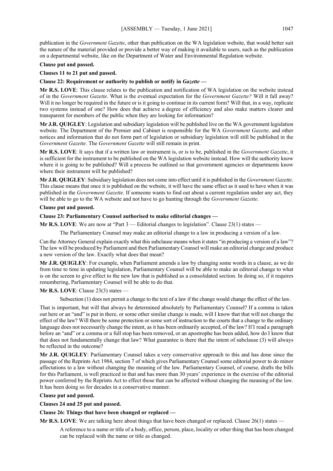publication in the *Government Gazette*, other than publication on the WA legislation website, that would better suit the nature of the material provided or provide a better way of making it available to users, such as the publication on a departmental website, like on the Department of Water and Environmental Regulation website.

#### **Clause put and passed.**

**Clauses 11 to 21 put and passed.**

# **Clause 22: Requirement or authority to publish or notify in** *Gazette* **—**

**Mr R.S. LOVE**: This clause relates to the publication and notification of WA legislation on the website instead of in the *Government Gazette*. What is the eventual expectation for the *Government Gazette?* Will it fall away? Will it no longer be required in the future or is it going to continue in its current form? Will that, in a way, replicate two systems instead of one? How does that achieve a degree of efficiency and also make matters clearer and transparent for members of the public when they are looking for information?

**Mr J.R. QUIGLEY**: Legislation and subsidiary legislation will be published live on the WA government legislation website. The Department of the Premier and Cabinet is responsible for the WA *Government Gazette,* and other notices and information that do not form part of legislation or subsidiary legislation will still be published in the *Government Gazette*. The *Government Gazette* will still remain in print.

**Mr R.S. LOVE**: It says that if a written law or instrument is, or is to be, published in the *Government Gazette*, it is sufficient for the instrument to be published on the WA legislation website instead. How will the authority know where it is going to be published? Will a process be outlined so that government agencies or departments know where their instrument will be published?

**Mr J.R. QUIGLEY**: Subsidiary legislation does not come into effect until it is published in the *Government Gazette*. This clause means that once it is published on the website, it will have the same effect as it used to have when it was published in the *Government Gazette*. If someone wants to find out about a current regulation under any act, they will be able to go to the WA website and not have to go hunting through the *Government Gazette*.

#### **Clause put and passed.**

#### **Clause 23: Parliamentary Counsel authorised to make editorial changes —**

**Mr R.S. LOVE**: We are now at "Part 3 — Editorial changes to legislation". Clause 23(1) states —

The Parliamentary Counsel may make an editorial change to a law in producing a version of a law.

Can the Attorney General explain exactly what this subclause means when it states "in producing a version of a law"? The law will be produced by Parliament and then Parliamentary Counsel will make an editorial change and produce a new version of the law. Exactly what does that mean?

**Mr J.R. QUIGLEY**: For example, when Parliament amends a law by changing some words in a clause, as we do from time to time in updating legislation, Parliamentary Counsel will be able to make an editorial change to what is on the screen to give effect to the new law that is published as a consolidated section. In doing so, if it requires renumbering, Parliamentary Counsel will be able to do that.

# **Mr R.S. LOVE**: Clause 23(3) states —

Subsection (1) does not permit a change to the text of a law if the change would change the effect of the law.

That is important, but will that always be determined absolutely by Parliamentary Counsel? If a comma is taken out here or an "and" is put in there, or some other similar change is made, will I know that that will not change the effect of the law? Will there be some protection or some sort of instruction to the courts that a change to the ordinary language does not necessarily change the intent, as it has been ordinarily accepted, of the law? If I read a paragraph before an "and" or a comma or a full stop has been removed, or an apostrophe has been added, how do I know that that does not fundamentally change that law? What guarantee is there that the intent of subclause (3) will always be reflected in the outcome?

**Mr J.R. QUIGLEY**: Parliamentary Counsel takes a very conservative approach to this and has done since the passage of the Reprints Act 1984, section 7 of which gives Parliamentary Counsel some editorial power to do minor affectations to a law without changing the meaning of the law. Parliamentary Counsel, of course, drafts the bills for this Parliament, is well practiced in that and has more than 30 years' experience in the exercise of the editorial power conferred by the Reprints Act to effect those that can be affected without changing the meaning of the law. It has been doing so for decades in a conservative manner.

#### **Clause put and passed.**

**Clauses 24 and 25 put and passed.**

#### **Clause 26: Things that have been changed or replaced —**

**Mr R.S. LOVE**: We are talking here about things that have been changed or replaced. Clause 26(1) states —

A reference to a name or title of a body, office, person, place, locality or other thing that has been changed can be replaced with the name or title as changed.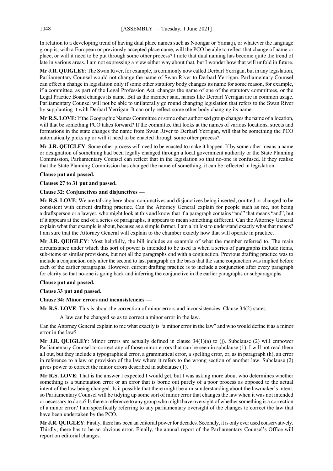In relation to a developing trend of having dual place names such as Noongar or Yamatji, or whatever the language group is, with a European or previously accepted place name, will the PCO be able to reflect that change of name or place, or will it need to be put through some other process? I note that dual naming has become quite the trend of late in various areas. I am not expressing a view either way about that, but I wonder how that will unfold in future.

**Mr J.R. QUIGLEY**: The Swan River, for example, is commonly now called Derbarl Yerrigan, but in any legislation, Parliamentary Counsel would not change the name of Swan River to Derbarl Yerrigan. Parliamentary Counsel can effect a change in legislation only if some other statutory body changes its name for some reason, for example, if a committee, as part of the Legal Profession Act, changes the name of one of the statutory committees, or the Legal Practice Board changes its name. But as the member said, names like Derbarl Yerrigan are in common usage. Parliamentary Counsel will not be able to unilaterally go round changing legislation that refers to the Swan River by supplanting it with Derbarl Yerrigan. It can only reflect some other body changing its name.

**Mr R.S. LOVE**: If the Geographic Names Committee or some other authorised group changes the name of a location, will that be something PCO takes forward? If the committee that looks at the names of various locations, streets and formations in the state changes the name from Swan River to Derbarl Yerrigan, will that be something the PCO automatically picks up or will it need to be enacted through some other process?

**Mr J.R. QUIGLEY**: Some other process will need to be enacted to make it happen. If by some other means a name or designation of something had been legally changed through a local government authority or the State Planning Commission, Parliamentary Counsel can reflect that in the legislation so that no-one is confused. If they realise that the State Planning Commission has changed the name of something, it can be reflected in legislation.

#### **Clause put and passed.**

# **Clauses 27 to 31 put and passed.**

# **Clause 32: Conjunctives and disjunctives —**

**Mr R.S. LOVE**: We are talking here about conjunctives and disjunctives being inserted, omitted or changed to be consistent with current drafting practice. Can the Attorney General explain for people such as me, not being a draftsperson or a lawyer, who might look at this and know that if a paragraph contains "and" that means "and", but if it appears at the end of a series of paragraphs, it appears to mean something different. Can the Attorney General explain what that example is about, because as a simple farmer, I am a bit lost to understand exactly what that means? I am sure that the Attorney General will explain to the chamber exactly how that will operate in practice.

**Mr J.R. QUIGLEY**: Most helpfully, the bill includes an example of what the member referred to. The main circumstance under which this sort of power is intended to be used is when a series of paragraphs include items, sub-items or similar provisions, but not all the paragraphs end with a conjunction. Previous drafting practice was to include a conjunction only after the second to last paragraph on the basis that the same conjunction was implied before each of the earlier paragraphs. However, current drafting practice is to include a conjunction after every paragraph for clarity so that no-one is going back and inferring the conjunctive in the earlier paragraphs or subparagraphs.

#### **Clause put and passed.**

#### **Clause 33 put and passed.**

# **Clause 34: Minor errors and inconsistencies —**

**Mr R.S. LOVE**: This is about the correction of minor errors and inconsistencies. Clause 34(2) states —

A law can be changed so as to correct a minor error in the law.

Can the Attorney General explain to me what exactly is "a minor error in the law" and who would define it as a minor error in the law?

**Mr J.R. QUIGLEY**: Minor errors are actually defined in clause 34(1)(a) to (j). Subclause (2) will empower Parliamentary Counsel to correct any of those minor errors that can be seen in subclause (1). I will not read them all out, but they include a typographical error, a grammatical error, a spelling error, or, as in paragraph (h), an error in reference to a law or provision of the law where it refers to the wrong section of another law. Subclause (2) gives power to correct the minor errors described in subclause (1).

**Mr R.S. LOVE**: That is the answer I expected I would get, but I was asking more about who determines whether something is a punctuation error or an error that is borne out purely of a poor process as opposed to the actual intent of the law being changed. Is it possible that there might be a misunderstanding about the lawmaker's intent, so Parliamentary Counsel will be tidying up some sort of minor error that changes the law when it was not intended or necessary to do so? Is there a reference to any group who might have oversight of whether something is a correction of a minor error? I am specifically referring to any parliamentary oversight of the changes to correct the law that have been undertaken by the PCO.

**Mr J.R. QUIGLEY**: Firstly, there has been an editorial power for decades. Secondly, it is only ever used conservatively. Thirdly, there has to be an obvious error. Finally, the annual report of the Parliamentary Counsel's Office will report on editorial changes.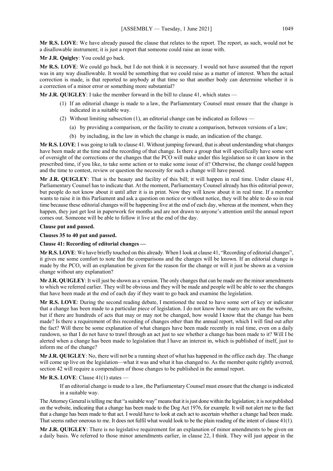**Mr R.S. LOVE**: We have already passed the clause that relates to the report. The report, as such, would not be a disallowable instrument; it is just a report that someone could raise an issue with.

**Mr J.R. Quigley**: You could go back.

**Mr R.S. LOVE**: We could go back, but I do not think it is necessary. I would not have assumed that the report was in any way disallowable. It would be something that we could raise as a matter of interest. When the actual correction is made, is that reported to anybody at that time so that another body can determine whether it is a correction of a minor error or something more substantial?

**Mr J.R. QUIGLEY**: I take the member forward in the bill to clause 41, which states —

- (1) If an editorial change is made to a law, the Parliamentary Counsel must ensure that the change is indicated in a suitable way.
- (2) Without limiting subsection (1), an editorial change can be indicated as follows
	- (a) by providing a comparison, or the facility to create a comparison, between versions of a law;
	- (b) by including, in the law in which the change is made, an indication of the change.

**Mr R.S. LOVE**: I was going to talk to clause 41. Without jumping forward, that is about understanding what changes have been made at the time and the recording of that change. Is there a group that will specifically have some sort of oversight of the corrections or the changes that the PCO will make under this legislation so it can know in the prescribed time, if you like, to take some action or to make some issue of it? Otherwise, the change could happen and the time to contest, review or question the necessity for such a change will have passed.

**Mr J.R. QUIGLEY**: That is the beauty and facility of this bill; it will happen in real time. Under clause 41, Parliamentary Counsel has to indicate that. At the moment, Parliamentary Counsel already has this editorial power, but people do not know about it until after it is in print. Now they will know about it in real time. If a member wants to raise it in this Parliament and ask a question on notice or without notice, they will be able to do so in real time because these editorial changes will be happening live at the end of each day, whereas at the moment, when they happen, they just get lost in paperwork for months and are not drawn to anyone's attention until the annual report comes out. Someone will be able to follow it live at the end of the day.

#### **Clause put and passed.**

**Clauses 35 to 40 put and passed.**

#### **Clause 41: Recording of editorial changes —**

**Mr R.S. LOVE**: We have briefly touched on this already. When I look at clause 41, "Recording of editorial changes", it gives me some comfort to note that the comparisons and the changes will be known. If an editorial change is made by the PCO, will an explanation be given for the reason for the change or will it just be shown as a version change without any explanation?

**Mr J.R. QUIGLEY**: It will just be shown as a version. The only changes that can be made are the minor amendments to which we referred earlier. They will be obvious and they will be made and people will be able to see the changes that have been made at the end of each day if they want to go back and examine the legislation.

**Mr R.S. LOVE**: During the second reading debate, I mentioned the need to have some sort of key or indicator that a change has been made to a particular piece of legislation. I do not know how many acts are on the website, but if there are hundreds of acts that may or may not be changed, how would I know that the change has been made? Is there a requirement of this recording of changes other than the annual report, which I will find out after the fact? Will there be some explanation of what changes have been made recently in real time, even on a daily rundown, so that I do not have to trawl through an act just to see whether a change has been made to it? Will I be alerted when a change has been made to legislation that I have an interest in, which is published of itself, just to inform me of the change?

**Mr J.R. QUIGLEY**: No, there will not be a running sheet of what has happened in the office each day. The change will come up live on the legislation—what it was and what it has changed to. As the member quite rightly averred, section 42 will require a compendium of those changes to be published in the annual report.

#### **Mr R.S. LOVE**: Clause 41(1) states —

If an editorial change is made to a law, the Parliamentary Counsel must ensure that the change is indicated in a suitable way.

The Attorney General is telling me that "a suitable way" means that it is just done within the legislation; it is not published on the website, indicating that a change has been made to the Dog Act 1976, for example. It will not alert me to the fact that a change has been made to that act. I would have to look at each act to ascertain whether a change had been made. That seems rather onerous to me. It does not fulfil what would look to be the plain reading of the intent of clause 41(1).

**Mr J.R. QUIGLEY**: There is no legislative requirement for an explanation of minor amendments to be given on a daily basis. We referred to those minor amendments earlier, in clause 22, I think. They will just appear in the